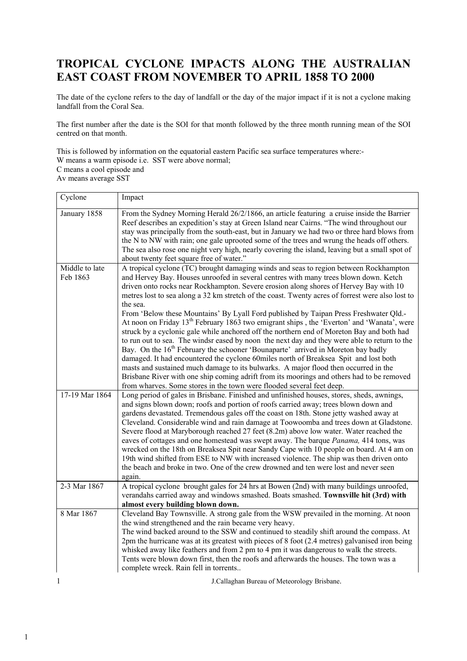## **TROPICAL CYCLONE IMPACTS ALONG THE AUSTRALIAN EAST COAST FROM NOVEMBER TO APRIL 1858 TO 2000**

The date of the cyclone refers to the day of landfall or the day of the major impact if it is not a cyclone making landfall from the Coral Sea.

The first number after the date is the SOI for that month followed by the three month running mean of the SOI centred on that month.

This is followed by information on the equatorial eastern Pacific sea surface temperatures where:-

- W means a warm episode i.e. SST were above normal;
- C means a cool episode and

Av means average SST

| Cyclone                    | Impact                                                                                                                                                                                                                                                                                                                                                                                                                                                                                                                                                                                                                                                                                                                                                                                                                                                                                                                                                                                                                                                                                                                                                                                                                                     |
|----------------------------|--------------------------------------------------------------------------------------------------------------------------------------------------------------------------------------------------------------------------------------------------------------------------------------------------------------------------------------------------------------------------------------------------------------------------------------------------------------------------------------------------------------------------------------------------------------------------------------------------------------------------------------------------------------------------------------------------------------------------------------------------------------------------------------------------------------------------------------------------------------------------------------------------------------------------------------------------------------------------------------------------------------------------------------------------------------------------------------------------------------------------------------------------------------------------------------------------------------------------------------------|
| January 1858               | From the Sydney Morning Herald 26/2/1866, an article featuring a cruise inside the Barrier<br>Reef describes an expedition's stay at Green Island near Cairns. "The wind throughout our<br>stay was principally from the south-east, but in January we had two or three hard blows from<br>the N to NW with rain; one gale uprooted some of the trees and wrung the heads off others.<br>The sea also rose one night very high, nearly covering the island, leaving but a small spot of<br>about twenty feet square free of water."                                                                                                                                                                                                                                                                                                                                                                                                                                                                                                                                                                                                                                                                                                        |
| Middle to late<br>Feb 1863 | A tropical cyclone (TC) brought damaging winds and seas to region between Rockhampton<br>and Hervey Bay. Houses unroofed in several centres with many trees blown down. Ketch<br>driven onto rocks near Rockhampton. Severe erosion along shores of Hervey Bay with 10<br>metres lost to sea along a 32 km stretch of the coast. Twenty acres of forrest were also lost to<br>the sea.<br>From 'Below these Mountains' By Lyall Ford published by Taipan Press Freshwater Qld.-<br>At noon on Friday 13 <sup>th</sup> February 1863 two emigrant ships, the 'Everton' and 'Wanata', were<br>struck by a cyclonic gale while anchored off the northern end of Moreton Bay and both had<br>to run out to sea. The windsr eased by noon the next day and they were able to return to the<br>Bay. On the 16 <sup>th</sup> February the schooner 'Bounaparte' arrived in Moreton bay badly<br>damaged. It had encountered the cyclone 60miles north of Breaksea Spit and lost both<br>masts and sustained much damage to its bulwarks. A major flood then occurred in the<br>Brisbane River with one ship coming adrift from its moorings and others had to be removed<br>from wharves. Some stores in the town were flooded several feet deep. |
| 17-19 Mar 1864             | Long period of gales in Brisbane. Finished and unfinished houses, stores, sheds, awnings,<br>and signs blown down; roofs and portion of roofs carried away; trees blown down and<br>gardens devastated. Tremendous gales off the coast on 18th. Stone jetty washed away at<br>Cleveland. Considerable wind and rain damage at Toowoomba and trees down at Gladstone.<br>Severe flood at Maryborough reached 27 feet (8.2m) above low water. Water reached the<br>eaves of cottages and one homestead was swept away. The barque Panama, 414 tons, was<br>wrecked on the 18th on Breaksea Spit near Sandy Cape with 10 people on board. At 4 am on<br>19th wind shifted from ESE to NW with increased violence. The ship was then driven onto<br>the beach and broke in two. One of the crew drowned and ten were lost and never seen<br>again.                                                                                                                                                                                                                                                                                                                                                                                             |
| 2-3 Mar 1867               | A tropical cyclone brought gales for 24 hrs at Bowen (2nd) with many buildings unroofed,<br>verandahs carried away and windows smashed. Boats smashed. Townsville hit (3rd) with<br>almost every building blown down.                                                                                                                                                                                                                                                                                                                                                                                                                                                                                                                                                                                                                                                                                                                                                                                                                                                                                                                                                                                                                      |
| 8 Mar 1867                 | Cleveland Bay Townsville. A strong gale from the WSW prevailed in the morning. At noon<br>the wind strengthened and the rain became very heavy.<br>The wind backed around to the SSW and continued to steadily shift around the compass. At<br>2pm the hurricane was at its greatest with pieces of 8 foot (2.4 metres) galvanised iron being<br>whisked away like feathers and from 2 pm to 4 pm it was dangerous to walk the streets.<br>Tents were blown down first, then the roofs and afterwards the houses. The town was a<br>complete wreck. Rain fell in torrents                                                                                                                                                                                                                                                                                                                                                                                                                                                                                                                                                                                                                                                                  |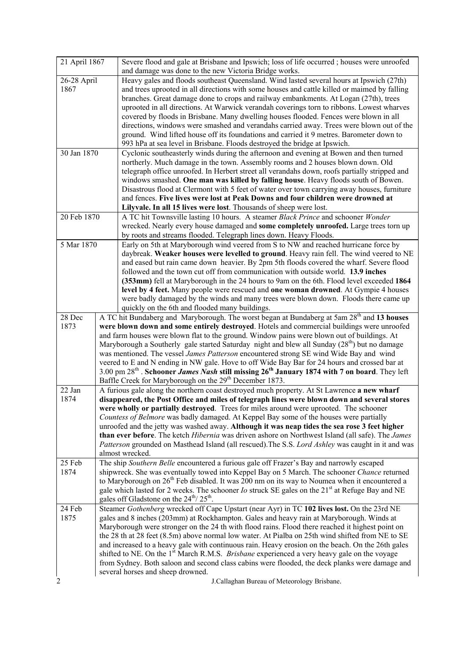| 21 April 1867       |                 | Severe flood and gale at Brisbane and Ipswich; loss of life occurred; houses were unroofed<br>and damage was done to the new Victoria Bridge works.                                                  |
|---------------------|-----------------|------------------------------------------------------------------------------------------------------------------------------------------------------------------------------------------------------|
| 26-28 April<br>1867 |                 | Heavy gales and floods southeast Queensland. Wind lasted several hours at Ipswich (27th)<br>and trees uprooted in all directions with some houses and cattle killed or maimed by falling             |
|                     |                 | branches. Great damage done to crops and railway embankments. At Logan (27th), trees                                                                                                                 |
|                     |                 | uprooted in all directions. At Warwick verandah coverings torn to ribbons. Lowest wharves                                                                                                            |
|                     |                 | covered by floods in Brisbane. Many dwelling houses flooded. Fences were blown in all                                                                                                                |
|                     |                 | directions, windows were smashed and verandahs carried away. Trees were blown out of the                                                                                                             |
|                     |                 | ground. Wind lifted house off its foundations and carried it 9 metres. Barometer down to                                                                                                             |
|                     |                 | 993 hPa at sea level in Brisbane. Floods destroyed the bridge at Ipswich.                                                                                                                            |
| 30 Jan 1870         |                 | Cyclonic southeasterly winds during the afternoon and evening at Bowen and then turned<br>northerly. Much damage in the town. Assembly rooms and 2 houses blown down. Old                            |
|                     |                 | telegraph office unroofed. In Herbert street all verandahs down, roofs partially stripped and                                                                                                        |
|                     |                 | windows smashed. One man was killed by falling house. Heavy floods south of Bowen.                                                                                                                   |
|                     |                 | Disastrous flood at Clermont with 5 feet of water over town carrying away houses, furniture                                                                                                          |
|                     |                 | and fences. Five lives were lost at Peak Downs and four children were drowned at                                                                                                                     |
|                     |                 | Lilyvale. In all 15 lives were lost. Thousands of sheep were lost.                                                                                                                                   |
| 20 Feb 1870         |                 | A TC hit Townsville lasting 10 hours. A steamer Black Prince and schooner Wonder                                                                                                                     |
|                     |                 | wrecked. Nearly every house damaged and some completely unroofed. Large trees torn up                                                                                                                |
| 5 Mar 1870          |                 | by roots and streams flooded. Telegraph lines down. Heavy Floods.                                                                                                                                    |
|                     |                 | Early on 5th at Maryborough wind veered from S to NW and reached hurricane force by<br>daybreak. Weaker houses were levelled to ground. Heavy rain fell. The wind veered to NE                       |
|                     |                 | and eased but rain came down heavier. By 2pm 5th floods covered the wharf. Severe flood                                                                                                              |
|                     |                 | followed and the town cut off from communication with outside world. 13.9 inches                                                                                                                     |
|                     |                 | (353mm) fell at Maryborough in the 24 hours to 9am on the 6th. Flood level exceeded 1864                                                                                                             |
|                     |                 | level by 4 feet. Many people were rescued and one woman drowned. At Gympie 4 houses                                                                                                                  |
|                     |                 | were badly damaged by the winds and many trees were blown down. Floods there came up                                                                                                                 |
| 28 Dec              |                 | quickly on the 6th and flooded many buildings.                                                                                                                                                       |
| 1873                |                 | A TC hit Bundaberg and Maryborough. The worst began at Bundaberg at 5am 28 <sup>th</sup> and 13 houses<br>were blown down and some entirely destroyed. Hotels and commercial buildings were unroofed |
|                     |                 | and farm houses were blown flat to the ground. Window pains were blown out of buildings. At                                                                                                          |
|                     |                 | Maryborough a Southerly gale started Saturday night and blew all Sunday $(28th)$ but no damage                                                                                                       |
|                     |                 | was mentioned. The vessel James Patterson encountered strong SE wind Wide Bay and wind                                                                                                               |
|                     |                 | veered to E and N ending in NW gale. Hove to off Wide Bay Bar for 24 hours and crossed bar at                                                                                                        |
|                     |                 | 3.00 pm 28 <sup>th</sup> . Schooner <i>James Nash</i> still missing 26 <sup>th</sup> January 1874 with 7 on board. They left<br>Baffle Creek for Maryborough on the 29 <sup>th</sup> December 1873.  |
| 22 Jan              |                 | A furious gale along the northern coast destroyed much property. At St Lawrence a new wharf                                                                                                          |
| 1874                |                 | disappeared, the Post Office and miles of telegraph lines were blown down and several stores                                                                                                         |
|                     |                 | were wholly or partially destroyed. Trees for miles around were uprooted. The schooner                                                                                                               |
|                     |                 | Countess of Belmore was badly damaged. At Keppel Bay some of the houses were partially                                                                                                               |
|                     |                 | unroofed and the jetty was washed away. Although it was neap tides the sea rose 3 feet higher                                                                                                        |
|                     |                 | than ever before. The ketch Hibernia was driven ashore on Northwest Island (all safe). The James                                                                                                     |
|                     | almost wrecked. | Patterson grounded on Masthead Island (all rescued). The S.S. Lord Ashley was caught in it and was                                                                                                   |
| 25 Feb              |                 | The ship Southern Belle encountered a furious gale off Frazer's Bay and narrowly escaped                                                                                                             |
| 1874                |                 | shipwreck. She was eventually towed into Keppel Bay on 5 March. The schooner Chance returned                                                                                                         |
|                     |                 | to Maryborough on $26th$ Feb disabled. It was 200 nm on its way to Noumea when it encountered a                                                                                                      |
|                     |                 | gale which lasted for 2 weeks. The schooner <i>Io</i> struck SE gales on the $21st$ at Refuge Bay and NE                                                                                             |
|                     |                 | gales off Gladstone on the $24^{th}$ / $25^{th}$ .                                                                                                                                                   |
| 24 Feb              |                 | Steamer Gothenberg wrecked off Cape Upstart (near Ayr) in TC 102 lives lost. On the 23rd NE                                                                                                          |
| 1875                |                 | gales and 8 inches (203mm) at Rockhampton. Gales and heavy rain at Maryborough. Winds at<br>Maryborough were stronger on the 24 th with flood rains. Flood there reached it highest point on         |
|                     |                 | the 28 th at 28 feet (8.5m) above normal low water. At Pialba on 25th wind shifted from NE to SE                                                                                                     |
|                     |                 | and increased to a heavy gale with continuous rain. Heavy erosion on the beach. On the 26th gales                                                                                                    |
|                     |                 | shifted to NE. On the 1 <sup>st</sup> March R.M.S. <i>Brisbane</i> experienced a very heavy gale on the voyage                                                                                       |
|                     |                 | from Sydney. Both saloon and second class cabins were flooded, the deck planks were damage and                                                                                                       |
|                     |                 | several horses and sheep drowned.                                                                                                                                                                    |
| 2                   |                 | J.Callaghan Bureau of Meteorology Brisbane.                                                                                                                                                          |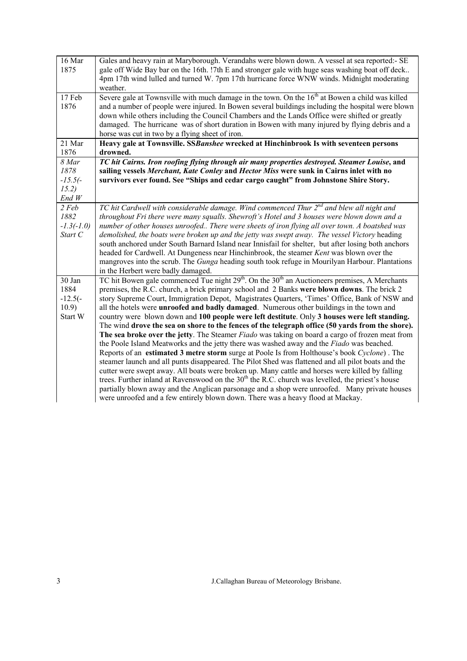| 16 Mar       | Gales and heavy rain at Maryborough. Verandahs were blown down. A vessel at sea reported:- SE                |
|--------------|--------------------------------------------------------------------------------------------------------------|
| 1875         | gale off Wide Bay bar on the 16th. !7th E and stronger gale with huge seas washing boat off deck             |
|              | 4pm 17th wind lulled and turned W. 7pm 17th hurricane force WNW winds. Midnight moderating                   |
|              | weather.                                                                                                     |
| 17 Feb       | Severe gale at Townsville with much damage in the town. On the 16 <sup>th</sup> at Bowen a child was killed  |
| 1876         | and a number of people were injured. In Bowen several buildings including the hospital were blown            |
|              | down while others including the Council Chambers and the Lands Office were shifted or greatly                |
|              | damaged. The hurricane was of short duration in Bowen with many injured by flying debris and a               |
|              | horse was cut in two by a flying sheet of iron.                                                              |
| 21 Mar       | Heavy gale at Townsville. SSBanshee wrecked at Hinchinbrook Is with seventeen persons                        |
|              |                                                                                                              |
| 1876         | drowned.                                                                                                     |
| 8 Mar        | TC hit Cairns. Iron roofing flying through air many properties destroyed. Steamer Louise, and                |
| 1878         | sailing vessels Merchant, Kate Conley and Hector Miss were sunk in Cairns inlet with no                      |
| $-15.5(-$    | survivors ever found. See "Ships and cedar cargo caught" from Johnstone Shire Story.                         |
| 15.2)        |                                                                                                              |
| End W        |                                                                                                              |
| 2 Feb        | TC hit Cardwell with considerable damage. Wind commenced Thur 2 <sup>nd</sup> and blew all night and         |
| 1882         | throughout Fri there were many squalls. Shewroft's Hotel and 3 houses were blown down and a                  |
| $-1.3(-1.0)$ | number of other houses unroofed There were sheets of iron flying all over town. A boatshed was               |
| Start C      | demolished, the boats were broken up and the jetty was swept away. The vessel Victory heading                |
|              | south anchored under South Barnard Island near Innisfail for shelter, but after losing both anchors          |
|              | headed for Cardwell. At Dungeness near Hinchinbrook, the steamer Kent was blown over the                     |
|              | mangroves into the scrub. The <i>Gunga</i> heading south took refuge in Mourilyan Harbour. Plantations       |
|              | in the Herbert were badly damaged.                                                                           |
| 30 Jan       | TC hit Bowen gale commenced Tue night $29th$ . On the $30th$ an Auctioneers premises, A Merchants            |
| 1884         | premises, the R.C. church, a brick primary school and 2 Banks were blown downs. The brick 2                  |
| $-12.5(-)$   | story Supreme Court, Immigration Depot, Magistrates Quarters, 'Times' Office, Bank of NSW and                |
| 10.9)        | all the hotels were <b>unroofed and badly damaged</b> . Numerous other buildings in the town and             |
| Start W      | country were blown down and 100 people were left destitute. Only 3 houses were left standing.                |
|              | The wind drove the sea on shore to the fences of the telegraph office (50 yards from the shore).             |
|              | The sea broke over the jetty. The Steamer Fiado was taking on board a cargo of frozen meat from              |
|              | the Poole Island Meatworks and the jetty there was washed away and the Fiado was beached.                    |
|              | Reports of an estimated 3 metre storm surge at Poole Is from Holthouse's book Cyclone). The                  |
|              | steamer launch and all punts disappeared. The Pilot Shed was flattened and all pilot boats and the           |
|              | cutter were swept away. All boats were broken up. Many cattle and horses were killed by falling              |
|              | trees. Further inland at Ravenswood on the 30 <sup>th</sup> the R.C. church was levelled, the priest's house |
|              |                                                                                                              |
|              | partially blown away and the Anglican parsonage and a shop were unroofed. Many private houses                |
|              | were unroofed and a few entirely blown down. There was a heavy flood at Mackay.                              |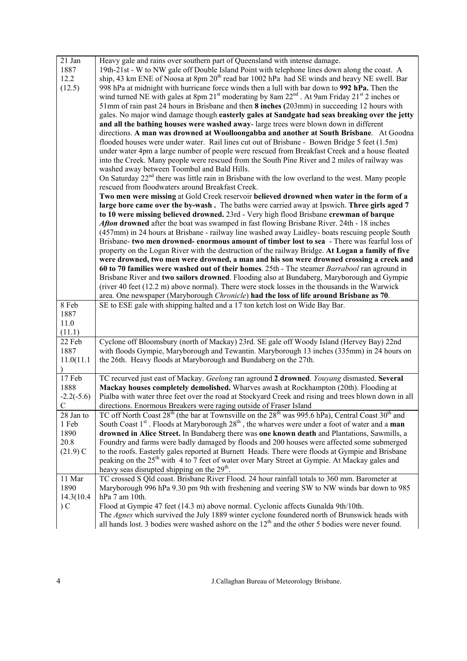| 21 Jan        | Heavy gale and rains over southern part of Queensland with intense damage.                                                                                                                          |
|---------------|-----------------------------------------------------------------------------------------------------------------------------------------------------------------------------------------------------|
| 1887          | 19th-21st - W to NW gale off Double Island Point with telephone lines down along the coast. A                                                                                                       |
| 12.2          | ship, 43 km ENE of Noosa at 8pm 20 <sup>th</sup> read bar 1002 hPa had SE winds and heavy NE swell. Bar                                                                                             |
| (12.5)        | 998 hPa at midnight with hurricane force winds then a lull with bar down to 992 hPa. Then the                                                                                                       |
|               | wind turned NE with gales at 8pm 21 <sup>st</sup> moderating by 8am 22 <sup>nd</sup> . At 9am Friday 21 <sup>st</sup> 2 inches or                                                                   |
|               | 51mm of rain past 24 hours in Brisbane and then 8 inches (203mm) in succeeding 12 hours with                                                                                                        |
|               | gales. No major wind damage though easterly gales at Sandgate had seas breaking over the jetty                                                                                                      |
|               | and all the bathing houses were washed away-large trees were blown down in different                                                                                                                |
|               | directions. A man was drowned at Woolloongabba and another at South Brisbane. At Goodna                                                                                                             |
|               | flooded houses were under water. Rail lines cut out of Brisbane - Bowen Bridge 5 feet (1.5m)                                                                                                        |
|               | under water 4pm a large number of people were rescued from Breakfast Creek and a house floated                                                                                                      |
|               | into the Creek. Many people were rescued from the South Pine River and 2 miles of railway was                                                                                                       |
|               | washed away between Toombul and Bald Hills.                                                                                                                                                         |
|               | On Saturday 22 <sup>nd</sup> there was little rain in Brisbane with the low overland to the west. Many people                                                                                       |
|               | rescued from floodwaters around Breakfast Creek.                                                                                                                                                    |
|               |                                                                                                                                                                                                     |
|               | Two men were missing at Gold Creek reservoir believed drowned when water in the form of a                                                                                                           |
|               | large bore came over the by-wash. The baths were carried away at Ipswich. Three girls aged 7                                                                                                        |
|               | to 10 were missing believed drowned. 23rd - Very high flood Brisbane crewman of barque                                                                                                              |
|               | <b>Aften drowned</b> after the boat was swamped in fast flowing Brisbane River. 24th - 18 inches                                                                                                    |
|               | (457mm) in 24 hours at Brisbane - railway line washed away Laidley-boats rescuing people South                                                                                                      |
|               | Brisbane- two men drowned- enormous amount of timber lost to sea - There was fearful loss of                                                                                                        |
|               | property on the Logan River with the destruction of the railway Bridge. At Logan a family of five                                                                                                   |
|               | were drowned, two men were drowned, a man and his son were drowned crossing a creek and                                                                                                             |
|               | 60 to 70 families were washed out of their homes. 25th - The steamer Barrabool ran aground in                                                                                                       |
|               | Brisbane River and two sailors drowned. Flooding also at Bundaberg, Maryborough and Gympie                                                                                                          |
|               | (river 40 feet (12.2 m) above normal). There were stock losses in the thousands in the Warwick                                                                                                      |
|               |                                                                                                                                                                                                     |
|               | area. One newspaper (Maryborough Chronicle) had the loss of life around Brisbane as 70.                                                                                                             |
| 8 Feb         | SE to ESE gale with shipping halted and a 17 ton ketch lost on Wide Bay Bar.                                                                                                                        |
| 1887          |                                                                                                                                                                                                     |
| 11.0          |                                                                                                                                                                                                     |
| (11.1)        |                                                                                                                                                                                                     |
| 22 Feb        | Cyclone off Bloomsbury (north of Mackay) 23rd. SE gale off Woody Island (Hervey Bay) 22nd                                                                                                           |
| 1887          | with floods Gympie, Maryborough and Tewantin. Maryborough 13 inches (335mm) in 24 hours on                                                                                                          |
| 11.0(11.1)    | the 26th. Heavy floods at Maryborough and Bundaberg on the 27th.                                                                                                                                    |
| $\lambda$     |                                                                                                                                                                                                     |
| 17 Feb        | TC recurved just east of Mackay. Geelong ran aground 2 drowned. Youyang dismasted. Several                                                                                                          |
| 1888          | Mackay houses completely demolished. Wharves awash at Rockhampton (20th). Flooding at                                                                                                               |
| $-2.2(-5.6)$  | Pialba with water three feet over the road at Stockyard Creek and rising and trees blown down in all                                                                                                |
| $\mathcal{C}$ | directions. Enormous Breakers were raging outside of Fraser Island                                                                                                                                  |
| 28 Jan to     | TC off North Coast 28 <sup>th</sup> (the bar at Townsville on the 28 <sup>th</sup> was 995.6 hPa), Central Coast 30 <sup>th</sup> and                                                               |
| 1 Feb         | South Coast $1st$ . Floods at Maryborough $28th$ , the wharves were under a foot of water and a <b>man</b>                                                                                          |
| 1890          | drowned in Alice Street. In Bundaberg there was one known death and Plantations, Sawmills, a                                                                                                        |
| 20.8          | Foundry and farms were badly damaged by floods and 200 houses were affected some submerged                                                                                                          |
| $(21.9)$ C    | to the roofs. Easterly gales reported at Burnett Heads. There were floods at Gympie and Brisbane                                                                                                    |
|               | peaking on the 25 <sup>th</sup> with 4 to 7 feet of water over Mary Street at Gympie. At Mackay gales and                                                                                           |
|               | heavy seas disrupted shipping on the 29 <sup>th</sup> .                                                                                                                                             |
| 11 Mar        | TC crossed S Qld coast. Brisbane River Flood. 24 hour rainfall totals to 360 mm. Barometer at                                                                                                       |
| 1890          | Maryborough 996 hPa 9.30 pm 9th with freshening and veering SW to NW winds bar down to 985                                                                                                          |
| 14.3(10.4     | hPa 7 am 10th.                                                                                                                                                                                      |
| C             | Flood at Gympie 47 feet (14.3 m) above normal. Cyclonic affects Gunalda 9th/10th.                                                                                                                   |
|               | The Agnes which survived the July 1889 winter cyclone foundered north of Brunswick heads with<br>all hands lost. 3 bodies were washed ashore on the $12th$ and the other 5 bodies were never found. |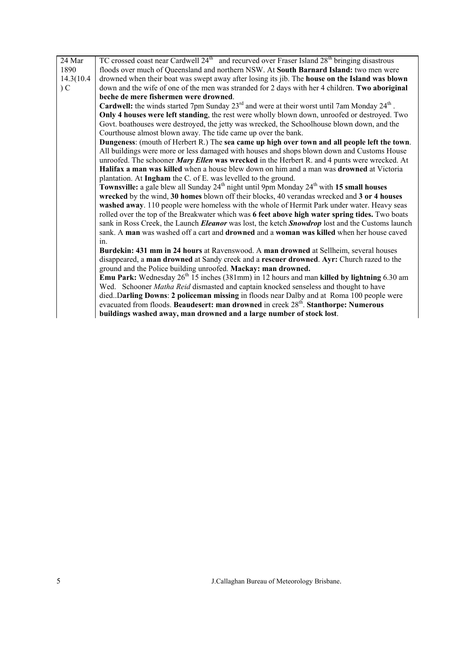| 24 Mar     | TC crossed coast near Cardwell $24th$ and recurved over Fraser Island $28th$ bringing disastrous                 |
|------------|------------------------------------------------------------------------------------------------------------------|
| 1890       | floods over much of Queensland and northern NSW. At South Barnard Island: two men were                           |
| 14.3(10.4) | drowned when their boat was swept away after losing its jib. The house on the Island was blown                   |
| $\sum$     | down and the wife of one of the men was stranded for 2 days with her 4 children. Two aboriginal                  |
|            | beche de mere fishermen were drowned.                                                                            |
|            | <b>Cardwell:</b> the winds started 7pm Sunday $23^{rd}$ and were at their worst until 7am Monday $24^{th}$ .     |
|            | Only 4 houses were left standing, the rest were wholly blown down, unroofed or destroyed. Two                    |
|            | Govt. boathouses were destroyed, the jetty was wrecked, the Schoolhouse blown down, and the                      |
|            | Courthouse almost blown away. The tide came up over the bank.                                                    |
|            | Dungeness: (mouth of Herbert R.) The sea came up high over town and all people left the town.                    |
|            | All buildings were more or less damaged with houses and shops blown down and Customs House                       |
|            | unroofed. The schooner Mary Ellen was wrecked in the Herbert R. and 4 punts were wrecked. At                     |
|            | Halifax a man was killed when a house blew down on him and a man was drowned at Victoria                         |
|            | plantation. At Ingham the C. of E. was levelled to the ground.                                                   |
|            | Townsville: a gale blew all Sunday 24 <sup>th</sup> night until 9pm Monday 24 <sup>th</sup> with 15 small houses |
|            | wrecked by the wind, 30 homes blown off their blocks, 40 verandas wrecked and 3 or 4 houses                      |
|            | washed away. 110 people were homeless with the whole of Hermit Park under water. Heavy seas                      |
|            | rolled over the top of the Breakwater which was 6 feet above high water spring tides. Two boats                  |
|            | sank in Ross Creek, the Launch <i>Eleanor</i> was lost, the ketch <b>Snowdrop</b> lost and the Customs launch    |
|            | sank. A man was washed off a cart and <b>drowned</b> and a <b>woman was killed</b> when her house caved          |
|            | $in$ .                                                                                                           |
|            | Burdekin: 431 mm in 24 hours at Ravenswood. A man drowned at Sellheim, several houses                            |
|            | disappeared, a man drowned at Sandy creek and a rescuer drowned. Ayr: Church razed to the                        |
|            | ground and the Police building unroofed. Mackay: man drowned.                                                    |
|            | <b>Emu Park:</b> Wednesday $26^{th}$ 15 inches (381mm) in 12 hours and man <b>killed by lightning</b> 6.30 am    |
|            | Wed. Schooner Matha Reid dismasted and captain knocked senseless and thought to have                             |
|            | died. Darling Downs: 2 policeman missing in floods near Dalby and at Roma 100 people were                        |
|            | evacuated from floods. Beaudesert: man drowned in creek 28 <sup>th</sup> . Stanthorpe: Numerous                  |
|            | buildings washed away, man drowned and a large number of stock lost.                                             |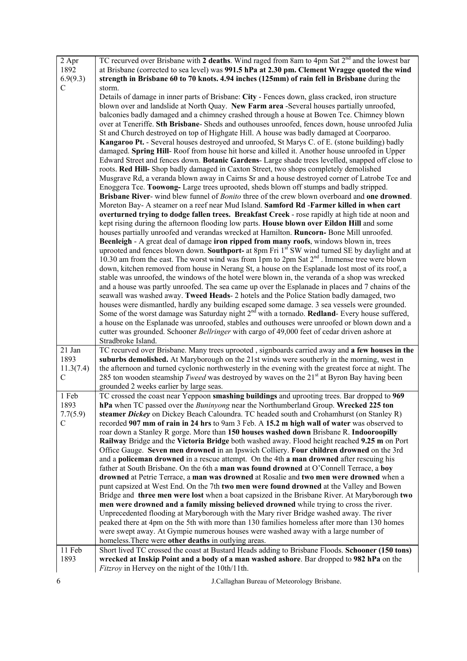| 2 Apr         | TC recurved over Brisbane with 2 deaths. Wind raged from 8am to 4pm Sat 2 <sup>nd</sup> and the lowest bar                                                                         |
|---------------|------------------------------------------------------------------------------------------------------------------------------------------------------------------------------------|
| 1892          | at Brisbane (corrected to sea level) was 991.5 hPa at 2.30 pm. Clement Wragge quoted the wind                                                                                      |
| 6.9(9.3)      | strength in Brisbane 60 to 70 knots. 4.94 inches (125mm) of rain fell in Brisbane during the                                                                                       |
| C             | storm.                                                                                                                                                                             |
|               | Details of damage in inner parts of Brisbane: City - Fences down, glass cracked, iron structure                                                                                    |
|               | blown over and landslide at North Quay. New Farm area -Several houses partially unroofed,                                                                                          |
|               | balconies badly damaged and a chimney crashed through a house at Bowen Tce. Chimney blown                                                                                          |
|               | over at Teneriffe. Sth Brisbane- Sheds and outhouses unroofed, fences down, house unroofed Julia                                                                                   |
|               | St and Church destroyed on top of Highgate Hill. A house was badly damaged at Coorparoo.                                                                                           |
|               | Kangaroo Pt. - Several houses destroyed and unroofed, St Marys C. of E. (stone building) badly                                                                                     |
|               | damaged. Spring Hill-Roof from house hit horse and killed it. Another house unroofed in Upper                                                                                      |
|               | Edward Street and fences down. Botanic Gardens-Large shade trees levelled, snapped off close to                                                                                    |
|               | roots. Red Hill-Shop badly damaged in Caxton Street, two shops completely demolished                                                                                               |
|               | Musgrave Rd, a veranda blown away in Cairns Sr and a house destroyed corner of Latrobe Tce and                                                                                     |
|               | Enoggera Tce. Toowong-Large trees uprooted, sheds blown off stumps and badly stripped.                                                                                             |
|               | Brisbane River- wind blew funnel of <i>Bonito</i> three of the crew blown overboard and one drowned.                                                                               |
|               | Moreton Bay- A steamer on a reef near Mud Island. Samford Rd -Farmer killed in when cart                                                                                           |
|               | overturned trying to dodge fallen trees. Breakfast Creek - rose rapidly at high tide at noon and                                                                                   |
|               | kept rising during the afternoon flooding low parts. House blown over Eildon Hill and some                                                                                         |
|               | houses partially unroofed and verandas wrecked at Hamilton. Runcorn-Bone Mill unroofed.<br>Beenleigh - A great deal of damage iron ripped from many roofs, windows blown in, trees |
|               | uprooted and fences blown down. Southport- at 8pm Fri 1 <sup>st</sup> SW wind turned SE by daylight and at                                                                         |
|               | 10.30 am from the east. The worst wind was from 1pm to 2pm Sat $2nd$ . Immense tree were blown                                                                                     |
|               | down, kitchen removed from house in Nerang St, a house on the Esplanade lost most of its roof, a                                                                                   |
|               | stable was unroofed, the windows of the hotel were blown in, the veranda of a shop was wrecked                                                                                     |
|               | and a house was partly unroofed. The sea came up over the Esplanade in places and 7 chains of the                                                                                  |
|               | seawall was washed away. Tweed Heads- 2 hotels and the Police Station badly damaged, two                                                                                           |
|               | houses were dismantled, hardly any building escaped some damage. 3 sea vessels were grounded.                                                                                      |
|               | Some of the worst damage was Saturday night $2nd$ with a tornado. <b>Redland</b> - Every house suffered,                                                                           |
|               | a house on the Esplanade was unroofed, stables and outhouses were unroofed or blown down and a                                                                                     |
|               | cutter was grounded. Schooner Bellringer with cargo of 49,000 feet of cedar driven ashore at                                                                                       |
|               | Stradbroke Island.                                                                                                                                                                 |
| 21 Jan        | TC recurved over Brisbane. Many trees uprooted, signboards carried away and a few houses in the                                                                                    |
| 1893          | suburbs demolished. At Maryborough on the 21st winds were southerly in the morning, west in                                                                                        |
| 11.3(7.4)     | the afternoon and turned cyclonic northwesterly in the evening with the greatest force at night. The                                                                               |
| $\mathcal{C}$ | 285 ton wooden steamship Tweed was destroyed by waves on the 21 <sup>st</sup> at Byron Bay having been                                                                             |
|               | grounded 2 weeks earlier by large seas.                                                                                                                                            |
| 1 Feb         | TC crossed the coast near Yeppoon smashing buildings and uprooting trees. Bar dropped to 969                                                                                       |
| 1893          | hPa when TC passed over the <i>Buninyong</i> near the Northumberland Group. Wrecked 225 ton                                                                                        |
| 7.7(5.9)      | steamer Dickey on Dickey Beach Caloundra. TC headed south and Crohamhurst (on Stanley R)                                                                                           |
| C             | recorded 907 mm of rain in 24 hrs to 9am 3 Feb. A 15.2 m high wall of water was observed to                                                                                        |
|               | roar down a Stanley R gorge. More than 150 houses washed down Brisbane R. Indooroopilly                                                                                            |
|               | Railway Bridge and the Victoria Bridge both washed away. Flood height reached 9.25 m on Port                                                                                       |
|               | Office Gauge. Seven men drowned in an Ipswich Colliery. Four children drowned on the 3rd                                                                                           |
|               | and a policeman drowned in a rescue attempt. On the 4th a man drowned after rescuing his                                                                                           |
|               | father at South Brisbane. On the 6th a man was found drowned at O'Connell Terrace, a boy                                                                                           |
|               | drowned at Petrie Terrace, a man was drowned at Rosalie and two men were drowned when a                                                                                            |
|               | punt capsized at West End. On the 7th two men were found drowned at the Valley and Bowen                                                                                           |
|               | Bridge and three men were lost when a boat capsized in the Brisbane River. At Maryborough two                                                                                      |
|               | men were drowned and a family missing believed drowned while trying to cross the river.<br>Unprecedented flooding at Maryborough with the Mary river Bridge washed away. The river |
|               | peaked there at 4pm on the 5th with more than 130 families homeless after more than 130 homes                                                                                      |
|               | were swept away. At Gympie numerous houses were washed away with a large number of                                                                                                 |
|               | homeless. There were other deaths in outlying areas.                                                                                                                               |
| 11 Feb        | Short lived TC crossed the coast at Bustard Heads adding to Brisbane Floods. Schooner (150 tons)                                                                                   |
| 1893          | wrecked at Inskip Point and a body of a man washed ashore. Bar dropped to 982 hPa on the                                                                                           |
|               | <i>Fitzroy</i> in Hervey on the night of the 10th/11th.                                                                                                                            |
|               |                                                                                                                                                                                    |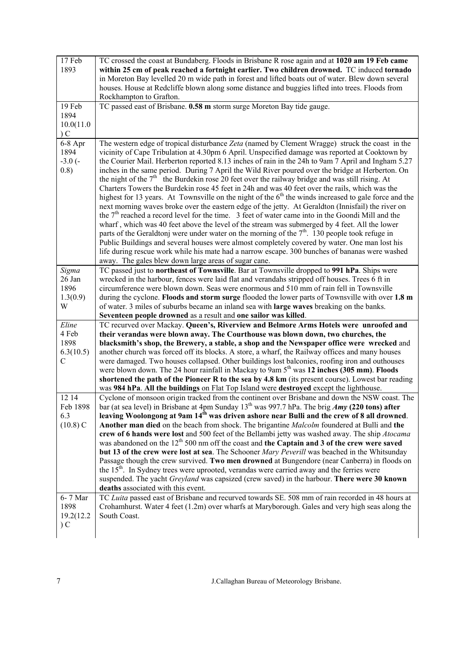| 17 Feb<br>1893                           | TC crossed the coast at Bundaberg. Floods in Brisbane R rose again and at 1020 am 19 Feb came<br>within 25 cm of peak reached a fortnight earlier. Two children drowned. TC induced tornado<br>in Moreton Bay levelled 20 m wide path in forest and lifted boats out of water. Blew down several<br>houses. House at Redcliffe blown along some distance and buggies lifted into trees. Floods from<br>Rockhampton to Grafton.                                                                                                                                                                                                                                                                                                                                                                                                                                                                                                                                                                                                                                                                                                                                    |
|------------------------------------------|-------------------------------------------------------------------------------------------------------------------------------------------------------------------------------------------------------------------------------------------------------------------------------------------------------------------------------------------------------------------------------------------------------------------------------------------------------------------------------------------------------------------------------------------------------------------------------------------------------------------------------------------------------------------------------------------------------------------------------------------------------------------------------------------------------------------------------------------------------------------------------------------------------------------------------------------------------------------------------------------------------------------------------------------------------------------------------------------------------------------------------------------------------------------|
| 19 Feb                                   | TC passed east of Brisbane. 0.58 m storm surge Moreton Bay tide gauge.                                                                                                                                                                                                                                                                                                                                                                                                                                                                                                                                                                                                                                                                                                                                                                                                                                                                                                                                                                                                                                                                                            |
| 1894                                     |                                                                                                                                                                                                                                                                                                                                                                                                                                                                                                                                                                                                                                                                                                                                                                                                                                                                                                                                                                                                                                                                                                                                                                   |
| 10.0(11.0)                               |                                                                                                                                                                                                                                                                                                                                                                                                                                                                                                                                                                                                                                                                                                                                                                                                                                                                                                                                                                                                                                                                                                                                                                   |
| C                                        |                                                                                                                                                                                                                                                                                                                                                                                                                                                                                                                                                                                                                                                                                                                                                                                                                                                                                                                                                                                                                                                                                                                                                                   |
| $6-8$ Apr                                | The western edge of tropical disturbance Zeta (named by Clement Wragge) struck the coast in the                                                                                                                                                                                                                                                                                                                                                                                                                                                                                                                                                                                                                                                                                                                                                                                                                                                                                                                                                                                                                                                                   |
| 1894<br>$-3.0(-$<br>0.8)                 | vicinity of Cape Tribulation at 4.30pm 6 April. Unspecified damage was reported at Cooktown by<br>the Courier Mail. Herberton reported 8.13 inches of rain in the 24h to 9am 7 April and Ingham 5.27<br>inches in the same period. During 7 April the Wild River poured over the bridge at Herberton. On<br>the night of the $7th$ the Burdekin rose 20 feet over the railway bridge and was still rising. At<br>Charters Towers the Burdekin rose 45 feet in 24h and was 40 feet over the rails, which was the<br>highest for 13 years. At Townsville on the night of the 6 <sup>th</sup> the winds increased to gale force and the<br>next morning waves broke over the eastern edge of the jetty. At Geraldton (Innisfail) the river on<br>the 7 <sup>th</sup> reached a record level for the time. 3 feet of water came into in the Goondi Mill and the<br>wharf, which was 40 feet above the level of the stream was submerged by 4 feet. All the lower<br>parts of the Geraldtonj were under water on the morning of the $7th$ . 130 people took refuge in<br>Public Buildings and several houses were almost completely covered by water. One man lost his |
|                                          | life during rescue work while his mate had a narrow escape. 300 bunches of bananas were washed                                                                                                                                                                                                                                                                                                                                                                                                                                                                                                                                                                                                                                                                                                                                                                                                                                                                                                                                                                                                                                                                    |
|                                          | away. The gales blew down large areas of sugar cane.                                                                                                                                                                                                                                                                                                                                                                                                                                                                                                                                                                                                                                                                                                                                                                                                                                                                                                                                                                                                                                                                                                              |
| Sigma<br>26 Jan<br>1896<br>1.3(0.9)<br>W | TC passed just to northeast of Townsville. Bar at Townsville dropped to 991 hPa. Ships were<br>wrecked in the harbour, fences were laid flat and verandahs stripped off houses. Trees 6 ft in<br>circumference were blown down. Seas were enormous and 510 mm of rain fell in Townsville<br>during the cyclone. Floods and storm surge flooded the lower parts of Townsville with over 1.8 m<br>of water. 3 miles of suburbs became an inland sea with <b>large waves</b> breaking on the banks.                                                                                                                                                                                                                                                                                                                                                                                                                                                                                                                                                                                                                                                                  |
|                                          | Seventeen people drowned as a result and one sailor was killed.                                                                                                                                                                                                                                                                                                                                                                                                                                                                                                                                                                                                                                                                                                                                                                                                                                                                                                                                                                                                                                                                                                   |
| Eline                                    | TC recurved over Mackay. Queen's, Riverview and Belmore Arms Hotels were unroofed and                                                                                                                                                                                                                                                                                                                                                                                                                                                                                                                                                                                                                                                                                                                                                                                                                                                                                                                                                                                                                                                                             |
| 4 Feb                                    | their verandas were blown away. The Courthouse was blown down, two churches, the                                                                                                                                                                                                                                                                                                                                                                                                                                                                                                                                                                                                                                                                                                                                                                                                                                                                                                                                                                                                                                                                                  |
| 1898                                     | blacksmith's shop, the Brewery, a stable, a shop and the Newspaper office were wrecked and                                                                                                                                                                                                                                                                                                                                                                                                                                                                                                                                                                                                                                                                                                                                                                                                                                                                                                                                                                                                                                                                        |
| 6.3(10.5)                                | another church was forced off its blocks. A store, a wharf, the Railway offices and many houses                                                                                                                                                                                                                                                                                                                                                                                                                                                                                                                                                                                                                                                                                                                                                                                                                                                                                                                                                                                                                                                                   |
| $\mathcal{C}$                            | were damaged. Two houses collapsed. Other buildings lost balconies, roofing iron and outhouses<br>were blown down. The 24 hour rainfall in Mackay to 9am 5 <sup>th</sup> was 12 inches (305 mm). Floods                                                                                                                                                                                                                                                                                                                                                                                                                                                                                                                                                                                                                                                                                                                                                                                                                                                                                                                                                           |
|                                          | shortened the path of the Pioneer R to the sea by 4.8 km (its present course). Lowest bar reading                                                                                                                                                                                                                                                                                                                                                                                                                                                                                                                                                                                                                                                                                                                                                                                                                                                                                                                                                                                                                                                                 |
|                                          | was 984 hPa. All the buildings on Flat Top Island were destroyed except the lighthouse.                                                                                                                                                                                                                                                                                                                                                                                                                                                                                                                                                                                                                                                                                                                                                                                                                                                                                                                                                                                                                                                                           |
| 12 14                                    | Cyclone of monsoon origin tracked from the continent over Brisbane and down the NSW coast. The                                                                                                                                                                                                                                                                                                                                                                                                                                                                                                                                                                                                                                                                                                                                                                                                                                                                                                                                                                                                                                                                    |
| Feb 1898                                 | bar (at sea level) in Brisbane at 4pm Sunday $13^{th}$ was 997.7 hPa. The brig <i>Amy</i> (220 tons) after                                                                                                                                                                                                                                                                                                                                                                                                                                                                                                                                                                                                                                                                                                                                                                                                                                                                                                                                                                                                                                                        |
| 6.3                                      | leaving Woolongong at 9am 14 <sup>th</sup> was driven ashore near Bulli and the crew of 8 all drowned.                                                                                                                                                                                                                                                                                                                                                                                                                                                                                                                                                                                                                                                                                                                                                                                                                                                                                                                                                                                                                                                            |
| $(10.8)$ C                               | Another man died on the beach from shock. The brigantine Malcolm foundered at Bulli and the                                                                                                                                                                                                                                                                                                                                                                                                                                                                                                                                                                                                                                                                                                                                                                                                                                                                                                                                                                                                                                                                       |
|                                          | crew of 6 hands were lost and 500 feet of the Bellambi jetty was washed away. The ship Atocama                                                                                                                                                                                                                                                                                                                                                                                                                                                                                                                                                                                                                                                                                                                                                                                                                                                                                                                                                                                                                                                                    |
|                                          | was abandoned on the 12 <sup>th</sup> 500 nm off the coast and the Captain and 3 of the crew were saved                                                                                                                                                                                                                                                                                                                                                                                                                                                                                                                                                                                                                                                                                                                                                                                                                                                                                                                                                                                                                                                           |
|                                          | but 13 of the crew were lost at sea. The Schooner Mary Peverill was beached in the Whitsunday                                                                                                                                                                                                                                                                                                                                                                                                                                                                                                                                                                                                                                                                                                                                                                                                                                                                                                                                                                                                                                                                     |
|                                          | Passage though the crew survived. Two men drowned at Bungendore (near Canberra) in floods on                                                                                                                                                                                                                                                                                                                                                                                                                                                                                                                                                                                                                                                                                                                                                                                                                                                                                                                                                                                                                                                                      |
|                                          | the 15 <sup>th</sup> . In Sydney trees were uprooted, verandas were carried away and the ferries were                                                                                                                                                                                                                                                                                                                                                                                                                                                                                                                                                                                                                                                                                                                                                                                                                                                                                                                                                                                                                                                             |
|                                          | suspended. The yacht Greyland was capsized (crew saved) in the harbour. There were 30 known<br>deaths associated with this event.                                                                                                                                                                                                                                                                                                                                                                                                                                                                                                                                                                                                                                                                                                                                                                                                                                                                                                                                                                                                                                 |
| 6-7 Mar                                  | TC Luita passed east of Brisbane and recurved towards SE. 508 mm of rain recorded in 48 hours at                                                                                                                                                                                                                                                                                                                                                                                                                                                                                                                                                                                                                                                                                                                                                                                                                                                                                                                                                                                                                                                                  |
| 1898<br>19.2(12.2)                       | Crohamhurst. Water 4 feet (1.2m) over wharfs at Maryborough. Gales and very high seas along the<br>South Coast.                                                                                                                                                                                                                                                                                                                                                                                                                                                                                                                                                                                                                                                                                                                                                                                                                                                                                                                                                                                                                                                   |
| C                                        |                                                                                                                                                                                                                                                                                                                                                                                                                                                                                                                                                                                                                                                                                                                                                                                                                                                                                                                                                                                                                                                                                                                                                                   |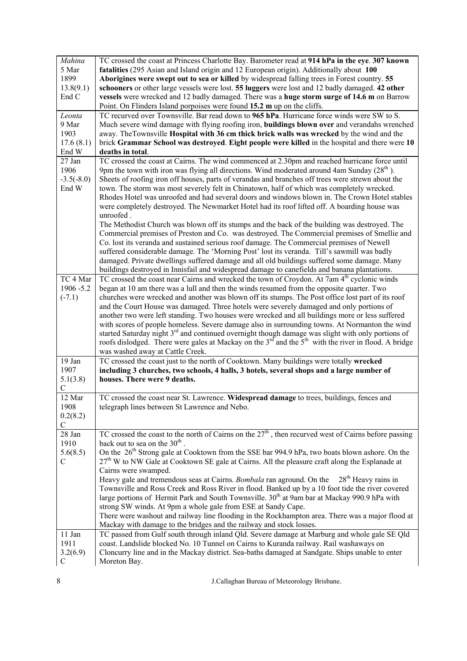| Mahina<br>5 Mar<br>1899<br>13.8(9.1)<br>End C | TC crossed the coast at Princess Charlotte Bay. Barometer read at 914 hPa in the eye. 307 known<br>fatalities (295 Asian and Island origin and 12 European origin). Additionally about 100<br>Aborigines were swept out to sea or killed by widespread falling trees in Forest country. 55<br>schooners or other large vessels were lost. 55 luggers were lost and 12 badly damaged. 42 other<br>vessels were wrecked and 12 badly damaged. There was a huge storm surge of 14.6 m on Barrow<br>Point. On Flinders Island porpoises were found 15.2 m up on the cliffs.                                                                                                                                                                                                                                                                                                                                                                                                                                                                                                                                                                                                                                         |
|-----------------------------------------------|-----------------------------------------------------------------------------------------------------------------------------------------------------------------------------------------------------------------------------------------------------------------------------------------------------------------------------------------------------------------------------------------------------------------------------------------------------------------------------------------------------------------------------------------------------------------------------------------------------------------------------------------------------------------------------------------------------------------------------------------------------------------------------------------------------------------------------------------------------------------------------------------------------------------------------------------------------------------------------------------------------------------------------------------------------------------------------------------------------------------------------------------------------------------------------------------------------------------|
| Leonta<br>9 Mar<br>1903<br>17.6(8.1)<br>End W | TC recurved over Townsville. Bar read down to 965 hPa. Hurricane force winds were SW to S.<br>Much severe wind damage with flying roofing iron, <b>buildings blown over</b> and verandahs wrenched<br>away. The Townsville Hospital with 36 cm thick brick walls was wrecked by the wind and the<br>brick Grammar School was destroyed. Eight people were killed in the hospital and there were 10<br>deaths in total.                                                                                                                                                                                                                                                                                                                                                                                                                                                                                                                                                                                                                                                                                                                                                                                          |
| 27 Jan<br>1906<br>$-3.5(-8.0)$<br>End W       | TC crossed the coast at Cairns. The wind commenced at 2.30pm and reached hurricane force until<br>9pm the town with iron was flying all directions. Wind moderated around 4am Sunday $(28^{th})$ .<br>Sheets of roofing iron off houses, parts of verandas and branches off trees were strewn about the<br>town. The storm was most severely felt in Chinatown, half of which was completely wrecked.<br>Rhodes Hotel was unroofed and had several doors and windows blown in. The Crown Hotel stables<br>were completely destroyed. The Newmarket Hotel had its roof lifted off. A boarding house was<br>unroofed.<br>The Methodist Church was blown off its stumps and the back of the building was destroyed. The<br>Commercial premises of Preston and Co. was destroyed. The Commercial premises of Smellie and<br>Co. lost its veranda and sustained serious roof damage. The Commercial premises of Newell<br>suffered considerable damage. The 'Morning Post' lost its veranda. Till's sawmill was badly<br>damaged. Private dwellings suffered damage and all old buildings suffered some damage. Many<br>buildings destroyed in Innisfail and widespread damage to canefields and banana plantations. |
| TC 4 Mar<br>1906 - 5.2<br>$(-7.1)$            | TC crossed the coast near Cairns and wrecked the town of Croydon. At 7am 4 <sup>th</sup> cyclonic winds<br>began at 10 am there was a lull and then the winds resumed from the opposite quarter. Two<br>churches were wrecked and another was blown off its stumps. The Post office lost part of its roof<br>and the Court House was damaged. Three hotels were severely damaged and only portions of<br>another two were left standing. Two houses were wrecked and all buildings more or less suffered<br>with scores of people homeless. Severe damage also in surrounding towns. At Normanton the wind<br>started Saturday night 3 <sup>rd</sup> and continued overnight though damage was slight with only portions of<br>roofs dislodged. There were gales at Mackay on the $3rd$ and the $5th$ with the river in flood. A bridge<br>was washed away at Cattle Creek.                                                                                                                                                                                                                                                                                                                                     |
| 19 Jan<br>1907<br>5.1(3.8)<br>$\mathcal{C}$   | TC crossed the coast just to the north of Cooktown. Many buildings were totally wrecked<br>including 3 churches, two schools, 4 halls, 3 hotels, several shops and a large number of<br>houses. There were 9 deaths.                                                                                                                                                                                                                                                                                                                                                                                                                                                                                                                                                                                                                                                                                                                                                                                                                                                                                                                                                                                            |
| 12 Mar<br>1908<br>0.2(8.2)<br>$\mathcal{C}$   | TC crossed the coast near St. Lawrence. Widespread damage to trees, buildings, fences and<br>telegraph lines between St Lawrence and Nebo.                                                                                                                                                                                                                                                                                                                                                                                                                                                                                                                                                                                                                                                                                                                                                                                                                                                                                                                                                                                                                                                                      |
| 28 Jan<br>1910<br>5.6(8.5)<br>C               | TC crossed the coast to the north of Cairns on the $27th$ , then recurved west of Cairns before passing<br>back out to sea on the 30 <sup>th</sup> .<br>On the 26 <sup>th</sup> Strong gale at Cooktown from the SSE bar 994.9 hPa, two boats blown ashore. On the<br>27 <sup>th</sup> W to NW Gale at Cooktown SE gale at Cairns. All the pleasure craft along the Esplanade at<br>Cairns were swamped.<br>$28th$ Heavy rains in<br>Heavy gale and tremendous seas at Cairns. Bombala ran aground. On the<br>Townsville and Ross Creek and Ross River in flood. Banked up by a 10 foot tide the river covered<br>large portions of Hermit Park and South Townsville. 30 <sup>th</sup> at 9am bar at Mackay 990.9 hPa with<br>strong SW winds. At 9pm a whole gale from ESE at Sandy Cape.<br>There were washout and railway line flooding in the Rockhampton area. There was a major flood at<br>Mackay with damage to the bridges and the railway and stock losses.                                                                                                                                                                                                                                           |
| 11 Jan<br>1911<br>3.2(6.9)<br>$\mathcal{C}$   | TC passed from Gulf south through inland Qld. Severe damage at Marburg and whole gale SE Qld<br>coast. Landslide blocked No. 10 Tunnel on Cairns to Kuranda railway. Rail washaways on<br>Cloncurry line and in the Mackay district. Sea-baths damaged at Sandgate. Ships unable to enter<br>Moreton Bay.                                                                                                                                                                                                                                                                                                                                                                                                                                                                                                                                                                                                                                                                                                                                                                                                                                                                                                       |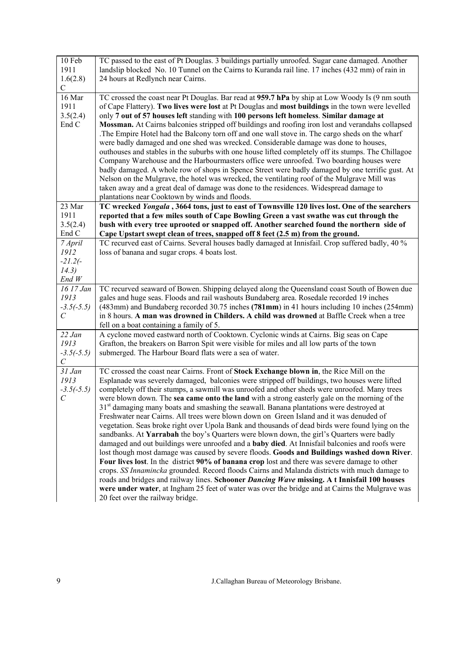| 10 Feb<br>1911              | TC passed to the east of Pt Douglas. 3 buildings partially unroofed. Sugar cane damaged. Another<br>landslip blocked No. 10 Tunnel on the Cairns to Kuranda rail line. 17 inches (432 mm) of rain in |
|-----------------------------|------------------------------------------------------------------------------------------------------------------------------------------------------------------------------------------------------|
| 1.6(2.8)                    | 24 hours at Redlynch near Cairns.                                                                                                                                                                    |
| $\mathsf{C}$                |                                                                                                                                                                                                      |
| 16 Mar                      | TC crossed the coast near Pt Douglas. Bar read at 959.7 hPa by ship at Low Woody Is (9 nm south                                                                                                      |
| 1911                        | of Cape Flattery). Two lives were lost at Pt Douglas and most buildings in the town were levelled                                                                                                    |
| 3.5(2.4)                    | only 7 out of 57 houses left standing with 100 persons left homeless. Similar damage at                                                                                                              |
| End C                       | Mossman. At Cairns balconies stripped off buildings and roofing iron lost and verandahs collapsed                                                                                                    |
|                             | The Empire Hotel had the Balcony torn off and one wall stove in. The cargo sheds on the wharf                                                                                                        |
|                             | were badly damaged and one shed was wrecked. Considerable damage was done to houses,                                                                                                                 |
|                             | outhouses and stables in the suburbs with one house lifted completely off its stumps. The Chillagoe                                                                                                  |
|                             | Company Warehouse and the Harbourmasters office were unroofed. Two boarding houses were                                                                                                              |
|                             | badly damaged. A whole row of shops in Spence Street were badly damaged by one terrific gust. At                                                                                                     |
|                             | Nelson on the Mulgrave, the hotel was wrecked, the ventilating roof of the Mulgrave Mill was                                                                                                         |
|                             | taken away and a great deal of damage was done to the residences. Widespread damage to                                                                                                               |
|                             | plantations near Cooktown by winds and floods.                                                                                                                                                       |
| 23 Mar                      | TC wrecked Yongala, 3664 tons, just to east of Townsville 120 lives lost. One of the searchers                                                                                                       |
| 1911                        | reported that a few miles south of Cape Bowling Green a vast swathe was cut through the                                                                                                              |
| 3.5(2.4)                    | bush with every tree uprooted or snapped off. Another searched found the northern side of                                                                                                            |
| End C                       | Cape Upstart swept clean of trees, snapped off 8 feet (2.5 m) from the ground.                                                                                                                       |
| 7 April<br>1912             | TC recurved east of Cairns. Several houses badly damaged at Innisfail. Crop suffered badly, 40 %                                                                                                     |
| $-21.2(-)$                  | loss of banana and sugar crops. 4 boats lost.                                                                                                                                                        |
| 14.3)                       |                                                                                                                                                                                                      |
| End W                       |                                                                                                                                                                                                      |
| 16 17 Jan                   | TC recurved seaward of Bowen. Shipping delayed along the Queensland coast South of Bowen due                                                                                                         |
| 1913                        | gales and huge seas. Floods and rail washouts Bundaberg area. Rosedale recorded 19 inches                                                                                                            |
| $-3.5(-5.5)$                | (483mm) and Bundaberg recorded 30.75 inches (781mm) in 41 hours including 10 inches (254mm)                                                                                                          |
| $\mathcal{C}_{\mathcal{C}}$ | in 8 hours. A man was drowned in Childers. A child was drowned at Baffle Creek when a tree                                                                                                           |
|                             | fell on a boat containing a family of 5.                                                                                                                                                             |
| 22 Jan                      | A cyclone moved eastward north of Cooktown. Cyclonic winds at Cairns. Big seas on Cape                                                                                                               |
| 1913                        | Grafton, the breakers on Barron Spit were visible for miles and all low parts of the town                                                                                                            |
| $-3.5(-5.5)$                | submerged. The Harbour Board flats were a sea of water.                                                                                                                                              |
| $\mathcal{C}_{\mathcal{C}}$ |                                                                                                                                                                                                      |
| 31 Jan                      | TC crossed the coast near Cairns. Front of Stock Exchange blown in, the Rice Mill on the                                                                                                             |
| 1913                        | Esplanade was severely damaged, balconies were stripped off buildings, two houses were lifted                                                                                                        |
| $-3.5(-5.5)$                | completely off their stumps, a sawmill was unroofed and other sheds were unroofed. Many trees                                                                                                        |
| $\mathcal{C}_{\mathcal{C}}$ | were blown down. The sea came onto the land with a strong easterly gale on the morning of the                                                                                                        |
|                             | 31 <sup>st</sup> damaging many boats and smashing the seawall. Banana plantations were destroyed at                                                                                                  |
|                             | Freshwater near Cairns. All trees were blown down on Green Island and it was denuded of                                                                                                              |
|                             |                                                                                                                                                                                                      |
|                             | vegetation. Seas broke right over Upola Bank and thousands of dead birds were found lying on the                                                                                                     |
|                             | sandbanks. At Yarrabah the boy's Quarters were blown down, the girl's Quarters were badly                                                                                                            |
|                             | damaged and out buildings were unroofed and a <b>baby died</b> . At Innisfail balconies and roofs were                                                                                               |
|                             | lost though most damage was caused by severe floods. Goods and Buildings washed down River.                                                                                                          |
|                             | Four lives lost. In the district 90% of banana crop lost and there was severe damage to other                                                                                                        |
|                             | crops. SS Innamincka grounded. Record floods Cairns and Malanda districts with much damage to                                                                                                        |
|                             | roads and bridges and railway lines. Schooner Dancing Wave missing. A t Innisfail 100 houses                                                                                                         |
|                             | were under water, at Ingham 25 feet of water was over the bridge and at Cairns the Mulgrave was<br>20 feet over the railway bridge.                                                                  |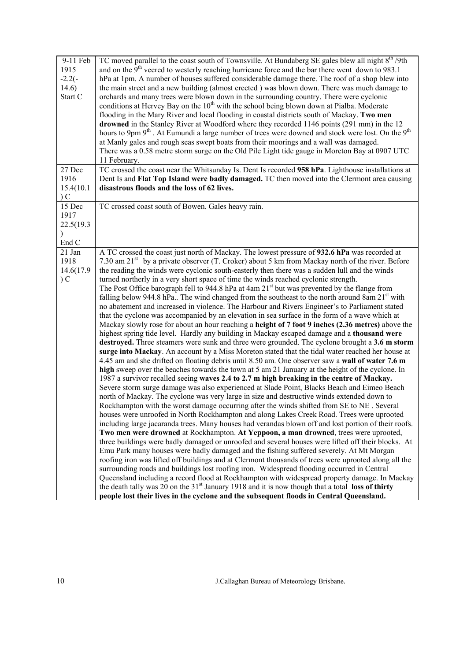| 9-11 Feb<br>1915 | TC moved parallel to the coast south of Townsville. At Bundaberg SE gales blew all night 8 <sup>th</sup> /9th<br>and on the $9th$ veered to westerly reaching hurricane force and the bar there went down to 983.1 |
|------------------|--------------------------------------------------------------------------------------------------------------------------------------------------------------------------------------------------------------------|
| $-2.2(-)$        | hPa at 1pm. A number of houses suffered considerable damage there. The roof of a shop blew into                                                                                                                    |
| 14.6)            | the main street and a new building (almost erected) was blown down. There was much damage to                                                                                                                       |
| Start C          | orchards and many trees were blown down in the surrounding country. There were cyclonic                                                                                                                            |
|                  | conditions at Hervey Bay on the 10 <sup>th</sup> with the school being blown down at Pialba. Moderate                                                                                                              |
|                  | flooding in the Mary River and local flooding in coastal districts south of Mackay. Two men                                                                                                                        |
|                  | drowned in the Stanley River at Woodford where they recorded 1146 points (291 mm) in the 12                                                                                                                        |
|                  | hours to 9pm 9 <sup>th</sup> . At Eumundi a large number of trees were downed and stock were lost. On the 9 <sup>th</sup>                                                                                          |
|                  | at Manly gales and rough seas swept boats from their moorings and a wall was damaged.                                                                                                                              |
|                  | There was a 0.58 metre storm surge on the Old Pile Light tide gauge in Moreton Bay at 0907 UTC                                                                                                                     |
|                  | 11 February.                                                                                                                                                                                                       |
| 27 Dec           | TC crossed the coast near the Whitsunday Is. Dent Is recorded 958 hPa. Lighthouse installations at                                                                                                                 |
| 1916             | Dent Is and Flat Top Island were badly damaged. TC then moved into the Clermont area causing                                                                                                                       |
| 15.4(10.1)       | disastrous floods and the loss of 62 lives.                                                                                                                                                                        |
| C                |                                                                                                                                                                                                                    |
| 15 Dec           | TC crossed coast south of Bowen. Gales heavy rain.                                                                                                                                                                 |
| 1917             |                                                                                                                                                                                                                    |
| 22.5(19.3        |                                                                                                                                                                                                                    |
|                  |                                                                                                                                                                                                                    |
| End C            |                                                                                                                                                                                                                    |
| 21 Jan           | A TC crossed the coast just north of Mackay. The lowest pressure of 932.6 hPa was recorded at                                                                                                                      |
| 1918             | 7.30 am $21st$ by a private observer (T. Croker) about 5 km from Mackay north of the river. Before                                                                                                                 |
| 14.6(17.9        | the reading the winds were cyclonic south-easterly then there was a sudden lull and the winds                                                                                                                      |
| C                | turned northerly in a very short space of time the winds reached cyclonic strength.                                                                                                                                |
|                  | The Post Office barograph fell to 944.8 hPa at 4am $21st$ but was prevented by the flange from                                                                                                                     |
|                  | falling below 944.8 hPa The wind changed from the southeast to the north around 8am $21st$ with                                                                                                                    |
|                  | no abatement and increased in violence. The Harbour and Rivers Engineer's to Parliament stated                                                                                                                     |
|                  | that the cyclone was accompanied by an elevation in sea surface in the form of a wave which at                                                                                                                     |
|                  | Mackay slowly rose for about an hour reaching a height of 7 foot 9 inches (2.36 metres) above the                                                                                                                  |
|                  | highest spring tide level. Hardly any building in Mackay escaped damage and a thousand were                                                                                                                        |
|                  | destroyed. Three steamers were sunk and three were grounded. The cyclone brought a 3.6 m storm<br>surge into Mackay. An account by a Miss Moreton stated that the tidal water reached her house at                 |
|                  | 4.45 am and she drifted on floating debris until 8.50 am. One observer saw a wall of water 7.6 m                                                                                                                   |
|                  | high sweep over the beaches towards the town at 5 am 21 January at the height of the cyclone. In                                                                                                                   |
|                  | 1987 a survivor recalled seeing waves 2.4 to 2.7 m high breaking in the centre of Mackay.                                                                                                                          |
|                  | Severe storm surge damage was also experienced at Slade Point, Blacks Beach and Eimeo Beach                                                                                                                        |
|                  | north of Mackay. The cyclone was very large in size and destructive winds extended down to                                                                                                                         |
|                  | Rockhampton with the worst damage occurring after the winds shifted from SE to NE. Several                                                                                                                         |
|                  | houses were unroofed in North Rockhampton and along Lakes Creek Road. Trees were uprooted                                                                                                                          |
|                  | including large jacaranda trees. Many houses had verandas blown off and lost portion of their roofs.                                                                                                               |
|                  | Two men were drowned at Rockhampton. At Yeppoon, a man drowned, trees were uprooted,                                                                                                                               |
|                  | three buildings were badly damaged or unroofed and several houses were lifted off their blocks. At                                                                                                                 |
|                  | Emu Park many houses were badly damaged and the fishing suffered severely. At Mt Morgan                                                                                                                            |
|                  | roofing iron was lifted off buildings and at Clermont thousands of trees were uprooted along all the                                                                                                               |
|                  | surrounding roads and buildings lost roofing iron. Widespread flooding occurred in Central                                                                                                                         |
|                  | Queensland including a record flood at Rockhampton with widespread property damage. In Mackay                                                                                                                      |
|                  | the death tally was 20 on the $31st$ January 1918 and it is now though that a total loss of thirty                                                                                                                 |
|                  | people lost their lives in the cyclone and the subsequent floods in Central Queensland.                                                                                                                            |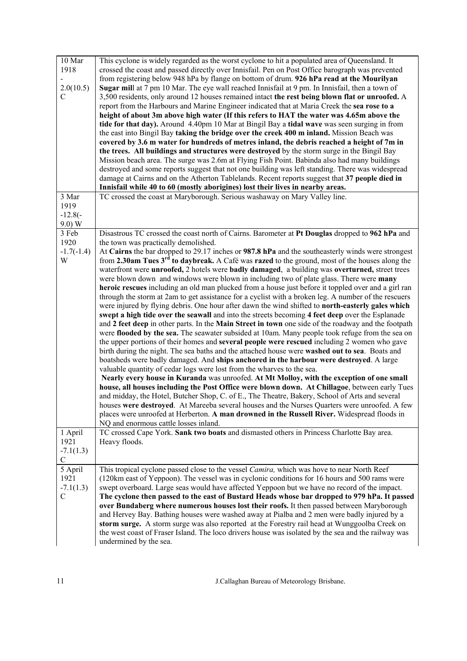| 10 Mar<br>1918<br>2.0(10.5)<br>C                | This cyclone is widely regarded as the worst cyclone to hit a populated area of Queensland. It<br>crossed the coast and passed directly over Innisfail. Pen on Post Office barograph was prevented<br>from registering below 948 hPa by flange on bottom of drum. 926 hPa read at the Mourilyan<br>Sugar mill at 7 pm 10 Mar. The eye wall reached Innisfail at 9 pm. In Innisfail, then a town of<br>3,500 residents, only around 12 houses remained intact the rest being blown flat or unroofed. A<br>report from the Harbours and Marine Engineer indicated that at Maria Creek the sea rose to a<br>height of about 3m above high water (If this refers to HAT the water was 4.65m above the<br>tide for that day). Around 4.40pm 10 Mar at Bingil Bay a tidal wave was seen surging in from<br>the east into Bingil Bay taking the bridge over the creek 400 m inland. Mission Beach was<br>covered by 3.6 m water for hundreds of metres inland, the debris reached a height of 7m in<br>the trees. All buildings and structures were destroyed by the storm surge in the Bingil Bay<br>Mission beach area. The surge was 2.6m at Flying Fish Point. Babinda also had many buildings<br>destroyed and some reports suggest that not one building was left standing. There was widespread<br>damage at Cairns and on the Atherton Tablelands. Recent reports suggest that 37 people died in<br>Innisfail while 40 to 60 (mostly aborigines) lost their lives in nearby areas.                                                                                                                                                                                                                                                                                                                                                                                                                                                                                                                                                                                                                                    |
|-------------------------------------------------|------------------------------------------------------------------------------------------------------------------------------------------------------------------------------------------------------------------------------------------------------------------------------------------------------------------------------------------------------------------------------------------------------------------------------------------------------------------------------------------------------------------------------------------------------------------------------------------------------------------------------------------------------------------------------------------------------------------------------------------------------------------------------------------------------------------------------------------------------------------------------------------------------------------------------------------------------------------------------------------------------------------------------------------------------------------------------------------------------------------------------------------------------------------------------------------------------------------------------------------------------------------------------------------------------------------------------------------------------------------------------------------------------------------------------------------------------------------------------------------------------------------------------------------------------------------------------------------------------------------------------------------------------------------------------------------------------------------------------------------------------------------------------------------------------------------------------------------------------------------------------------------------------------------------------------------------------------------------------------------------------------------------------------------------------------------------------------------------------------------------|
| 3 Mar<br>1919<br>$-12.8(-)$<br>9.0) W           | TC crossed the coast at Maryborough. Serious washaway on Mary Valley line.                                                                                                                                                                                                                                                                                                                                                                                                                                                                                                                                                                                                                                                                                                                                                                                                                                                                                                                                                                                                                                                                                                                                                                                                                                                                                                                                                                                                                                                                                                                                                                                                                                                                                                                                                                                                                                                                                                                                                                                                                                             |
| 3 Feb<br>1920<br>$-1.7(-1.4)$<br>W              | Disastrous TC crossed the coast north of Cairns. Barometer at Pt Douglas dropped to 962 hPa and<br>the town was practically demolished.<br>At Cairns the bar dropped to 29.17 inches or 987.8 hPa and the southeasterly winds were strongest<br>from 2.30am Tues 3 <sup>rd</sup> to daybreak. A Café was razed to the ground, most of the houses along the<br>waterfront were unroofed, 2 hotels were badly damaged, a building was overturned, street trees<br>were blown down and windows were blown in including two of plate glass. There were <b>many</b><br>heroic rescues including an old man plucked from a house just before it toppled over and a girl ran<br>through the storm at 2am to get assistance for a cyclist with a broken leg. A number of the rescuers<br>were injured by flying debris. One hour after dawn the wind shifted to north-easterly gales which<br>swept a high tide over the seawall and into the streets becoming 4 feet deep over the Esplanade<br>and 2 feet deep in other parts. In the Main Street in town one side of the roadway and the footpath<br>were flooded by the sea. The seawater subsided at 10am. Many people took refuge from the sea on<br>the upper portions of their homes and <b>several people were rescued</b> including 2 women who gave<br>birth during the night. The sea baths and the attached house were washed out to sea. Boats and<br>boatsheds were badly damaged. And ships anchored in the harbour were destroyed. A large<br>valuable quantity of cedar logs were lost from the wharves to the sea.<br>Nearly every house in Kuranda was unroofed. At Mt Molloy, with the exception of one small<br>house, all houses including the Post Office were blown down. At Chillagoe, between early Tues<br>and midday, the Hotel, Butcher Shop, C. of E., The Theatre, Bakery, School of Arts and several<br>houses were destroyed. At Mareeba several houses and the Nurses Quarters were unroofed. A few<br>places were unroofed at Herberton. A man drowned in the Russell River. Widespread floods in<br>NQ and enormous cattle losses inland. |
| 1 April<br>1921<br>$-7.1(1.3)$<br>$\mathbf C$   | TC crossed Cape York. Sank two boats and dismasted others in Princess Charlotte Bay area.<br>Heavy floods.                                                                                                                                                                                                                                                                                                                                                                                                                                                                                                                                                                                                                                                                                                                                                                                                                                                                                                                                                                                                                                                                                                                                                                                                                                                                                                                                                                                                                                                                                                                                                                                                                                                                                                                                                                                                                                                                                                                                                                                                             |
| 5 April<br>1921<br>$-7.1(1.3)$<br>$\mathcal{C}$ | This tropical cyclone passed close to the vessel Camira, which was hove to near North Reef<br>(120km east of Yeppoon). The vessel was in cyclonic conditions for 16 hours and 500 rams were<br>swept overboard. Large seas would have affected Yeppoon but we have no record of the impact.<br>The cyclone then passed to the east of Bustard Heads whose bar dropped to 979 hPa. It passed<br>over Bundaberg where numerous houses lost their roofs. It then passed between Maryborough<br>and Hervey Bay. Bathing houses were washed away at Pialba and 2 men were badly injured by a<br>storm surge. A storm surge was also reported at the Forestry rail head at Wunggoolba Creek on<br>the west coast of Fraser Island. The loco drivers house was isolated by the sea and the railway was<br>undermined by the sea.                                                                                                                                                                                                                                                                                                                                                                                                                                                                                                                                                                                                                                                                                                                                                                                                                                                                                                                                                                                                                                                                                                                                                                                                                                                                                              |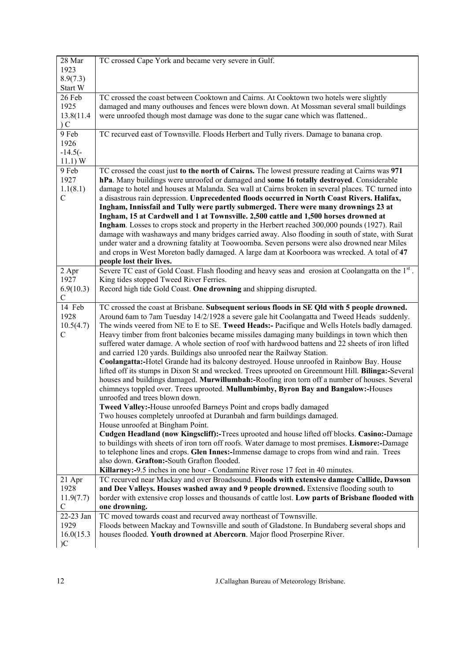| 28 Mar                       | TC crossed Cape York and became very severe in Gulf.                                                                                                                                         |
|------------------------------|----------------------------------------------------------------------------------------------------------------------------------------------------------------------------------------------|
| 1923                         |                                                                                                                                                                                              |
| 8.9(7.3)                     |                                                                                                                                                                                              |
| Start W                      |                                                                                                                                                                                              |
| 26 Feb                       | TC crossed the coast between Cooktown and Cairns. At Cooktown two hotels were slightly                                                                                                       |
| 1925                         | damaged and many outhouses and fences were blown down. At Mossman several small buildings                                                                                                    |
| 13.8(11.4)<br>C              | were unroofed though most damage was done to the sugar cane which was flattened                                                                                                              |
| 9 Feb                        | TC recurved east of Townsville. Floods Herbert and Tully rivers. Damage to banana crop.                                                                                                      |
| 1926                         |                                                                                                                                                                                              |
| $-14.5(-)$                   |                                                                                                                                                                                              |
| 11.1) W                      |                                                                                                                                                                                              |
| 9 Feb                        | TC crossed the coast just to the north of Cairns. The lowest pressure reading at Cairns was 971                                                                                              |
| 1927                         | hPa. Many buildings were unroofed or damaged and some 16 totally destroyed. Considerable                                                                                                     |
| 1.1(8.1)                     | damage to hotel and houses at Malanda. Sea wall at Cairns broken in several places. TC turned into                                                                                           |
| $\mathcal{C}$                | a disastrous rain depression. Unprecedented floods occurred in North Coast Rivers. Halifax,                                                                                                  |
|                              | Ingham, Innissfail and Tully were partly submerged. There were many drownings 23 at                                                                                                          |
|                              | Ingham, 15 at Cardwell and 1 at Townsville. 2,500 cattle and 1,500 horses drowned at                                                                                                         |
|                              | Ingham. Losses to crops stock and property in the Herbert reached 300,000 pounds (1927). Rail                                                                                                |
|                              | damage with washaways and many bridges carried away. Also flooding in south of state, with Surat                                                                                             |
|                              | under water and a drowning fatality at Toowoomba. Seven persons were also drowned near Miles<br>and crops in West Moreton badly damaged. A large dam at Koorboora was wrecked. A total of 47 |
|                              | people lost their lives.                                                                                                                                                                     |
| 2 Apr                        | Severe TC east of Gold Coast. Flash flooding and heavy seas and erosion at Coolangatta on the 1 <sup>st</sup> .                                                                              |
| 1927                         | King tides stopped Tweed River Ferries.                                                                                                                                                      |
| 6.9(10.3)                    | Record high tide Gold Coast. One drowning and shipping disrupted.                                                                                                                            |
| C                            |                                                                                                                                                                                              |
|                              |                                                                                                                                                                                              |
| 14 Feb                       | TC crossed the coast at Brisbane. Subsequent serious floods in SE Qld with 5 people drowned.                                                                                                 |
| 1928                         | Around 6am to 7am Tuesday 14/2/1928 a severe gale hit Coolangatta and Tweed Heads suddenly.                                                                                                  |
| 10.5(4.7)                    | The winds veered from NE to E to SE. Tweed Heads:- Pacifique and Wells Hotels badly damaged.                                                                                                 |
| $\mathcal{C}$                | Heavy timber from front balconies became missiles damaging many buildings in town which then                                                                                                 |
|                              | suffered water damage. A whole section of roof with hardwood battens and 22 sheets of iron lifted                                                                                            |
|                              | and carried 120 yards. Buildings also unroofed near the Railway Station.                                                                                                                     |
|                              | Coolangatta:-Hotel Grande had its balcony destroyed. House unroofed in Rainbow Bay. House                                                                                                    |
|                              | lifted off its stumps in Dixon St and wrecked. Trees uprooted on Greenmount Hill. Bilinga:-Several                                                                                           |
|                              | houses and buildings damaged. Murwillumbah:-Roofing iron torn off a number of houses. Several                                                                                                |
|                              | chimneys toppled over. Trees uprooted. Mullumbimby, Byron Bay and Bangalow:-Houses<br>unroofed and trees blown down.                                                                         |
|                              | Tweed Valley:-House unroofed Barneys Point and crops badly damaged                                                                                                                           |
|                              | Two houses completely unroofed at Duranbah and farm buildings damaged.                                                                                                                       |
|                              | House unroofed at Bingham Point.                                                                                                                                                             |
|                              | Cudgen Headland (now Kingscliff):-Trees uprooted and house lifted off blocks. Casino:-Damage                                                                                                 |
|                              | to buildings with sheets of iron torn off roofs. Water damage to most premises. Lismore:-Damage                                                                                              |
|                              | to telephone lines and crops. Glen Innes:-Immense damage to crops from wind and rain. Trees                                                                                                  |
|                              | also down. Grafton:-South Grafton flooded.                                                                                                                                                   |
|                              | Killarney:-9.5 inches in one hour - Condamine River rose 17 feet in 40 minutes.                                                                                                              |
| 21 Apr<br>1928               | TC recurved near Mackay and over Broadsound. Floods with extensive damage Callide, Dawson                                                                                                    |
| 11.9(7.7)                    | and Dee Valleys. Houses washed away and 9 people drowned. Extensive flooding south to<br>border with extensive crop losses and thousands of cattle lost. Low parts of Brisbane flooded with  |
| $\mathcal{C}$                | one drowning.                                                                                                                                                                                |
| 22-23 Jan                    | TC moved towards coast and recurved away northeast of Townsville.                                                                                                                            |
| 1929                         | Floods between Mackay and Townsville and south of Gladstone. In Bundaberg several shops and                                                                                                  |
| 16.0(15.3)<br>$\overline{C}$ | houses flooded. Youth drowned at Abercorn. Major flood Proserpine River.                                                                                                                     |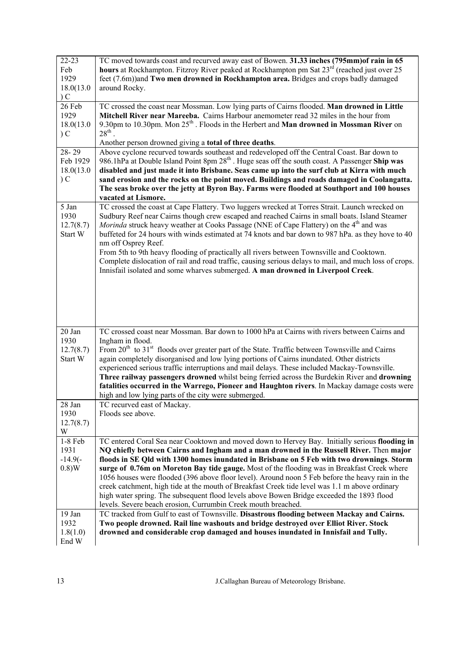| $22 - 23$<br>Feb<br>1929<br>18.0(13.0)<br>C | TC moved towards coast and recurved away east of Bowen. 31.33 inches (795mm) of rain in 65<br>hours at Rockhampton. Fitzroy River peaked at Rockhampton pm Sat 23 <sup>rd</sup> (reached just over 25<br>feet (7.6m)) and Two men drowned in Rockhampton area. Bridges and crops badly damaged<br>around Rocky.                                                                                                                                                                                                                                                                                                                                                                                                                                           |
|---------------------------------------------|-----------------------------------------------------------------------------------------------------------------------------------------------------------------------------------------------------------------------------------------------------------------------------------------------------------------------------------------------------------------------------------------------------------------------------------------------------------------------------------------------------------------------------------------------------------------------------------------------------------------------------------------------------------------------------------------------------------------------------------------------------------|
| 26 Feb<br>1929<br>18.0(13.0)<br>C           | TC crossed the coast near Mossman. Low lying parts of Cairns flooded. Man drowned in Little<br>Mitchell River near Mareeba. Cairns Harbour anemometer read 32 miles in the hour from<br>9.30pm to 10.30pm. Mon $25^{th}$ . Floods in the Herbert and <b>Man drowned in Mossman River</b> on<br>$28^{\text{th}}$<br>Another person drowned giving a total of three deaths.                                                                                                                                                                                                                                                                                                                                                                                 |
| $28 - 29$<br>Feb 1929<br>18.0(13.0)<br>C    | Above cyclone recurved towards southeast and redeveloped off the Central Coast. Bar down to<br>986.1hPa at Double Island Point 8pm 28 <sup>th</sup> . Huge seas off the south coast. A Passenger Ship was<br>disabled and just made it into Brisbane. Seas came up into the surf club at Kirra with much<br>sand erosion and the rocks on the point moved. Buildings and roads damaged in Coolangatta.<br>The seas broke over the jetty at Byron Bay. Farms were flooded at Southport and 100 houses<br>vacated at Lismore.                                                                                                                                                                                                                               |
| 5 Jan<br>1930<br>12.7(8.7)<br>Start W       | TC crossed the coast at Cape Flattery. Two luggers wrecked at Torres Strait. Launch wrecked on<br>Sudbury Reef near Cairns though crew escaped and reached Cairns in small boats. Island Steamer<br>Morinda struck heavy weather at Cooks Passage (NNE of Cape Flattery) on the 4 <sup>th</sup> and was<br>buffeted for 24 hours with winds estimated at 74 knots and bar down to 987 hPa. as they hove to 40<br>nm off Osprey Reef.<br>From 5th to 9th heavy flooding of practically all rivers between Townsville and Cooktown.<br>Complete dislocation of rail and road traffic, causing serious delays to mail, and much loss of crops.<br>Innisfail isolated and some wharves submerged. A man drowned in Liverpool Creek.                           |
| 20 Jan<br>1930<br>12.7(8.7)<br>Start W      | TC crossed coast near Mossman. Bar down to 1000 hPa at Cairns with rivers between Cairns and<br>Ingham in flood.<br>From 20 <sup>th</sup> to 31 <sup>st</sup> floods over greater part of the State. Traffic between Townsville and Cairns<br>again completely disorganised and low lying portions of Cairns inundated. Other districts<br>experienced serious traffic interruptions and mail delays. These included Mackay-Townsville.<br>Three railway passengers drowned whilst being ferried across the Burdekin River and drowning<br>fatalities occurred in the Warrego, Pioneer and Haughton rivers. In Mackay damage costs were<br>high and low lying parts of the city were submerged.                                                           |
| 28 Jan<br>1930<br>12.7(8.7)<br>W            | TC recurved east of Mackay.<br>Floods see above.                                                                                                                                                                                                                                                                                                                                                                                                                                                                                                                                                                                                                                                                                                          |
| 1-8 Feb<br>1931<br>$-14.9(-)$<br>0.8)W      | TC entered Coral Sea near Cooktown and moved down to Hervey Bay. Initially serious flooding in<br>NQ chiefly between Cairns and Ingham and a man drowned in the Russell River. Then major<br>floods in SE Qld with 1300 homes inundated in Brisbane on 5 Feb with two drownings. Storm<br>surge of 0.76m on Moreton Bay tide gauge. Most of the flooding was in Breakfast Creek where<br>1056 houses were flooded (396 above floor level). Around noon 5 Feb before the heavy rain in the<br>creek catchment, high tide at the mouth of Breakfast Creek tide level was 1.1 m above ordinary<br>high water spring. The subsequent flood levels above Bowen Bridge exceeded the 1893 flood<br>levels. Severe beach erosion, Currumbin Creek mouth breached. |
| 19 Jan<br>1932<br>1.8(1.0)<br>End W         | TC tracked from Gulf to east of Townsville. Disastrous flooding between Mackay and Cairns.<br>Two people drowned. Rail line washouts and bridge destroyed over Elliot River. Stock<br>drowned and considerable crop damaged and houses inundated in Innisfail and Tully.                                                                                                                                                                                                                                                                                                                                                                                                                                                                                  |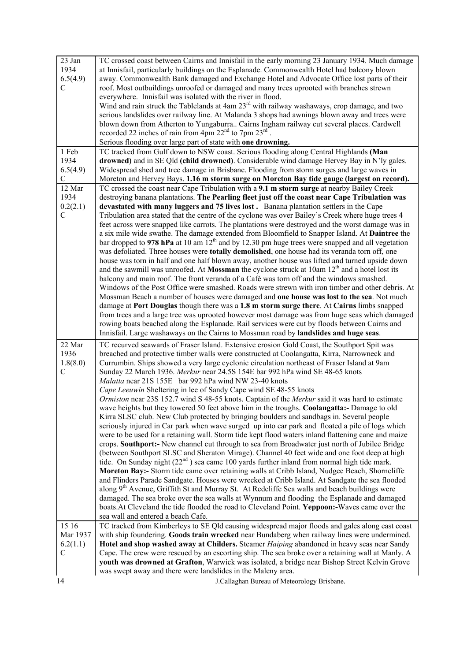| 23 Jan<br>1934<br>6.5(4.9)<br>$\mathcal{C}$ | TC crossed coast between Cairns and Innisfail in the early morning 23 January 1934. Much damage<br>at Innisfail, particularly buildings on the Esplanade. Commonwealth Hotel had balcony blown<br>away. Commonwealth Bank damaged and Exchange Hotel and Advocate Office lost parts of their<br>roof. Most outbuildings unroofed or damaged and many trees uprooted with branches strewn<br>everywhere. Innisfail was isolated with the river in flood.<br>Wind and rain struck the Tablelands at 4am 23 <sup>rd</sup> with railway washaways, crop damage, and two<br>serious landslides over railway line. At Malanda 3 shops had awnings blown away and trees were<br>blown down from Atherton to Yungaburra Cairns Ingham railway cut several places. Cardwell<br>recorded 22 inches of rain from 4pm $22nd$ to 7pm $23rd$ .                                                                                                                                                                                                                                                                                                                                                                                                                                                                                                                                                                                                                                                                                                                                                                                                                                                                                                                                                                                                                                      |
|---------------------------------------------|-----------------------------------------------------------------------------------------------------------------------------------------------------------------------------------------------------------------------------------------------------------------------------------------------------------------------------------------------------------------------------------------------------------------------------------------------------------------------------------------------------------------------------------------------------------------------------------------------------------------------------------------------------------------------------------------------------------------------------------------------------------------------------------------------------------------------------------------------------------------------------------------------------------------------------------------------------------------------------------------------------------------------------------------------------------------------------------------------------------------------------------------------------------------------------------------------------------------------------------------------------------------------------------------------------------------------------------------------------------------------------------------------------------------------------------------------------------------------------------------------------------------------------------------------------------------------------------------------------------------------------------------------------------------------------------------------------------------------------------------------------------------------------------------------------------------------------------------------------------------------|
|                                             | Serious flooding over large part of state with one drowning.                                                                                                                                                                                                                                                                                                                                                                                                                                                                                                                                                                                                                                                                                                                                                                                                                                                                                                                                                                                                                                                                                                                                                                                                                                                                                                                                                                                                                                                                                                                                                                                                                                                                                                                                                                                                          |
| 1 Feb<br>1934<br>6.5(4.9)<br>C              | TC tracked from Gulf down to NSW coast. Serious flooding along Central Highlands (Man<br>drowned) and in SE Qld (child drowned). Considerable wind damage Hervey Bay in N'ly gales.<br>Widespread shed and tree damage in Brisbane. Flooding from storm surges and large waves in<br>Moreton and Hervey Bays. 1.16 m storm surge on Moreton Bay tide gauge (largest on record).                                                                                                                                                                                                                                                                                                                                                                                                                                                                                                                                                                                                                                                                                                                                                                                                                                                                                                                                                                                                                                                                                                                                                                                                                                                                                                                                                                                                                                                                                       |
| 12 Mar                                      | TC crossed the coast near Cape Tribulation with a 9.1 m storm surge at nearby Bailey Creek                                                                                                                                                                                                                                                                                                                                                                                                                                                                                                                                                                                                                                                                                                                                                                                                                                                                                                                                                                                                                                                                                                                                                                                                                                                                                                                                                                                                                                                                                                                                                                                                                                                                                                                                                                            |
| 1934<br>0.2(2.1)<br>$\mathsf{C}$            | destroying banana plantations. The Pearling fleet just off the coast near Cape Tribulation was<br>devastated with many luggers and 75 lives lost. Banana plantation settlers in the Cape<br>Tribulation area stated that the centre of the cyclone was over Bailey's Creek where huge trees 4<br>feet across were snapped like carrots. The plantations were destroyed and the worst damage was in<br>a six mile wide swathe. The damage extended from Bloomfield to Snapper Island. At Daintree the<br>bar dropped to 978 hPa at 10 am $12th$ and by 12.30 pm huge trees were snapped and all vegetation                                                                                                                                                                                                                                                                                                                                                                                                                                                                                                                                                                                                                                                                                                                                                                                                                                                                                                                                                                                                                                                                                                                                                                                                                                                             |
|                                             | was defoliated. Three houses were totally demolished, one house had its veranda torn off, one<br>house was torn in half and one half blown away, another house was lifted and turned upside down<br>and the sawmill was unroofed. At Mossman the cyclone struck at 10am 12 <sup>th</sup> and a hotel lost its<br>balcony and main roof. The front veranda of a Café was torn off and the windows smashed.<br>Windows of the Post Office were smashed. Roads were strewn with iron timber and other debris. At<br>Mossman Beach a number of houses were damaged and one house was lost to the sea. Not much<br>damage at Port Douglas though there was a 1.8 m storm surge there. At Cairns limbs snapped<br>from trees and a large tree was uprooted however most damage was from huge seas which damaged<br>rowing boats beached along the Esplanade. Rail services were cut by floods between Cairns and<br>Innisfail. Large washaways on the Cairns to Mossman road by landslides and huge seas.                                                                                                                                                                                                                                                                                                                                                                                                                                                                                                                                                                                                                                                                                                                                                                                                                                                                   |
|                                             |                                                                                                                                                                                                                                                                                                                                                                                                                                                                                                                                                                                                                                                                                                                                                                                                                                                                                                                                                                                                                                                                                                                                                                                                                                                                                                                                                                                                                                                                                                                                                                                                                                                                                                                                                                                                                                                                       |
| 22 Mar<br>1936<br>1.8(8.0)<br>$\mathcal{C}$ | TC recurved seawards of Fraser Island. Extensive erosion Gold Coast, the Southport Spit was<br>breached and protective timber walls were constructed at Coolangatta, Kirra, Narrowneck and<br>Currumbin. Ships showed a very large cyclonic circulation northeast of Fraser Island at 9am<br>Sunday 22 March 1936. Merkur near 24.5S 154E bar 992 hPa wind SE 48-65 knots<br>Malatta near 21S 155E bar 992 hPa wind NW 23-40 knots<br>Cape Leeuwin Sheltering in lee of Sandy Cape wind SE 48-55 knots<br>Ormiston near 23S 152.7 wind S 48-55 knots. Captain of the Merkur said it was hard to estimate<br>wave heights but they towered 50 feet above him in the troughs. Coolangatta:- Damage to old<br>Kirra SLSC club. New Club protected by bringing boulders and sandbags in. Several people<br>seriously injured in Car park when wave surged up into car park and floated a pile of logs which<br>were to be used for a retaining wall. Storm tide kept flood waters inland flattening cane and maize<br>crops. Southport:- New channel cut through to sea from Broadwater just north of Jubilee Bridge<br>(between Southport SLSC and Sheraton Mirage). Channel 40 feet wide and one foot deep at high<br>tide. On Sunday night $(22nd)$ sea came 100 yards further inland from normal high tide mark.<br>Moreton Bay:- Storm tide came over retaining walls at Cribb Island, Nudgee Beach, Shorncliffe<br>and Flinders Parade Sandgate. Houses were wrecked at Cribb Island. At Sandgate the sea flooded<br>along 9 <sup>th</sup> Avenue, Griffith St and Murray St. At Redcliffe Sea walls and beach buildings were<br>damaged. The sea broke over the sea walls at Wynnum and flooding the Esplanade and damaged<br>boats. At Cleveland the tide flooded the road to Cleveland Point. Yeppoon:-Waves came over the<br>sea wall and entered a beach Cafe. |
| 15 16<br>Mar 1937<br>6.2(1.1)<br>C          | TC tracked from Kimberleys to SE Qld causing widespread major floods and gales along east coast<br>with ship foundering. Goods train wrecked near Bundaberg when railway lines were undermined.<br>Hotel and shop washed away at Childers. Steamer Haiping abandoned in heavy seas near Sandy<br>Cape. The crew were rescued by an escorting ship. The sea broke over a retaining wall at Manly. A<br>youth was drowned at Grafton, Warwick was isolated, a bridge near Bishop Street Kelvin Grove<br>was swept away and there were landslides in the Maleny area.                                                                                                                                                                                                                                                                                                                                                                                                                                                                                                                                                                                                                                                                                                                                                                                                                                                                                                                                                                                                                                                                                                                                                                                                                                                                                                    |
| 14                                          | J.Callaghan Bureau of Meteorology Brisbane.                                                                                                                                                                                                                                                                                                                                                                                                                                                                                                                                                                                                                                                                                                                                                                                                                                                                                                                                                                                                                                                                                                                                                                                                                                                                                                                                                                                                                                                                                                                                                                                                                                                                                                                                                                                                                           |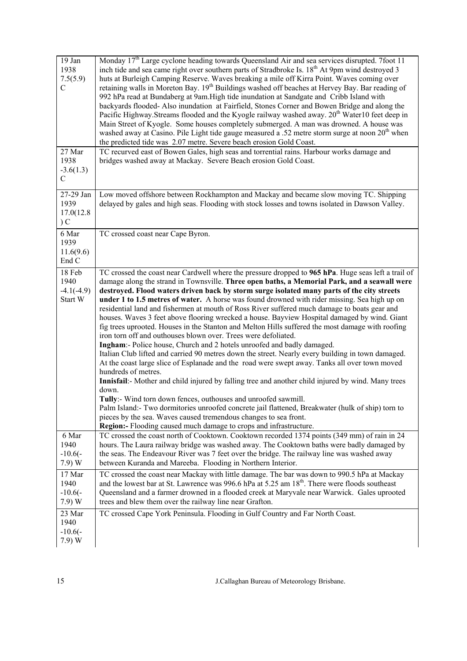| 19 Jan<br>1938<br>7.5(5.9)<br>$\mathcal{C}$<br>27 Mar | Monday 17 <sup>th</sup> Large cyclone heading towards Queensland Air and sea services disrupted. 7foot 11<br>inch tide and sea came right over southern parts of Stradbroke Is. 18 <sup>th</sup> At 9pm wind destroyed 3<br>huts at Burleigh Camping Reserve. Waves breaking a mile off Kirra Point. Waves coming over<br>retaining walls in Moreton Bay. 19 <sup>th</sup> Buildings washed off beaches at Hervey Bay. Bar reading of<br>992 hPa read at Bundaberg at 9am. High tide inundation at Sandgate and Cribb Island with<br>backyards flooded-Also inundation at Fairfield, Stones Corner and Bowen Bridge and along the<br>Pacific Highway.Streams flooded and the Kyogle railway washed away. 20 <sup>th</sup> Water10 feet deep in<br>Main Street of Kyogle. Some houses completely submerged. A man was drowned. A house was<br>washed away at Casino. Pile Light tide gauge measured a .52 metre storm surge at noon 20 <sup>th</sup> when<br>the predicted tide was 2.07 metre. Severe beach erosion Gold Coast.<br>TC recurved east of Bowen Gales, high seas and torrential rains. Harbour works damage and                                                                                                                                                                                                                                                                                                                                                                                           |
|-------------------------------------------------------|------------------------------------------------------------------------------------------------------------------------------------------------------------------------------------------------------------------------------------------------------------------------------------------------------------------------------------------------------------------------------------------------------------------------------------------------------------------------------------------------------------------------------------------------------------------------------------------------------------------------------------------------------------------------------------------------------------------------------------------------------------------------------------------------------------------------------------------------------------------------------------------------------------------------------------------------------------------------------------------------------------------------------------------------------------------------------------------------------------------------------------------------------------------------------------------------------------------------------------------------------------------------------------------------------------------------------------------------------------------------------------------------------------------------------------------------------------------------------------------------------------------------|
| 1938<br>$-3.6(1.3)$<br>$\mathcal{C}$                  | bridges washed away at Mackay. Severe Beach erosion Gold Coast.                                                                                                                                                                                                                                                                                                                                                                                                                                                                                                                                                                                                                                                                                                                                                                                                                                                                                                                                                                                                                                                                                                                                                                                                                                                                                                                                                                                                                                                        |
| 27-29 Jan<br>1939<br>17.0(12.8)<br>C                  | Low moved offshore between Rockhampton and Mackay and became slow moving TC. Shipping<br>delayed by gales and high seas. Flooding with stock losses and towns isolated in Dawson Valley.                                                                                                                                                                                                                                                                                                                                                                                                                                                                                                                                                                                                                                                                                                                                                                                                                                                                                                                                                                                                                                                                                                                                                                                                                                                                                                                               |
| 6 Mar<br>1939<br>11.6(9.6)<br>End C                   | TC crossed coast near Cape Byron.                                                                                                                                                                                                                                                                                                                                                                                                                                                                                                                                                                                                                                                                                                                                                                                                                                                                                                                                                                                                                                                                                                                                                                                                                                                                                                                                                                                                                                                                                      |
| 18 Feb<br>1940<br>$-4.1(-4.9)$<br>Start W             | TC crossed the coast near Cardwell where the pressure dropped to 965 hPa. Huge seas left a trail of<br>damage along the strand in Townsville. Three open baths, a Memorial Park, and a seawall were<br>destroyed. Flood waters driven back by storm surge isolated many parts of the city streets<br>under 1 to 1.5 metres of water. A horse was found drowned with rider missing. Sea high up on<br>residential land and fishermen at mouth of Ross River suffered much damage to boats gear and<br>houses. Waves 3 feet above flooring wrecked a house. Bayview Hospital damaged by wind. Giant<br>fig trees uprooted. Houses in the Stanton and Melton Hills suffered the most damage with roofing<br>iron torn off and outhouses blown over. Trees were defoliated.<br>Ingham:- Police house, Church and 2 hotels unroofed and badly damaged.<br>Italian Club lifted and carried 90 metres down the street. Nearly every building in town damaged.<br>At the coast large slice of Esplanade and the road were swept away. Tanks all over town moved<br>hundreds of metres.<br>Innisfail: - Mother and child injured by falling tree and another child injured by wind. Many trees<br>down.<br>Tully:- Wind torn down fences, outhouses and unroofed sawmill.<br>Palm Island:- Two dormitories unroofed concrete jail flattened, Breakwater (hulk of ship) torn to<br>pieces by the sea. Waves caused tremendous changes to sea front.<br><b>Region:</b> - Flooding caused much damage to crops and infrastructure. |
| 6 Mar<br>1940<br>$-10.6(-)$<br>(7.9) W                | TC crossed the coast north of Cooktown. Cooktown recorded 1374 points (349 mm) of rain in 24<br>hours. The Laura railway bridge was washed away. The Cooktown baths were badly damaged by<br>the seas. The Endeavour River was 7 feet over the bridge. The railway line was washed away<br>between Kuranda and Mareeba. Flooding in Northern Interior.                                                                                                                                                                                                                                                                                                                                                                                                                                                                                                                                                                                                                                                                                                                                                                                                                                                                                                                                                                                                                                                                                                                                                                 |
| 17 Mar<br>1940<br>$-10.6(-)$<br>(7.9) W               | TC crossed the coast near Mackay with little damage. The bar was down to 990.5 hPa at Mackay<br>and the lowest bar at St. Lawrence was 996.6 hPa at 5.25 am 18 <sup>th</sup> . There were floods southeast<br>Queensland and a farmer drowned in a flooded creek at Maryvale near Warwick. Gales uprooted<br>trees and blew them over the railway line near Grafton.                                                                                                                                                                                                                                                                                                                                                                                                                                                                                                                                                                                                                                                                                                                                                                                                                                                                                                                                                                                                                                                                                                                                                   |
| 23 Mar<br>1940<br>$-10.6(-)$<br>7.9) W                | TC crossed Cape York Peninsula. Flooding in Gulf Country and Far North Coast.                                                                                                                                                                                                                                                                                                                                                                                                                                                                                                                                                                                                                                                                                                                                                                                                                                                                                                                                                                                                                                                                                                                                                                                                                                                                                                                                                                                                                                          |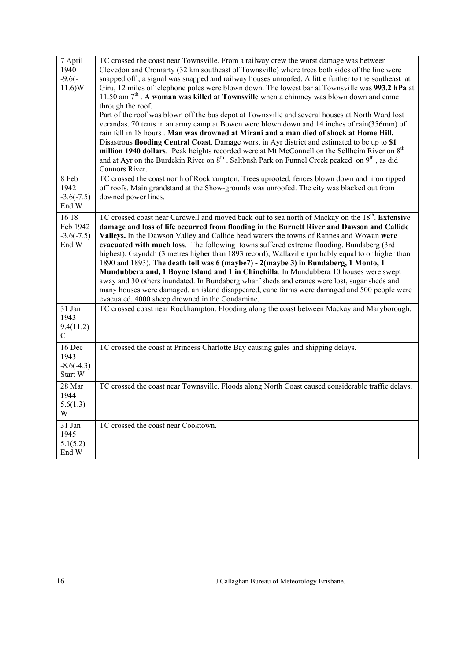| 7 April<br>1940<br>$-9.6(-)$<br>11.6)W     | TC crossed the coast near Townsville. From a railway crew the worst damage was between<br>Clevedon and Cromarty (32 km southeast of Townsville) where trees both sides of the line were<br>snapped off, a signal was snapped and railway houses unroofed. A little further to the southeast at<br>Giru, 12 miles of telephone poles were blown down. The lowest bar at Townsville was 993.2 hPa at<br>11.50 am $7th$ . A woman was killed at Townsville when a chimney was blown down and came<br>through the roof.<br>Part of the roof was blown off the bus depot at Townsville and several houses at North Ward lost<br>verandas. 70 tents in an army camp at Bowen were blown down and 14 inches of rain(356mm) of<br>rain fell in 18 hours. Man was drowned at Mirani and a man died of shock at Home Hill.<br>Disastrous flooding Central Coast. Damage worst in Ayr district and estimated to be up to \$1<br>million 1940 dollars. Peak heights recorded were at Mt McConnell on the Sellheim River on 8 <sup>th</sup><br>and at Ayr on the Burdekin River on 8 <sup>th</sup> . Saltbush Park on Funnel Creek peaked on 9 <sup>th</sup> , as did<br>Connors River. |
|--------------------------------------------|----------------------------------------------------------------------------------------------------------------------------------------------------------------------------------------------------------------------------------------------------------------------------------------------------------------------------------------------------------------------------------------------------------------------------------------------------------------------------------------------------------------------------------------------------------------------------------------------------------------------------------------------------------------------------------------------------------------------------------------------------------------------------------------------------------------------------------------------------------------------------------------------------------------------------------------------------------------------------------------------------------------------------------------------------------------------------------------------------------------------------------------------------------------------------|
| 8 Feb<br>1942<br>$-3.6(-7.5)$<br>End W     | TC crossed the coast north of Rockhampton. Trees uprooted, fences blown down and iron ripped<br>off roofs. Main grandstand at the Show-grounds was unroofed. The city was blacked out from<br>downed power lines.                                                                                                                                                                                                                                                                                                                                                                                                                                                                                                                                                                                                                                                                                                                                                                                                                                                                                                                                                          |
| 16 18<br>Feb 1942<br>$-3.6(-7.5)$<br>End W | TC crossed coast near Cardwell and moved back out to sea north of Mackay on the 18 <sup>th</sup> . Extensive<br>damage and loss of life occurred from flooding in the Burnett River and Dawson and Callide<br>Valleys. In the Dawson Valley and Callide head waters the towns of Rannes and Wowan were<br>evacuated with much loss. The following towns suffered extreme flooding. Bundaberg (3rd<br>highest), Gayndah (3 metres higher than 1893 record), Wallaville (probably equal to or higher than<br>1890 and 1893). The death toll was 6 (maybe7) - 2(maybe 3) in Bundaberg, 1 Monto, 1<br>Mundubbera and, 1 Boyne Island and 1 in Chinchilla. In Mundubbera 10 houses were swept<br>away and 30 others inundated. In Bundaberg wharf sheds and cranes were lost, sugar sheds and<br>many houses were damaged, an island disappeared, cane farms were damaged and 500 people were<br>evacuated. 4000 sheep drowned in the Condamine.                                                                                                                                                                                                                                |
| 31 Jan<br>1943<br>9.4(11.2)<br>C           | TC crossed coast near Rockhampton. Flooding along the coast between Mackay and Maryborough.                                                                                                                                                                                                                                                                                                                                                                                                                                                                                                                                                                                                                                                                                                                                                                                                                                                                                                                                                                                                                                                                                |
| 16 Dec<br>1943<br>$-8.6(-4.3)$<br>Start W  | TC crossed the coast at Princess Charlotte Bay causing gales and shipping delays.                                                                                                                                                                                                                                                                                                                                                                                                                                                                                                                                                                                                                                                                                                                                                                                                                                                                                                                                                                                                                                                                                          |
| 28 Mar<br>1944<br>5.6(1.3)<br>W            | TC crossed the coast near Townsville. Floods along North Coast caused considerable traffic delays.                                                                                                                                                                                                                                                                                                                                                                                                                                                                                                                                                                                                                                                                                                                                                                                                                                                                                                                                                                                                                                                                         |
| 31 Jan<br>1945<br>5.1(5.2)<br>End W        | TC crossed the coast near Cooktown.                                                                                                                                                                                                                                                                                                                                                                                                                                                                                                                                                                                                                                                                                                                                                                                                                                                                                                                                                                                                                                                                                                                                        |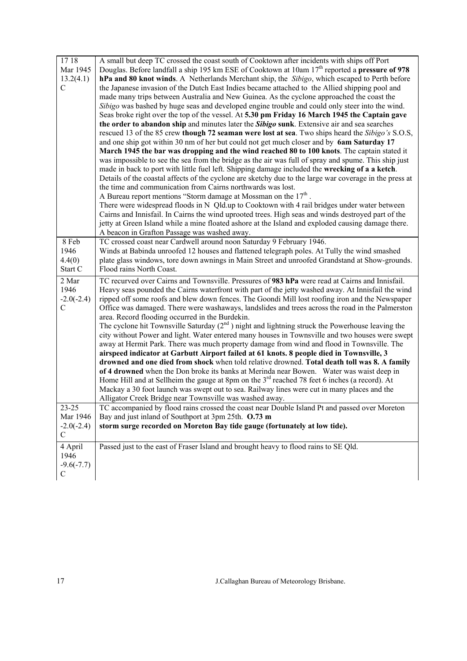| 1718                     | A small but deep TC crossed the coast south of Cooktown after incidents with ships off Port                                                                                                     |
|--------------------------|-------------------------------------------------------------------------------------------------------------------------------------------------------------------------------------------------|
| Mar 1945                 | Douglas. Before landfall a ship 195 km ESE of Cooktown at 10am $17th$ reported a pressure of 978                                                                                                |
| 13.2(4.1)<br>$\mathbf C$ | hPa and 80 knot winds. A Netherlands Merchant ship, the Sibigo, which escaped to Perth before<br>the Japanese invasion of the Dutch East Indies became attached to the Allied shipping pool and |
|                          | made many trips between Australia and New Guinea. As the cyclone approached the coast the                                                                                                       |
|                          | Sibigo was bashed by huge seas and developed engine trouble and could only steer into the wind.                                                                                                 |
|                          | Seas broke right over the top of the vessel. At 5.30 pm Friday 16 March 1945 the Captain gave                                                                                                   |
|                          | the order to abandon ship and minutes later the <i>Sibigo</i> sunk. Extensive air and sea searches                                                                                              |
|                          | rescued 13 of the 85 crew though 72 seaman were lost at sea. Two ships heard the Sibigo's S.O.S,                                                                                                |
|                          | and one ship got within 30 nm of her but could not get much closer and by 6am Saturday 17                                                                                                       |
|                          | March 1945 the bar was dropping and the wind reached 80 to 100 knots. The captain stated it                                                                                                     |
|                          | was impossible to see the sea from the bridge as the air was full of spray and spume. This ship just                                                                                            |
|                          | made in back to port with little fuel left. Shipping damage included the wrecking of a a ketch.                                                                                                 |
|                          | Details of the coastal affects of the cyclone are sketchy due to the large war coverage in the press at                                                                                         |
|                          | the time and communication from Cairns northwards was lost.                                                                                                                                     |
|                          | A Bureau report mentions "Storm damage at Mossman on the $17th$ .<br>There were widespread floods in N Qld.up to Cooktown with 4 rail bridges under water between                               |
|                          | Cairns and Innisfail. In Cairns the wind uprooted trees. High seas and winds destroyed part of the                                                                                              |
|                          | jetty at Green Island while a mine floated ashore at the Island and exploded causing damage there.                                                                                              |
|                          | A beacon in Grafton Passage was washed away.                                                                                                                                                    |
| 8 Feb                    | TC crossed coast near Cardwell around noon Saturday 9 February 1946.                                                                                                                            |
| 1946                     | Winds at Babinda unroofed 12 houses and flattened telegraph poles. At Tully the wind smashed                                                                                                    |
| 4.4(0)                   | plate glass windows, tore down awnings in Main Street and unroofed Grandstand at Show-grounds.                                                                                                  |
| Start C                  | Flood rains North Coast.                                                                                                                                                                        |
| 2 Mar                    | TC recurved over Cairns and Townsville. Pressures of 983 hPa were read at Cairns and Innisfail.                                                                                                 |
| 1946                     | Heavy seas pounded the Cairns waterfront with part of the jetty washed away. At Innisfail the wind                                                                                              |
| $-2.0(-2.4)$             | ripped off some roofs and blew down fences. The Goondi Mill lost roofing iron and the Newspaper                                                                                                 |
|                          |                                                                                                                                                                                                 |
| $\mathcal{C}$            | Office was damaged. There were washaways, landslides and trees across the road in the Palmerston                                                                                                |
|                          | area. Record flooding occurred in the Burdekin.                                                                                                                                                 |
|                          | The cyclone hit Townsville Saturday $(2^{nd})$ night and lightning struck the Powerhouse leaving the                                                                                            |
|                          | city without Power and light. Water entered many houses in Townsville and two houses were swept                                                                                                 |
|                          | away at Hermit Park. There was much property damage from wind and flood in Townsville. The                                                                                                      |
|                          | airspeed indicator at Garbutt Airport failed at 61 knots. 8 people died in Townsville, 3                                                                                                        |
|                          | drowned and one died from shock when told relative drowned. Total death toll was 8. A family<br>of 4 drowned when the Don broke its banks at Merinda near Bowen. Water was waist deep in        |
|                          | Home Hill and at Sellheim the gauge at 8pm on the $3rd$ reached 78 feet 6 inches (a record). At                                                                                                 |
|                          | Mackay a 30 foot launch was swept out to sea. Railway lines were cut in many places and the                                                                                                     |
|                          | Alligator Creek Bridge near Townsville was washed away.                                                                                                                                         |
| $23 - 25$                | TC accompanied by flood rains crossed the coast near Double Island Pt and passed over Moreton                                                                                                   |
| Mar 1946                 | Bay and just inland of Southport at 3pm 25th. O.73 m                                                                                                                                            |
| $-2.0(-2.4)$             | storm surge recorded on Moreton Bay tide gauge (fortunately at low tide).                                                                                                                       |
| $\mathcal{C}$            |                                                                                                                                                                                                 |
| 4 April                  | Passed just to the east of Fraser Island and brought heavy to flood rains to SE Qld.                                                                                                            |
| 1946                     |                                                                                                                                                                                                 |
| $-9.6(-7.7)$<br>C        |                                                                                                                                                                                                 |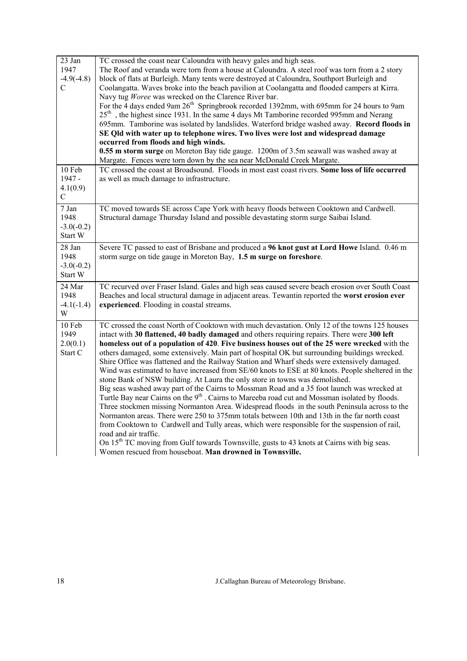| 23 Jan<br>1947<br>$-4.9(-4.8)$<br>C       | TC crossed the coast near Caloundra with heavy gales and high seas.<br>The Roof and veranda were torn from a house at Caloundra. A steel roof was torn from a 2 story<br>block of flats at Burleigh. Many tents were destroyed at Caloundra, Southport Burleigh and<br>Coolangatta. Waves broke into the beach pavilion at Coolangatta and flooded campers at Kirra.<br>Navy tug Woree was wrecked on the Clarence River bar.<br>For the 4 days ended 9am 26 <sup>th</sup> Springbrook recorded 1392mm, with 695mm for 24 hours to 9am<br>$25th$ , the highest since 1931. In the same 4 days Mt Tamborine recorded 995mm and Nerang<br>695mm. Tamborine was isolated by landslides. Waterford bridge washed away. Record floods in<br>SE Qld with water up to telephone wires. Two lives were lost and widespread damage<br>occurred from floods and high winds.<br>0.55 m storm surge on Moreton Bay tide gauge. 1200m of 3.5m seawall was washed away at<br>Margate. Fences were torn down by the sea near McDonald Creek Margate.                                                                                                                                                                                                                                                                                                                                                              |
|-------------------------------------------|----------------------------------------------------------------------------------------------------------------------------------------------------------------------------------------------------------------------------------------------------------------------------------------------------------------------------------------------------------------------------------------------------------------------------------------------------------------------------------------------------------------------------------------------------------------------------------------------------------------------------------------------------------------------------------------------------------------------------------------------------------------------------------------------------------------------------------------------------------------------------------------------------------------------------------------------------------------------------------------------------------------------------------------------------------------------------------------------------------------------------------------------------------------------------------------------------------------------------------------------------------------------------------------------------------------------------------------------------------------------------------------------------|
| 10 Feb<br>1947 -<br>4.1(0.9)<br>C         | TC crossed the coast at Broadsound. Floods in most east coast rivers. Some loss of life occurred<br>as well as much damage to infrastructure.                                                                                                                                                                                                                                                                                                                                                                                                                                                                                                                                                                                                                                                                                                                                                                                                                                                                                                                                                                                                                                                                                                                                                                                                                                                      |
| 7 Jan<br>1948<br>$-3.0(-0.2)$<br>Start W  | TC moved towards SE across Cape York with heavy floods between Cooktown and Cardwell.<br>Structural damage Thursday Island and possible devastating storm surge Saibai Island.                                                                                                                                                                                                                                                                                                                                                                                                                                                                                                                                                                                                                                                                                                                                                                                                                                                                                                                                                                                                                                                                                                                                                                                                                     |
| 28 Jan<br>1948<br>$-3.0(-0.2)$<br>Start W | Severe TC passed to east of Brisbane and produced a 96 knot gust at Lord Howe Island. 0.46 m<br>storm surge on tide gauge in Moreton Bay, 1.5 m surge on foreshore.                                                                                                                                                                                                                                                                                                                                                                                                                                                                                                                                                                                                                                                                                                                                                                                                                                                                                                                                                                                                                                                                                                                                                                                                                                |
| 24 Mar<br>1948<br>$-4.1(-1.4)$<br>W       | TC recurved over Fraser Island. Gales and high seas caused severe beach erosion over South Coast<br>Beaches and local structural damage in adjacent areas. Tewantin reported the worst erosion ever<br>experienced. Flooding in coastal streams.                                                                                                                                                                                                                                                                                                                                                                                                                                                                                                                                                                                                                                                                                                                                                                                                                                                                                                                                                                                                                                                                                                                                                   |
| 10 Feb<br>1949<br>2.0(0.1)<br>Start C     | TC crossed the coast North of Cooktown with much devastation. Only 12 of the towns 125 houses<br>intact with 30 flattened, 40 badly damaged and others requiring repairs. There were 300 left<br>homeless out of a population of 420. Five business houses out of the 25 were wrecked with the<br>others damaged, some extensively. Main part of hospital OK but surrounding buildings wrecked.<br>Shire Office was flattened and the Railway Station and Wharf sheds were extensively damaged.<br>Wind was estimated to have increased from SE/60 knots to ESE at 80 knots. People sheltered in the<br>stone Bank of NSW building. At Laura the only store in towns was demolished.<br>Big seas washed away part of the Cairns to Mossman Road and a 35 foot launch was wrecked at<br>Turtle Bay near Cairns on the 9 <sup>th</sup> . Cairns to Mareeba road cut and Mossman isolated by floods.<br>Three stockmen missing Normanton Area. Widespread floods in the south Peninsula across to the<br>Normanton areas. There were 250 to 375mm totals between 10th and 13th in the far north coast<br>from Cooktown to Cardwell and Tully areas, which were responsible for the suspension of rail,<br>road and air traffic.<br>On 15 <sup>th</sup> TC moving from Gulf towards Townsville, gusts to 43 knots at Cairns with big seas.<br>Women rescued from houseboat. Man drowned in Townsville. |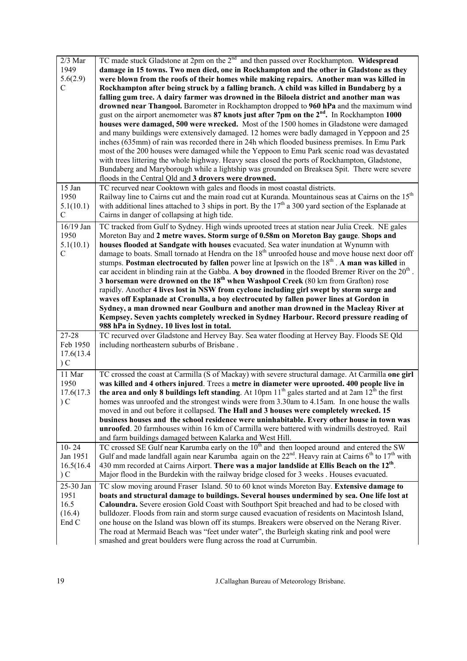| $2/3$ Mar<br>1949<br>5.6(2.9)<br>$\mathcal{C}$  | TC made stuck Gladstone at 2pm on the $2nd$ and then passed over Rockhampton. Widespread<br>damage in 15 towns. Two men died, one in Rockhampton and the other in Gladstone as they<br>were blown from the roofs of their homes while making repairs. Another man was killed in<br>Rockhampton after being struck by a falling branch. A child was killed in Bundaberg by a<br>falling gum tree. A dairy farmer was drowned in the Biloela district and another man was<br>drowned near Thangool. Barometer in Rockhampton dropped to 960 hPa and the maximum wind<br>gust on the airport anemometer was 87 knots just after 7pm on the 2 <sup>nd</sup> . In Rockhampton 1000<br>houses were damaged, 500 were wrecked. Most of the 1500 homes in Gladstone were damaged<br>and many buildings were extensively damaged. 12 homes were badly damaged in Yeppoon and 25<br>inches (635mm) of rain was recorded there in 24h which flooded business premises. In Emu Park<br>most of the 200 houses were damaged while the Yeppoon to Emu Park scenic road was devastated<br>with trees littering the whole highway. Heavy seas closed the ports of Rockhampton, Gladstone,<br>Bundaberg and Maryborough while a lightship was grounded on Breaksea Spit. There were severe<br>floods in the Central Qld and 3 drovers were drowned. |
|-------------------------------------------------|------------------------------------------------------------------------------------------------------------------------------------------------------------------------------------------------------------------------------------------------------------------------------------------------------------------------------------------------------------------------------------------------------------------------------------------------------------------------------------------------------------------------------------------------------------------------------------------------------------------------------------------------------------------------------------------------------------------------------------------------------------------------------------------------------------------------------------------------------------------------------------------------------------------------------------------------------------------------------------------------------------------------------------------------------------------------------------------------------------------------------------------------------------------------------------------------------------------------------------------------------------------------------------------------------------------------------------|
| 15 Jan<br>1950<br>5.1(10.1)<br>$\mathcal{C}$    | TC recurved near Cooktown with gales and floods in most coastal districts.<br>Railway line to Cairns cut and the main road cut at Kuranda. Mountainous seas at Cairns on the 15 <sup>th</sup><br>with additional lines attached to 3 ships in port. By the $17th$ a 300 yard section of the Esplanade at<br>Cairns in danger of collapsing at high tide.                                                                                                                                                                                                                                                                                                                                                                                                                                                                                                                                                                                                                                                                                                                                                                                                                                                                                                                                                                           |
| 16/19 Jan<br>1950<br>5.1(10.1)<br>$\mathcal{C}$ | TC tracked from Gulf to Sydney. High winds uprooted trees at station near Julia Creek. NE gales<br>Moreton Bay and 2 metre waves. Storm surge of 0.58m on Moreton Bay gauge. Shops and<br>houses flooded at Sandgate with houses evacuated. Sea water inundation at Wynumn with<br>damage to boats. Small tornado at Hendra on the 18 <sup>th</sup> unroofed house and move house next door off<br>stumps. Postman electrocuted by fallen power line at Ipswich on the $18th$ . A man was killed in<br>car accident in blinding rain at the Gabba. A boy drowned in the flooded Bremer River on the $20th$ .<br>3 horseman were drowned on the $18th$ when Washpool Creek (80 km from Grafton) rose<br>rapidly. Another 4 lives lost in NSW from cyclone including girl swept by storm surge and<br>waves off Esplanade at Cronulla, a boy electrocuted by fallen power lines at Gordon in<br>Sydney, a man drowned near Goulburn and another man drowned in the Macleay River at<br>Kempsey. Seven yachts completely wrecked in Sydney Harbour. Record pressure reading of<br>988 hPa in Sydney. 10 lives lost in total.                                                                                                                                                                                                          |
| 27-28<br>Feb 1950<br>17.6(13.4)<br>C            | TC recurved over Gladstone and Hervey Bay. Sea water flooding at Hervey Bay. Floods SE Qld<br>including northeastern suburbs of Brisbane.                                                                                                                                                                                                                                                                                                                                                                                                                                                                                                                                                                                                                                                                                                                                                                                                                                                                                                                                                                                                                                                                                                                                                                                          |
| 11 Mar                                          |                                                                                                                                                                                                                                                                                                                                                                                                                                                                                                                                                                                                                                                                                                                                                                                                                                                                                                                                                                                                                                                                                                                                                                                                                                                                                                                                    |
| 1950<br>17.6(17.3<br>C                          | TC crossed the coast at Carmilla (S of Mackay) with severe structural damage. At Carmilla one girl<br>was killed and 4 others injured. Trees a metre in diameter were uprooted. 400 people live in<br>the area and only 8 buildings left standing. At 10pm $11^{th}$ gales started and at 2am $12^{th}$ the first<br>homes was unroofed and the strongest winds were from 3.30am to 4.15am. In one house the walls<br>moved in and out before it collapsed. The Hall and 3 houses were completely wrecked. 15<br>business houses and the school residence were uninhabitable. Every other house in town was<br>unroofed. 20 farmhouses within 16 km of Carmilla were battered with windmills destroyed. Rail                                                                                                                                                                                                                                                                                                                                                                                                                                                                                                                                                                                                                       |
| $10 - 24$<br>Jan 1951<br>16.5(16.4)<br>C        | and farm buildings damaged between Kalarka and West Hill.<br>TC crossed SE Gulf near Karumba early on the 10 <sup>th</sup> and then looped around and entered the SW<br>Gulf and made landfall again near Karumba again on the $22^{nd}$ . Heavy rain at Cairns 6 <sup>th</sup> to 17 <sup>th</sup> with<br>430 mm recorded at Cairns Airport. There was a major landslide at Ellis Beach on the 12 <sup>th</sup> .<br>Major flood in the Burdekin with the railway bridge closed for 3 weeks . Houses evacuated.                                                                                                                                                                                                                                                                                                                                                                                                                                                                                                                                                                                                                                                                                                                                                                                                                  |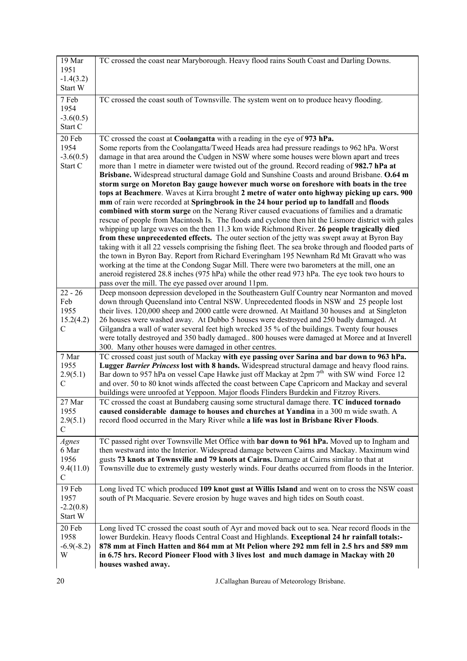| 1951<br>$-1.4(3.2)$<br>Start W                                                                                                                                                                                                                                                                                                                                                                                                                                                                                                                                                                                                                                                                                                                                                                                                                                                                                                                                                                                                                                                                                                                                                                                                                                                                                                                                                                                                                                                                                                                                                      |  |
|-------------------------------------------------------------------------------------------------------------------------------------------------------------------------------------------------------------------------------------------------------------------------------------------------------------------------------------------------------------------------------------------------------------------------------------------------------------------------------------------------------------------------------------------------------------------------------------------------------------------------------------------------------------------------------------------------------------------------------------------------------------------------------------------------------------------------------------------------------------------------------------------------------------------------------------------------------------------------------------------------------------------------------------------------------------------------------------------------------------------------------------------------------------------------------------------------------------------------------------------------------------------------------------------------------------------------------------------------------------------------------------------------------------------------------------------------------------------------------------------------------------------------------------------------------------------------------------|--|
|                                                                                                                                                                                                                                                                                                                                                                                                                                                                                                                                                                                                                                                                                                                                                                                                                                                                                                                                                                                                                                                                                                                                                                                                                                                                                                                                                                                                                                                                                                                                                                                     |  |
|                                                                                                                                                                                                                                                                                                                                                                                                                                                                                                                                                                                                                                                                                                                                                                                                                                                                                                                                                                                                                                                                                                                                                                                                                                                                                                                                                                                                                                                                                                                                                                                     |  |
| 7 Feb<br>TC crossed the coast south of Townsville. The system went on to produce heavy flooding.<br>1954<br>$-3.6(0.5)$<br>Start C                                                                                                                                                                                                                                                                                                                                                                                                                                                                                                                                                                                                                                                                                                                                                                                                                                                                                                                                                                                                                                                                                                                                                                                                                                                                                                                                                                                                                                                  |  |
| 20 Feb<br>TC crossed the coast at Coolangatta with a reading in the eye of 973 hPa.                                                                                                                                                                                                                                                                                                                                                                                                                                                                                                                                                                                                                                                                                                                                                                                                                                                                                                                                                                                                                                                                                                                                                                                                                                                                                                                                                                                                                                                                                                 |  |
| 1954<br>Some reports from the Coolangatta/Tweed Heads area had pressure readings to 962 hPa. Worst<br>damage in that area around the Cudgen in NSW where some houses were blown apart and trees<br>$-3.6(0.5)$<br>Start C<br>more than 1 metre in diameter were twisted out of the ground. Record reading of 982.7 hPa at<br>Brisbane. Widespread structural damage Gold and Sunshine Coasts and around Brisbane. O.64 m<br>storm surge on Moreton Bay gauge however much worse on foreshore with boats in the tree<br>tops at Beachmere. Waves at Kirra brought 2 metre of water onto highway picking up cars. 900<br>mm of rain were recorded at Springbrook in the 24 hour period up to landfall and floods<br>combined with storm surge on the Nerang River caused evacuations of families and a dramatic<br>rescue of people from Macintosh Is. The floods and cyclone then hit the Lismore district with gales<br>whipping up large waves on the then 11.3 km wide Richmond River. 26 people tragically died<br>from these unprecedented effects. The outer section of the jetty was swept away at Byron Bay<br>taking with it all 22 vessels comprising the fishing fleet. The sea broke through and flooded parts of<br>the town in Byron Bay. Report from Richard Everingham 195 Newnham Rd Mt Gravatt who was<br>working at the time at the Condong Sugar Mill. There were two barometers at the mill, one an<br>aneroid registered 28.8 inches (975 hPa) while the other read 973 hPa. The eye took two hours to<br>pass over the mill. The eye passed over around 11pm. |  |
| $22 - 26$<br>Deep monsoon depression developed in the Southeastern Gulf Country near Normanton and moved<br>Feb<br>down through Queensland into Central NSW. Unprecedented floods in NSW and 25 people lost<br>their lives. 120,000 sheep and 2000 cattle were drowned. At Maitland 30 houses and at Singleton<br>1955                                                                                                                                                                                                                                                                                                                                                                                                                                                                                                                                                                                                                                                                                                                                                                                                                                                                                                                                                                                                                                                                                                                                                                                                                                                              |  |
| 15.2(4.2)<br>26 houses were washed away. At Dubbo 5 houses were destroyed and 250 badly damaged. At<br>$\mathcal{C}$<br>Gilgandra a wall of water several feet high wrecked 35 % of the buildings. Twenty four houses<br>were totally destroyed and 350 badly damaged 800 houses were damaged at Moree and at Inverell<br>300. Many other houses were damaged in other centres.                                                                                                                                                                                                                                                                                                                                                                                                                                                                                                                                                                                                                                                                                                                                                                                                                                                                                                                                                                                                                                                                                                                                                                                                     |  |
| TC crossed coast just south of Mackay with eye passing over Sarina and bar down to 963 hPa.<br>7 Mar<br>1955<br>Lugger Barrier Princess lost with 8 hands. Widespread structural damage and heavy flood rains.                                                                                                                                                                                                                                                                                                                                                                                                                                                                                                                                                                                                                                                                                                                                                                                                                                                                                                                                                                                                                                                                                                                                                                                                                                                                                                                                                                      |  |
| Bar down to 957 hPa on vessel Cape Hawke just off Mackay at 2pm 7 <sup>th</sup> with SW wind Force 12<br>2.9(5.1)<br>and over. 50 to 80 knot winds affected the coast between Cape Capricorn and Mackay and several<br>C<br>buildings were unroofed at Yeppoon. Major floods Flinders Burdekin and Fitzroy Rivers.                                                                                                                                                                                                                                                                                                                                                                                                                                                                                                                                                                                                                                                                                                                                                                                                                                                                                                                                                                                                                                                                                                                                                                                                                                                                  |  |
| 27 Mar<br>TC crossed the coast at Bundaberg causing some structural damage there. TC induced tornado<br>1955<br>caused considerable damage to houses and churches at Yandina in a 300 m wide swath. A<br>2.9(5.1)<br>record flood occurred in the Mary River while a life was lost in Brisbane River Floods.<br>$\mathcal{C}$                                                                                                                                                                                                                                                                                                                                                                                                                                                                                                                                                                                                                                                                                                                                                                                                                                                                                                                                                                                                                                                                                                                                                                                                                                                       |  |
| TC passed right over Townsville Met Office with bar down to 961 hPa. Moved up to Ingham and<br>Agnes<br>6 Mar<br>then westward into the Interior. Widespread damage between Cairns and Mackay. Maximum wind<br>1956<br>gusts 73 knots at Townsville and 79 knots at Cairns. Damage at Cairns similar to that at<br>9.4(11.0)<br>Townsville due to extremely gusty westerly winds. Four deaths occurred from floods in the Interior.<br>$\mathsf{C}$                                                                                                                                                                                                                                                                                                                                                                                                                                                                                                                                                                                                                                                                                                                                                                                                                                                                                                                                                                                                                                                                                                                                 |  |
| 19 Feb<br>Long lived TC which produced 109 knot gust at Willis Island and went on to cross the NSW coast<br>1957<br>south of Pt Macquarie. Severe erosion by huge waves and high tides on South coast.<br>$-2.2(0.8)$<br>Start W                                                                                                                                                                                                                                                                                                                                                                                                                                                                                                                                                                                                                                                                                                                                                                                                                                                                                                                                                                                                                                                                                                                                                                                                                                                                                                                                                    |  |
| 20 Feb<br>Long lived TC crossed the coast south of Ayr and moved back out to sea. Near record floods in the<br>1958<br>lower Burdekin. Heavy floods Central Coast and Highlands. Exceptional 24 hr rainfall totals:-<br>878 mm at Finch Hatten and 864 mm at Mt Pelion where 292 mm fell in 2.5 hrs and 589 mm<br>$-6.9(-8.2)$<br>W<br>in 6.75 hrs. Record Pioneer Flood with 3 lives lost and much damage in Mackay with 20<br>houses washed away.                                                                                                                                                                                                                                                                                                                                                                                                                                                                                                                                                                                                                                                                                                                                                                                                                                                                                                                                                                                                                                                                                                                                 |  |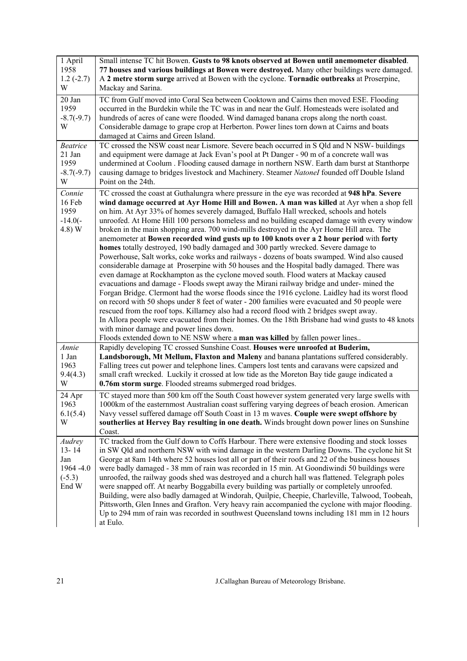| 1 April<br>1958<br>$1.2(-2.7)$<br>W                           | Small intense TC hit Bowen. Gusts to 98 knots observed at Bowen until anemometer disabled.<br>77 houses and various buildings at Bowen were destroyed. Many other buildings were damaged.<br>A 2 metre storm surge arrived at Bowen with the cyclone. Tornadic outbreaks at Proserpine,<br>Mackay and Sarina.                                                                                                                                                                                                                                                                                                                                                                                                                                                                                                                                                                                                                                                                                                                                                                                                                                                                                                                                                                                                                                                                                                                                                                                                                                                                         |
|---------------------------------------------------------------|---------------------------------------------------------------------------------------------------------------------------------------------------------------------------------------------------------------------------------------------------------------------------------------------------------------------------------------------------------------------------------------------------------------------------------------------------------------------------------------------------------------------------------------------------------------------------------------------------------------------------------------------------------------------------------------------------------------------------------------------------------------------------------------------------------------------------------------------------------------------------------------------------------------------------------------------------------------------------------------------------------------------------------------------------------------------------------------------------------------------------------------------------------------------------------------------------------------------------------------------------------------------------------------------------------------------------------------------------------------------------------------------------------------------------------------------------------------------------------------------------------------------------------------------------------------------------------------|
| 20 Jan<br>1959<br>$-8.7(-9.7)$<br>W                           | TC from Gulf moved into Coral Sea between Cooktown and Cairns then moved ESE. Flooding<br>occurred in the Burdekin while the TC was in and near the Gulf. Homesteads were isolated and<br>hundreds of acres of cane were flooded. Wind damaged banana crops along the north coast.<br>Considerable damage to grape crop at Herberton. Power lines torn down at Cairns and boats<br>damaged at Cairns and Green Island.                                                                                                                                                                                                                                                                                                                                                                                                                                                                                                                                                                                                                                                                                                                                                                                                                                                                                                                                                                                                                                                                                                                                                                |
| <b>Beatrice</b><br>21 Jan<br>1959<br>$-8.7(-9.7)$<br>W        | TC crossed the NSW coast near Lismore. Severe beach occurred in S Qld and N NSW- buildings<br>and equipment were damage at Jack Evan's pool at Pt Danger - 90 m of a concrete wall was<br>undermined at Coolum . Flooding caused damage in northern NSW. Earth dam burst at Stanthorpe<br>causing damage to bridges livestock and Machinery. Steamer Natonel founded off Double Island<br>Point on the 24th.                                                                                                                                                                                                                                                                                                                                                                                                                                                                                                                                                                                                                                                                                                                                                                                                                                                                                                                                                                                                                                                                                                                                                                          |
| Connie<br>16 Feb<br>1959<br>$-14.0(-$<br>4.8) W               | TC crossed the coast at Guthalungra where pressure in the eye was recorded at 948 hPa. Severe<br>wind damage occurred at Ayr Home Hill and Bowen. A man was killed at Ayr when a shop fell<br>on him. At Ayr 33% of homes severely damaged, Buffalo Hall wrecked, schools and hotels<br>unroofed. At Home Hill 100 persons homeless and no building escaped damage with every window<br>broken in the main shopping area. 700 wind-mills destroyed in the Ayr Home Hill area. The<br>anemometer at Bowen recorded wind gusts up to 100 knots over a 2 hour period with forty<br>homes totally destroyed, 190 badly damaged and 300 partly wrecked. Severe damage to<br>Powerhouse, Salt works, coke works and railways - dozens of boats swamped. Wind also caused<br>considerable damage at Proserpine with 50 houses and the Hospital badly damaged. There was<br>even damage at Rockhampton as the cyclone moved south. Flood waters at Mackay caused<br>evacuations and damage - Floods swept away the Mirani railway bridge and under-mined the<br>Forgan Bridge. Clermont had the worse floods since the 1916 cyclone. Laidley had its worst flood<br>on record with 50 shops under 8 feet of water - 200 families were evacuated and 50 people were<br>rescued from the roof tops. Killarney also had a record flood with 2 bridges swept away.<br>In Allora people were evacuated from their homes. On the 18th Brisbane had wind gusts to 48 knots<br>with minor damage and power lines down.<br>Floods extended down to NE NSW where a man was killed by fallen power lines |
| Annie<br>1 Jan<br>1963<br>9.4(4.3)<br>W                       | Rapidly developing TC crossed Sunshine Coast. Houses were unroofed at Buderim,<br>Landsborough, Mt Mellum, Flaxton and Maleny and banana plantations suffered considerably.<br>Falling trees cut power and telephone lines. Campers lost tents and caravans were capsized and<br>small craft wrecked. Luckily it crossed at low tide as the Moreton Bay tide gauge indicated a<br>0.76m storm surge. Flooded streams submerged road bridges.                                                                                                                                                                                                                                                                                                                                                                                                                                                                                                                                                                                                                                                                                                                                                                                                                                                                                                                                                                                                                                                                                                                                          |
| 24 Apr<br>1963<br>6.1(5.4)<br>W                               | TC stayed more than 500 km off the South Coast however system generated very large swells with<br>1000km of the easternmost Australian coast suffering varying degrees of beach erosion. American<br>Navy vessel suffered damage off South Coast in 13 m waves. Couple were swept offshore by<br>southerlies at Hervey Bay resulting in one death. Winds brought down power lines on Sunshine<br>Coast.                                                                                                                                                                                                                                                                                                                                                                                                                                                                                                                                                                                                                                                                                                                                                                                                                                                                                                                                                                                                                                                                                                                                                                               |
| Audrey<br>$13 - 14$<br>Jan<br>1964 - 4.0<br>$(-5.3)$<br>End W | TC tracked from the Gulf down to Coffs Harbour. There were extensive flooding and stock losses<br>in SW Qld and northern NSW with wind damage in the western Darling Downs. The cyclone hit St<br>George at 8am 14th where 52 houses lost all or part of their roofs and 22 of the business houses<br>were badly damaged - 38 mm of rain was recorded in 15 min. At Goondiwindi 50 buildings were<br>unroofed, the railway goods shed was destroyed and a church hall was flattened. Telegraph poles<br>were snapped off. At nearby Boggabilla every building was partially or completely unroofed.<br>Building, were also badly damaged at Windorah, Quilpie, Cheepie, Charleville, Talwood, Toobeah,<br>Pittsworth, Glen Innes and Grafton. Very heavy rain accompanied the cyclone with major flooding.<br>Up to 294 mm of rain was recorded in southwest Queensland towns including 181 mm in 12 hours<br>at Eulo.                                                                                                                                                                                                                                                                                                                                                                                                                                                                                                                                                                                                                                                                |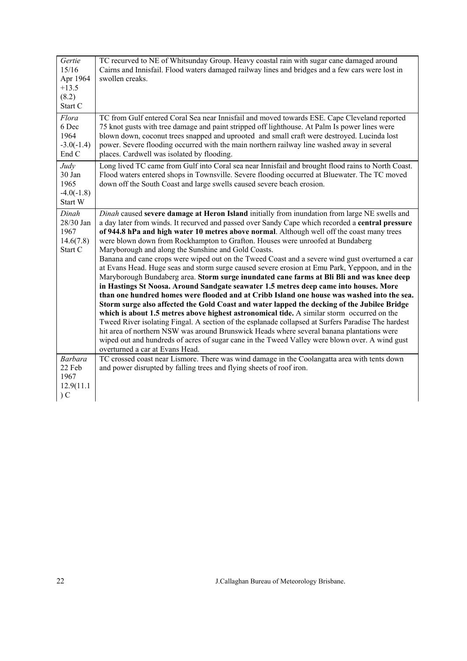| Gertie<br>15/16<br>Apr 1964<br>$+13.5$<br>(8.2)<br>Start C | TC recurved to NE of Whitsunday Group. Heavy coastal rain with sugar cane damaged around<br>Cairns and Innisfail. Flood waters damaged railway lines and bridges and a few cars were lost in<br>swollen creaks.                                                                                                                                                                                                                                                                                                                                                                                                                                                                                                                                                                                                                                                                                                                                                                                                                                                                                                                                                                                                                                                                                                                                                                                                                                                         |
|------------------------------------------------------------|-------------------------------------------------------------------------------------------------------------------------------------------------------------------------------------------------------------------------------------------------------------------------------------------------------------------------------------------------------------------------------------------------------------------------------------------------------------------------------------------------------------------------------------------------------------------------------------------------------------------------------------------------------------------------------------------------------------------------------------------------------------------------------------------------------------------------------------------------------------------------------------------------------------------------------------------------------------------------------------------------------------------------------------------------------------------------------------------------------------------------------------------------------------------------------------------------------------------------------------------------------------------------------------------------------------------------------------------------------------------------------------------------------------------------------------------------------------------------|
| Flora<br>6 Dec<br>1964<br>$-3.0(-1.4)$<br>End C            | TC from Gulf entered Coral Sea near Innisfail and moved towards ESE. Cape Cleveland reported<br>75 knot gusts with tree damage and paint stripped off lighthouse. At Palm Is power lines were<br>blown down, coconut trees snapped and uprooted and small craft were destroyed. Lucinda lost<br>power. Severe flooding occurred with the main northern railway line washed away in several<br>places. Cardwell was isolated by flooding.                                                                                                                                                                                                                                                                                                                                                                                                                                                                                                                                                                                                                                                                                                                                                                                                                                                                                                                                                                                                                                |
| Judy<br>30 Jan<br>1965<br>$-4.0(-1.8)$<br>Start W          | Long lived TC came from Gulf into Coral sea near Innisfail and brought flood rains to North Coast.<br>Flood waters entered shops in Townsville. Severe flooding occurred at Bluewater. The TC moved<br>down off the South Coast and large swells caused severe beach erosion.                                                                                                                                                                                                                                                                                                                                                                                                                                                                                                                                                                                                                                                                                                                                                                                                                                                                                                                                                                                                                                                                                                                                                                                           |
| Dinah<br>28/30 Jan<br>1967<br>14.6(7.8)<br>Start C         | Dinah caused severe damage at Heron Island initially from inundation from large NE swells and<br>a day later from winds. It recurved and passed over Sandy Cape which recorded a central pressure<br>of 944.8 hPa and high water 10 metres above normal. Although well off the coast many trees<br>were blown down from Rockhampton to Grafton. Houses were unroofed at Bundaberg<br>Maryborough and along the Sunshine and Gold Coasts.<br>Banana and cane crops were wiped out on the Tweed Coast and a severe wind gust overturned a car<br>at Evans Head. Huge seas and storm surge caused severe erosion at Emu Park, Yeppoon, and in the<br>Maryborough Bundaberg area. Storm surge inundated cane farms at Bli Bli and was knee deep<br>in Hastings St Noosa. Around Sandgate seawater 1.5 metres deep came into houses. More<br>than one hundred homes were flooded and at Cribb Island one house was washed into the sea.<br>Storm surge also affected the Gold Coast and water lapped the decking of the Jubilee Bridge<br>which is about 1.5 metres above highest astronomical tide. A similar storm occurred on the<br>Tweed River isolating Fingal. A section of the esplanade collapsed at Surfers Paradise The hardest<br>hit area of northern NSW was around Brunswick Heads where several banana plantations were<br>wiped out and hundreds of acres of sugar cane in the Tweed Valley were blown over. A wind gust<br>overturned a car at Evans Head. |
| <b>Barbara</b><br>22 Feb<br>1967<br>12.9(11.1<br>C         | TC crossed coast near Lismore. There was wind damage in the Coolangatta area with tents down<br>and power disrupted by falling trees and flying sheets of roof iron.                                                                                                                                                                                                                                                                                                                                                                                                                                                                                                                                                                                                                                                                                                                                                                                                                                                                                                                                                                                                                                                                                                                                                                                                                                                                                                    |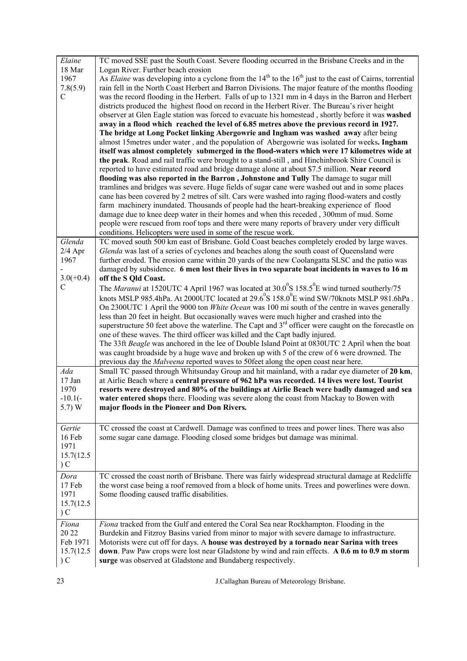| Elaine      | TC moved SSE past the South Coast. Severe flooding occurred in the Brisbane Creeks and in the                     |
|-------------|-------------------------------------------------------------------------------------------------------------------|
| 18 Mar      | Logan River. Further beach erosion                                                                                |
| 1967        | As Elaine was developing into a cyclone from the $14th$ to the $16th$ just to the east of Cairns, torrential      |
| 7.8(5.9)    | rain fell in the North Coast Herbert and Barron Divisions. The major feature of the months flooding               |
| C           | was the record flooding in the Herbert. Falls of up to 1321 mm in 4 days in the Barron and Herbert                |
|             | districts produced the highest flood on record in the Herbert River. The Bureau's river height                    |
|             | observer at Glen Eagle station was forced to evacuate his homestead, shortly before it was washed                 |
|             | away in a flood which reached the level of 6.85 metres above the previous record in 1927.                         |
|             | The bridge at Long Pocket linking Abergowrie and Ingham was washed away after being                               |
|             | almost 15 metres under water, and the population of Abergowrie was isolated for weeks. Ingham                     |
|             | itself was almost completely submerged in the flood-waters which were 17 kilometres wide at                       |
|             | the peak. Road and rail traffic were brought to a stand-still, and Hinchinbrook Shire Council is                  |
|             | reported to have estimated road and bridge damage alone at about \$7.5 million. Near record                       |
|             | flooding was also reported in the Barron, Johnstone and Tully The damage to sugar mill                            |
|             | tramlines and bridges was severe. Huge fields of sugar cane were washed out and in some places                    |
|             | cane has been covered by 2 metres of silt. Cars were washed into raging flood-waters and costly                   |
|             | farm machinery inundated. Thousands of people had the heart-breaking experience of flood                          |
|             | damage due to knee deep water in their homes and when this receded, 300mm of mud. Some                            |
|             | people were rescued from roof tops and there were many reports of bravery under very difficult                    |
|             | conditions. Helicopters were used in some of the rescue work.                                                     |
| Glenda      | TC moved south 500 km east of Brisbane. Gold Coast beaches completely eroded by large waves.                      |
| $2/4$ Apr   | Glenda was last of a series of cyclones and beaches along the south coast of Queensland were                      |
| 1967        | further eroded. The erosion came within 20 yards of the new Coolangatta SLSC and the patio was                    |
|             | damaged by subsidence. 6 men lost their lives in two separate boat incidents in waves to 16 m                     |
| $3.0(+0.4)$ | off the S Qld Coast.                                                                                              |
| C           |                                                                                                                   |
|             | The Maranui at 1520UTC 4 April 1967 was located at $30.0^{\circ}$ S 158.5 <sup>°</sup> E wind turned southerly/75 |
|             | knots MSLP 985.4hPa. At 2000UTC located at $29.6^{\circ}$ S 158.0 <sup>°</sup> E wind SW/70knots MSLP 981.6hPa.   |
|             | On 2300UTC 1 April the 9000 ton <i>White Ocean</i> was 100 mi south of the centre in waves generally              |
|             | less than 20 feet in height. But occasionally waves were much higher and crashed into the                         |
|             | superstructure 50 feet above the waterline. The Capt and $3rd$ officer were caught on the forecastle on           |
|             | one of these waves. The third officer was killed and the Capt badly injured.                                      |
|             | The 33ft Beagle was anchored in the lee of Double Island Point at 0830UTC 2 April when the boat                   |
|             | was caught broadside by a huge wave and broken up with 5 of the crew of 6 were drowned. The                       |
|             | previous day the Malveena reported waves to 50feet along the open coast near here.                                |
| Ada         | Small TC passed through Whitsunday Group and hit mainland, with a radar eye diameter of 20 km,                    |
| 17 Jan      | at Airlie Beach where a central pressure of 962 hPa was recorded. 14 lives were lost. Tourist                     |
| 1970        | resorts were destroyed and 80% of the buildings at Airlie Beach were badly damaged and sea                        |
| $-10.1(-)$  | water entered shops there. Flooding was severe along the coast from Mackay to Bowen with                          |
| 5.7) W      | major floods in the Pioneer and Don Rivers.                                                                       |
|             |                                                                                                                   |
| Gertie      | TC crossed the coast at Cardwell. Damage was confined to trees and power lines. There was also                    |
| 16 Feb      | some sugar cane damage. Flooding closed some bridges but damage was minimal.                                      |
| 1971        |                                                                                                                   |
| 15.7(12.5   |                                                                                                                   |
| C           |                                                                                                                   |
| Dora        | TC crossed the coast north of Brisbane. There was fairly widespread structural damage at Redcliffe                |
| 17 Feb      | the worst case being a roof removed from a block of home units. Trees and powerlines were down.                   |
| 1971        | Some flooding caused traffic disabilities.                                                                        |
|             |                                                                                                                   |
| 15.7(12.5)  |                                                                                                                   |
| C           |                                                                                                                   |
| Fiona       | Fiona tracked from the Gulf and entered the Coral Sea near Rockhampton. Flooding in the                           |
| 20 22       | Burdekin and Fitzroy Basins varied from minor to major with severe damage to infrastructure.                      |
| Feb 1971    | Motorists were cut off for days. A house was destroyed by a tornado near Sarina with trees                        |
| 15.7(12.5)  | down. Paw Paw crops were lost near Gladstone by wind and rain effects. A 0.6 m to 0.9 m storm                     |
| C           | surge was observed at Gladstone and Bundaberg respectively.                                                       |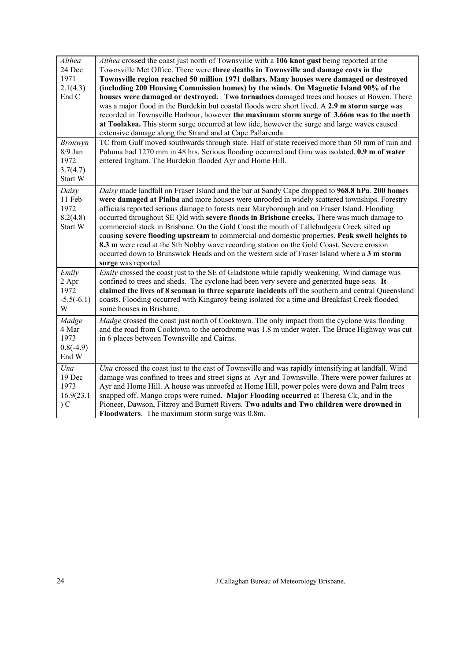| Althea<br>24 Dec<br>1971<br>2.1(4.3)<br>End C<br><b>Bronwyn</b><br>$8/9$ Jan | Althea crossed the coast just north of Townsville with a 106 knot gust being reported at the<br>Townsville Met Office. There were three deaths in Townsville and damage costs in the<br>Townsville region reached 50 million 1971 dollars. Many houses were damaged or destroyed<br>(including 200 Housing Commission homes) by the winds. On Magnetic Island 90% of the<br>houses were damaged or destroyed. Two tornadoes damaged trees and houses at Bowen. There<br>was a major flood in the Burdekin but coastal floods were short lived. A 2.9 m storm surge was<br>recorded in Townsville Harbour, however the maximum storm surge of 3.66m was to the north<br>at Toolakea. This storm surge occurred at low tide, however the surge and large waves caused<br>extensive damage along the Strand and at Cape Pallarenda.<br>TC from Gulf moved southwards through state. Half of state received more than 50 mm of rain and<br>Paluma had 1270 mm in 48 hrs. Serious flooding occurred and Giru was isolated. 0.9 m of water |
|------------------------------------------------------------------------------|--------------------------------------------------------------------------------------------------------------------------------------------------------------------------------------------------------------------------------------------------------------------------------------------------------------------------------------------------------------------------------------------------------------------------------------------------------------------------------------------------------------------------------------------------------------------------------------------------------------------------------------------------------------------------------------------------------------------------------------------------------------------------------------------------------------------------------------------------------------------------------------------------------------------------------------------------------------------------------------------------------------------------------------|
| 1972<br>3.7(4.7)<br>Start W                                                  | entered Ingham. The Burdekin flooded Ayr and Home Hill.                                                                                                                                                                                                                                                                                                                                                                                                                                                                                                                                                                                                                                                                                                                                                                                                                                                                                                                                                                              |
| Daisy<br>11 Feb<br>1972<br>8.2(4.8)<br>Start W                               | Daisy made landfall on Fraser Island and the bar at Sandy Cape dropped to 968.8 hPa. 200 homes<br>were damaged at Pialba and more houses were unroofed in widely scattered townships. Forestry<br>officials reported serious damage to forests near Maryborough and on Fraser Island. Flooding<br>occurred throughout SE Qld with severe floods in Brisbane creeks. There was much damage to<br>commercial stock in Brisbane. On the Gold Coast the mouth of Tallebudgera Creek silted up<br>causing severe flooding upstream to commercial and domestic properties. Peak swell heights to<br>8.3 m were read at the Sth Nobby wave recording station on the Gold Coast. Severe erosion<br>occurred down to Brunswick Heads and on the western side of Fraser Island where a 3 m storm<br>surge was reported.                                                                                                                                                                                                                        |
| Emily<br>2 Apr<br>1972<br>$-5.5(-6.1)$<br>W                                  | Emily crossed the coast just to the SE of Gladstone while rapidly weakening. Wind damage was<br>confined to trees and sheds. The cyclone had been very severe and generated huge seas. It<br>claimed the lives of 8 seaman in three separate incidents off the southern and central Queensland<br>coasts. Flooding occurred with Kingaroy being isolated for a time and Breakfast Creek flooded<br>some houses in Brisbane.                                                                                                                                                                                                                                                                                                                                                                                                                                                                                                                                                                                                          |
| Madge<br>4 Mar<br>1973<br>$0.8(-4.9)$<br>End W                               | Madge crossed the coast just north of Cooktown. The only impact from the cyclone was flooding<br>and the road from Cooktown to the aerodrome was 1.8 m under water. The Bruce Highway was cut<br>in 6 places between Townsville and Cairns.                                                                                                                                                                                                                                                                                                                                                                                                                                                                                                                                                                                                                                                                                                                                                                                          |
| Una<br>19 Dec<br>1973<br>16.9(23.1)<br>C                                     | Una crossed the coast just to the east of Townsville and was rapidly intensifying at landfall. Wind<br>damage was confined to trees and street signs at Ayr and Townsville. There were power failures at<br>Ayr and Home Hill. A house was unroofed at Home Hill, power poles were down and Palm trees<br>snapped off. Mango crops were ruined. Major Flooding occurred at Theresa Ck, and in the<br>Pioneer, Dawson, Fitzroy and Burnett Rivers. Two adults and Two children were drowned in<br><b>Floodwaters.</b> The maximum storm surge was 0.8m.                                                                                                                                                                                                                                                                                                                                                                                                                                                                               |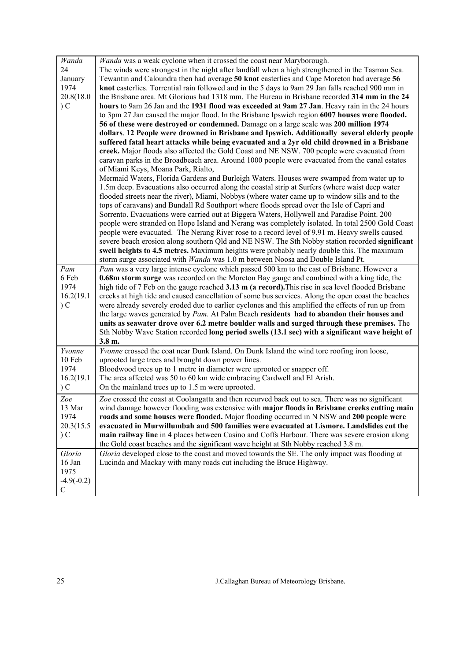| Wanda        | Wanda was a weak cyclone when it crossed the coast near Maryborough.                               |
|--------------|----------------------------------------------------------------------------------------------------|
| 24           | The winds were strongest in the night after landfall when a high strengthened in the Tasman Sea.   |
| January      | Tewantin and Caloundra then had average 50 knot easterlies and Cape Moreton had average 56         |
| 1974         | knot easterlies. Torrential rain followed and in the 5 days to 9am 29 Jan falls reached 900 mm in  |
| 20.8(18.0    | the Brisbane area. Mt Glorious had 1318 mm. The Bureau in Brisbane recorded 314 mm in the 24       |
| C            | hours to 9am 26 Jan and the 1931 flood was exceeded at 9am 27 Jan. Heavy rain in the 24 hours      |
|              | to 3pm 27 Jan caused the major flood. In the Brisbane Ipswich region 6007 houses were flooded.     |
|              | 56 of these were destroyed or condemned. Damage on a large scale was 200 million 1974              |
|              | dollars. 12 People were drowned in Brisbane and Ipswich. Additionally several elderly people       |
|              | suffered fatal heart attacks while being evacuated and a 2yr old child drowned in a Brisbane       |
|              | creek. Major floods also affected the Gold Coast and NE NSW. 700 people were evacuated from        |
|              | caravan parks in the Broadbeach area. Around 1000 people were evacuated from the canal estates     |
|              | of Miami Keys, Moana Park, Rialto,                                                                 |
|              | Mermaid Waters, Florida Gardens and Burleigh Waters. Houses were swamped from water up to          |
|              | 1.5m deep. Evacuations also occurred along the coastal strip at Surfers (where waist deep water    |
|              | flooded streets near the river), Miami, Nobbys (where water came up to window sills and to the     |
|              | tops of caravans) and Bundall Rd Southport where floods spread over the Isle of Capri and          |
|              | Sorrento. Evacuations were carried out at Biggera Waters, Hollywell and Paradise Point. 200        |
|              | people were stranded on Hope Island and Nerang was completely isolated. In total 2500 Gold Coast   |
|              | people were evacuated. The Nerang River rose to a record level of 9.91 m. Heavy swells caused      |
|              | severe beach erosion along southern Qld and NE NSW. The Sth Nobby station recorded significant     |
|              | swell heights to 4.5 metres. Maximum heights were probably nearly double this. The maximum         |
|              | storm surge associated with Wanda was 1.0 m between Noosa and Double Island Pt.                    |
| Pam          | Pam was a very large intense cyclone which passed 500 km to the east of Brisbane. However a        |
| 6 Feb        | 0.68m storm surge was recorded on the Moreton Bay gauge and combined with a king tide, the         |
| 1974         | high tide of 7 Feb on the gauge reached 3.13 m (a record). This rise in sea level flooded Brisbane |
| 16.2(19.1)   | creeks at high tide and caused cancellation of some bus services. Along the open coast the beaches |
| $\sum$       | were already severely eroded due to earlier cyclones and this amplified the effects of run up from |
|              | the large waves generated by Pam. At Palm Beach residents had to abandon their houses and          |
|              | units as seawater drove over 6.2 metre boulder walls and surged through these premises. The        |
|              | Sth Nobby Wave Station recorded long period swells (13.1 sec) with a significant wave height of    |
|              | 3.8 m.                                                                                             |
| Yvonne       | Yvonne crossed the coat near Dunk Island. On Dunk Island the wind tore roofing iron loose,         |
| 10 Feb       | uprooted large trees and brought down power lines.                                                 |
| 1974         | Bloodwood trees up to 1 metre in diameter were uprooted or snapper off.                            |
| 16.2(19.1)   | The area affected was 50 to 60 km wide embracing Cardwell and El Arish.                            |
| C            | On the mainland trees up to 1.5 m were uprooted.                                                   |
|              |                                                                                                    |
| Zoe          | Zoe crossed the coast at Coolangatta and then recurved back out to sea. There was no significant   |
| 13 Mar       | wind damage however flooding was extensive with major floods in Brisbane creeks cutting main       |
| 1974         | roads and some houses were flooded. Major flooding occurred in N NSW and 200 people were           |
| 20.3(15.5)   | evacuated in Murwillumbah and 500 families were evacuated at Lismore. Landslides cut the           |
| C            | main railway line in 4 places between Casino and Coffs Harbour. There was severe erosion along     |
|              | the Gold coast beaches and the significant wave height at Sth Nobby reached 3.8 m.                 |
| Gloria       | Gloria developed close to the coast and moved towards the SE. The only impact was flooding at      |
| 16 Jan       | Lucinda and Mackay with many roads cut including the Bruce Highway.                                |
| 1975         |                                                                                                    |
| $-4.9(-0.2)$ |                                                                                                    |
| $\mathsf{C}$ |                                                                                                    |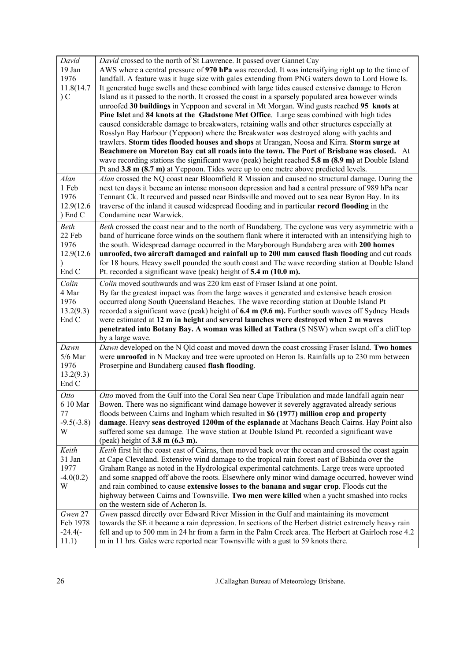| David<br>19 Jan<br>1976<br>11.8(14.7)<br>C      | David crossed to the north of St Lawrence. It passed over Gannet Cay<br>AWS where a central pressure of 970 hPa was recorded. It was intensifying right up to the time of<br>landfall. A feature was it huge size with gales extending from PNG waters down to Lord Howe Is.<br>It generated huge swells and these combined with large tides caused extensive damage to Heron<br>Island as it passed to the north. It crossed the coast in a sparsely populated area however winds<br>unroofed 30 buildings in Yeppoon and several in Mt Morgan. Wind gusts reached 95 knots at<br>Pine Islet and 84 knots at the Gladstone Met Office. Large seas combined with high tides<br>caused considerable damage to breakwaters, retaining walls and other structures especially at<br>Rosslyn Bay Harbour (Yeppoon) where the Breakwater was destroyed along with yachts and<br>trawlers. Storm tides flooded houses and shops at Urangan, Noosa and Kirra. Storm surge at<br>Beachmere on Moreton Bay cut all roads into the town. The Port of Brisbane was closed. At<br>wave recording stations the significant wave (peak) height reached 5.8 m (8.9 m) at Double Island<br>Pt and 3.8 m (8.7 m) at Yeppoon. Tides were up to one metre above predicted levels. |
|-------------------------------------------------|---------------------------------------------------------------------------------------------------------------------------------------------------------------------------------------------------------------------------------------------------------------------------------------------------------------------------------------------------------------------------------------------------------------------------------------------------------------------------------------------------------------------------------------------------------------------------------------------------------------------------------------------------------------------------------------------------------------------------------------------------------------------------------------------------------------------------------------------------------------------------------------------------------------------------------------------------------------------------------------------------------------------------------------------------------------------------------------------------------------------------------------------------------------------------------------------------------------------------------------------------------------|
| Alan<br>1 Feb<br>1976<br>12.9(12.6)<br>) End C  | Alan crossed the NQ coast near Bloomfield R Mission and caused no structural damage. During the<br>next ten days it became an intense monsoon depression and had a central pressure of 989 hPa near<br>Tennant Ck. It recurved and passed near Birdsville and moved out to sea near Byron Bay. In its<br>traverse of the inland it caused widespread flooding and in particular record flooding in the<br>Condamine near Warwick.                                                                                                                                                                                                                                                                                                                                                                                                                                                                                                                                                                                                                                                                                                                                                                                                                             |
| Beth<br>22 Feb<br>1976<br>12.9(12.6)<br>End C   | Beth crossed the coast near and to the north of Bundaberg. The cyclone was very asymmetric with a<br>band of hurricane force winds on the southern flank where it interacted with an intensifying high to<br>the south. Widespread damage occurred in the Maryborough Bundaberg area with 200 homes<br>unroofed, two aircraft damaged and rainfall up to 200 mm caused flash flooding and cut roads<br>for 18 hours. Heavy swell pounded the south coast and The wave recording station at Double Island<br>Pt. recorded a significant wave (peak) height of 5.4 m (10.0 m).                                                                                                                                                                                                                                                                                                                                                                                                                                                                                                                                                                                                                                                                                  |
| Colin<br>4 Mar<br>1976<br>13.2(9.3)<br>End C    | Colin moved southwards and was 220 km east of Fraser Island at one point.<br>By far the greatest impact was from the large waves it generated and extensive beach erosion<br>occurred along South Queensland Beaches. The wave recording station at Double Island Pt<br>recorded a significant wave (peak) height of $6.4 \text{ m}$ (9.6 m). Further south waves off Sydney Heads<br>were estimated at 12 m in height and several launches were destroyed when 2 m waves<br>penetrated into Botany Bay. A woman was killed at Tathra (S NSW) when swept off a cliff top<br>by a large wave.                                                                                                                                                                                                                                                                                                                                                                                                                                                                                                                                                                                                                                                                  |
| Dawn<br>$5/6$ Mar<br>1976<br>13.2(9.3)<br>End C | Dawn developed on the N Qld coast and moved down the coast crossing Fraser Island. Two homes<br>were unroofed in N Mackay and tree were uprooted on Heron Is. Rainfalls up to 230 mm between<br>Proserpine and Bundaberg caused flash flooding.                                                                                                                                                                                                                                                                                                                                                                                                                                                                                                                                                                                                                                                                                                                                                                                                                                                                                                                                                                                                               |
| Otto<br>6 10 Mar<br>77<br>$-9.5(-3.8)$<br>W     | Otto moved from the Gulf into the Coral Sea near Cape Tribulation and made landfall again near<br>Bowen. There was no significant wind damage however it severely aggravated already serious<br>floods between Cairns and Ingham which resulted in \$6 (1977) million crop and property<br>damage. Heavy seas destroyed 1200m of the esplanade at Machans Beach Cairns. Hay Point also<br>suffered some sea damage. The wave station at Double Island Pt. recorded a significant wave<br>(peak) height of $3.8 \text{ m}$ (6.3 m).                                                                                                                                                                                                                                                                                                                                                                                                                                                                                                                                                                                                                                                                                                                            |
| Keith<br>31 Jan<br>1977<br>$-4.0(0.2)$<br>W     | Keith first hit the coast east of Cairns, then moved back over the ocean and crossed the coast again<br>at Cape Cleveland. Extensive wind damage to the tropical rain forest east of Babinda over the<br>Graham Range as noted in the Hydrological experimental catchments. Large trees were uprooted<br>and some snapped off above the roots. Elsewhere only minor wind damage occurred, however wind<br>and rain combined to cause extensive losses to the banana and sugar crop. Floods cut the<br>highway between Cairns and Townsville. Two men were killed when a yacht smashed into rocks<br>on the western side of Acheron Is.                                                                                                                                                                                                                                                                                                                                                                                                                                                                                                                                                                                                                        |
| Gwen 27<br>Feb 1978<br>$-24.4(-)$<br>11.1)      | Gwen passed directly over Edward River Mission in the Gulf and maintaining its movement<br>towards the SE it became a rain depression. In sections of the Herbert district extremely heavy rain<br>fell and up to 500 mm in 24 hr from a farm in the Palm Creek area. The Herbert at Gairloch rose 4.2<br>m in 11 hrs. Gales were reported near Townsville with a gust to 59 knots there.                                                                                                                                                                                                                                                                                                                                                                                                                                                                                                                                                                                                                                                                                                                                                                                                                                                                     |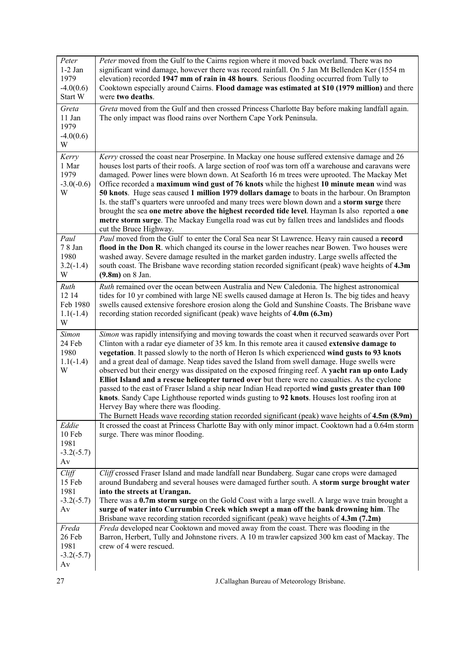| Peter<br>$1-2$ Jan<br>1979<br>$-4.0(0.6)$<br>Start W | Peter moved from the Gulf to the Cairns region where it moved back overland. There was no<br>significant wind damage, however there was record rainfall. On 5 Jan Mt Bellenden Ker (1554 m<br>elevation) recorded 1947 mm of rain in 48 hours. Serious flooding occurred from Tully to<br>Cooktown especially around Cairns. Flood damage was estimated at \$10 (1979 million) and there<br>were two deaths.                                                                                                                                                                                                                                                                                                                                                                                                                                                                                                                                           |
|------------------------------------------------------|--------------------------------------------------------------------------------------------------------------------------------------------------------------------------------------------------------------------------------------------------------------------------------------------------------------------------------------------------------------------------------------------------------------------------------------------------------------------------------------------------------------------------------------------------------------------------------------------------------------------------------------------------------------------------------------------------------------------------------------------------------------------------------------------------------------------------------------------------------------------------------------------------------------------------------------------------------|
| Greta<br>11 Jan<br>1979<br>$-4.0(0.6)$<br>W          | Greta moved from the Gulf and then crossed Princess Charlotte Bay before making landfall again.<br>The only impact was flood rains over Northern Cape York Peninsula.                                                                                                                                                                                                                                                                                                                                                                                                                                                                                                                                                                                                                                                                                                                                                                                  |
| Kerry<br>1 Mar<br>1979<br>$-3.0(-0.6)$<br>W          | Kerry crossed the coast near Proserpine. In Mackay one house suffered extensive damage and 26<br>houses lost parts of their roofs. A large section of roof was torn off a warehouse and caravans were<br>damaged. Power lines were blown down. At Seaforth 16 m trees were uprooted. The Mackay Met<br>Office recorded a maximum wind gust of 76 knots while the highest 10 minute mean wind was<br>50 knots. Huge seas caused 1 million 1979 dollars damage to boats in the harbour. On Brampton<br>Is. the staff's quarters were unroofed and many trees were blown down and a storm surge there<br>brought the sea one metre above the highest recorded tide level. Hayman Is also reported a one<br>metre storm surge. The Mackay Eungella road was cut by fallen trees and landslides and floods<br>cut the Bruce Highway.                                                                                                                        |
| Paul<br>7 8 Jan<br>1980<br>$3.2(-1.4)$<br>W          | Paul moved from the Gulf to enter the Coral Sea near St Lawrence. Heavy rain caused a record<br>flood in the Don R. which changed its course in the lower reaches near Bowen. Two houses were<br>washed away. Severe damage resulted in the market garden industry. Large swells affected the<br>south coast. The Brisbane wave recording station recorded significant (peak) wave heights of 4.3m<br>$(9.8m)$ on 8 Jan.                                                                                                                                                                                                                                                                                                                                                                                                                                                                                                                               |
| Ruth<br>12 14<br>Feb 1980<br>$1.1(-1.4)$<br>W        | Ruth remained over the ocean between Australia and New Caledonia. The highest astronomical<br>tides for 10 yr combined with large NE swells caused damage at Heron Is. The big tides and heavy<br>swells caused extensive foreshore erosion along the Gold and Sunshine Coasts. The Brisbane wave<br>recording station recorded significant (peak) wave heights of 4.0m (6.3m)                                                                                                                                                                                                                                                                                                                                                                                                                                                                                                                                                                         |
| <b>Simon</b><br>24 Feb<br>1980<br>$1.1(-1.4)$<br>W   | Simon was rapidly intensifying and moving towards the coast when it recurved seawards over Port<br>Clinton with a radar eye diameter of 35 km. In this remote area it caused extensive damage to<br>vegetation. It passed slowly to the north of Heron Is which experienced wind gusts to 93 knots<br>and a great deal of damage. Neap tides saved the Island from swell damage. Huge swells were<br>observed but their energy was dissipated on the exposed fringing reef. A yacht ran up onto Lady<br>Elliot Island and a rescue helicopter turned over but there were no casualties. As the cyclone<br>passed to the east of Fraser Island a ship near Indian Head reported wind gusts greater than 100<br>knots. Sandy Cape Lighthouse reported winds gusting to 92 knots. Houses lost roofing iron at<br>Hervey Bay where there was flooding.<br>The Burnett Heads wave recording station recorded significant (peak) wave heights of 4.5m (8.9m) |
| Eddie<br>10 Feb<br>1981<br>$-3.2(-5.7)$<br>Av        | It crossed the coast at Princess Charlotte Bay with only minor impact. Cooktown had a 0.64m storm<br>surge. There was minor flooding.                                                                                                                                                                                                                                                                                                                                                                                                                                                                                                                                                                                                                                                                                                                                                                                                                  |
| Cliff<br>15 Feb<br>1981<br>$-3.2(-5.7)$<br>Av        | Cliff crossed Fraser Island and made landfall near Bundaberg. Sugar cane crops were damaged<br>around Bundaberg and several houses were damaged further south. A storm surge brought water<br>into the streets at Urangan.<br>There was a 0.7m storm surge on the Gold Coast with a large swell. A large wave train brought a<br>surge of water into Currumbin Creek which swept a man off the bank drowning him. The<br>Brisbane wave recording station recorded significant (peak) wave heights of 4.3m (7.2m)                                                                                                                                                                                                                                                                                                                                                                                                                                       |
| Freda<br>26 Feb<br>1981<br>$-3.2(-5.7)$<br>Av        | Freda developed near Cooktown and moved away from the coast. There was flooding in the<br>Barron, Herbert, Tully and Johnstone rivers. A 10 m trawler capsized 300 km east of Mackay. The<br>crew of 4 were rescued.                                                                                                                                                                                                                                                                                                                                                                                                                                                                                                                                                                                                                                                                                                                                   |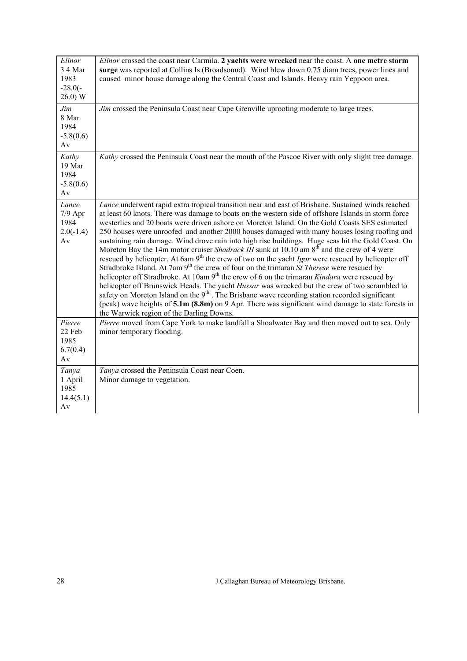| Elinor<br>3 4 Mar<br>1983<br>$-28.0(-$<br>26.0) W | <i>Elinor</i> crossed the coast near Carmila. 2 yachts were wrecked near the coast. A one metre storm<br>surge was reported at Collins Is (Broadsound). Wind blew down 0.75 diam trees, power lines and<br>caused minor house damage along the Central Coast and Islands. Heavy rain Yeppoon area.                                                                                                                                                                                                                                                                                                                                                                                                                                                                                                                                                                                                                                                                                                                                                                                                                                                                                                                                                                                                                                           |
|---------------------------------------------------|----------------------------------------------------------------------------------------------------------------------------------------------------------------------------------------------------------------------------------------------------------------------------------------------------------------------------------------------------------------------------------------------------------------------------------------------------------------------------------------------------------------------------------------------------------------------------------------------------------------------------------------------------------------------------------------------------------------------------------------------------------------------------------------------------------------------------------------------------------------------------------------------------------------------------------------------------------------------------------------------------------------------------------------------------------------------------------------------------------------------------------------------------------------------------------------------------------------------------------------------------------------------------------------------------------------------------------------------|
| Jim<br>8 Mar<br>1984<br>$-5.8(0.6)$<br>Av         | Jim crossed the Peninsula Coast near Cape Grenville uprooting moderate to large trees.                                                                                                                                                                                                                                                                                                                                                                                                                                                                                                                                                                                                                                                                                                                                                                                                                                                                                                                                                                                                                                                                                                                                                                                                                                                       |
| Kathy<br>19 Mar<br>1984<br>$-5.8(0.6)$<br>Av      | Kathy crossed the Peninsula Coast near the mouth of the Pascoe River with only slight tree damage.                                                                                                                                                                                                                                                                                                                                                                                                                                                                                                                                                                                                                                                                                                                                                                                                                                                                                                                                                                                                                                                                                                                                                                                                                                           |
| Lance<br>$7/9$ Apr<br>1984<br>$2.0(-1.4)$<br>Av   | Lance underwent rapid extra tropical transition near and east of Brisbane. Sustained winds reached<br>at least 60 knots. There was damage to boats on the western side of offshore Islands in storm force<br>westerlies and 20 boats were driven ashore on Moreton Island. On the Gold Coasts SES estimated<br>250 houses were unroofed and another 2000 houses damaged with many houses losing roofing and<br>sustaining rain damage. Wind drove rain into high rise buildings. Huge seas hit the Gold Coast. On<br>Moreton Bay the 14m motor cruiser Shadrack III sunk at 10.10 am 8 <sup>th</sup> and the crew of 4 were<br>rescued by helicopter. At 6am 9 <sup>th</sup> the crew of two on the yacht <i>Igor</i> were rescued by helicopter off<br>Stradbroke Island. At 7am 9 <sup>th</sup> the crew of four on the trimaran St Therese were rescued by<br>helicopter off Stradbroke. At 10am 9 <sup>th</sup> the crew of 6 on the trimaran Kindara were rescued by<br>helicopter off Brunswick Heads. The yacht Hussar was wrecked but the crew of two scrambled to<br>safety on Moreton Island on the 9 <sup>th</sup> . The Brisbane wave recording station recorded significant<br>(peak) wave heights of $5.1m$ (8.8m) on 9 Apr. There was significant wind damage to state forests in<br>the Warwick region of the Darling Downs. |
| Pierre<br>22 Feb<br>1985<br>6.7(0.4)<br>Av        | Pierre moved from Cape York to make landfall a Shoalwater Bay and then moved out to sea. Only<br>minor temporary flooding.                                                                                                                                                                                                                                                                                                                                                                                                                                                                                                                                                                                                                                                                                                                                                                                                                                                                                                                                                                                                                                                                                                                                                                                                                   |
| Tanya<br>1 April<br>1985<br>14.4(5.1)<br>Av       | Tanya crossed the Peninsula Coast near Coen.<br>Minor damage to vegetation.                                                                                                                                                                                                                                                                                                                                                                                                                                                                                                                                                                                                                                                                                                                                                                                                                                                                                                                                                                                                                                                                                                                                                                                                                                                                  |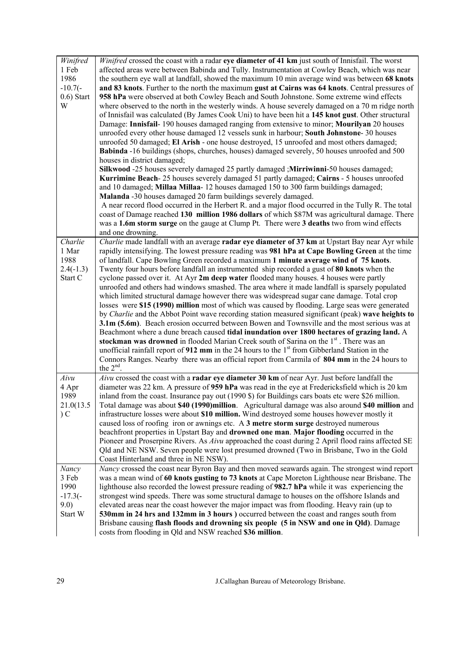| Winifred      | Winifred crossed the coast with a radar eye diameter of 41 km just south of Innisfail. The worst    |
|---------------|-----------------------------------------------------------------------------------------------------|
| 1 Feb         | affected areas were between Babinda and Tully. Instrumentation at Cowley Beach, which was near      |
| 1986          | the southern eye wall at landfall, showed the maximum 10 min average wind was between 68 knots      |
| $-10.7(-)$    | and 83 knots. Further to the north the maximum gust at Cairns was 64 knots. Central pressures of    |
| $0.6$ ) Start | 958 hPa were observed at both Cowley Beach and South Johnstone. Some extreme wind effects           |
| W             | where observed to the north in the westerly winds. A house severely damaged on a 70 m ridge north   |
|               | of Innisfail was calculated (By James Cook Uni) to have been hit a 145 knot gust. Other structural  |
|               | Damage: Innisfail-190 houses damaged ranging from extensive to minor; Mourilyan 20 houses           |
|               | unroofed every other house damaged 12 vessels sunk in harbour; South Johnstone-30 houses            |
|               | unroofed 50 damaged; El Arish - one house destroyed, 15 unroofed and most others damaged;           |
|               | Babinda -16 buildings (shops, churches, houses) damaged severely, 50 houses unroofed and 500        |
|               | houses in district damaged;                                                                         |
|               | Silkwood -25 houses severely damaged 25 partly damaged; Mirriwinni-50 houses damaged;               |
|               | Kurrimine Beach-25 houses severely damaged 51 partly damaged; Cairns - 5 houses unroofed            |
|               | and 10 damaged; Millaa Millaa- 12 houses damaged 150 to 300 farm buildings damaged;                 |
|               | Malanda -30 houses damaged 20 farm buildings severely damaged.                                      |
|               | A near record flood occurred in the Herbert R. and a major flood occurred in the Tully R. The total |
|               | coast of Damage reached 130 million 1986 dollars of which \$87M was agricultural damage. There      |
|               | was a 1.6m storm surge on the gauge at Clump Pt. There were 3 deaths two from wind effects          |
|               | and one drowning.                                                                                   |
| Charlie       | Charlie made landfall with an average radar eye diameter of 37 km at Upstart Bay near Ayr while     |
| 1 Mar         | rapidly intensifying. The lowest pressure reading was 981 hPa at Cape Bowling Green at the time     |
| 1988          |                                                                                                     |
|               | of landfall. Cape Bowling Green recorded a maximum 1 minute average wind of 75 knots.               |
| $2.4(-1.3)$   | Twenty four hours before landfall an instrumented ship recorded a gust of 80 knots when the         |
| Start C       | cyclone passed over it. At Ayr 2m deep water flooded many houses. 4 houses were partly              |
|               | unroofed and others had windows smashed. The area where it made landfall is sparsely populated      |
|               | which limited structural damage however there was widespread sugar cane damage. Total crop          |
|               | losses were \$15 (1990) million most of which was caused by flooding. Large seas were generated     |
|               | by Charlie and the Abbot Point wave recording station measured significant (peak) wave heights to   |
|               | 3.1m (5.6m). Beach erosion occurred between Bowen and Townsville and the most serious was at        |
|               | Beachmont where a dune breach caused tidal inundation over 1800 hectares of grazing land. A         |
|               | stockman was drowned in flooded Marian Creek south of Sarina on the 1 <sup>st</sup> . There was an  |
|               | unofficial rainfall report of 912 mm in the 24 hours to the $1st$ from Gibberland Station in the    |
|               | Connors Ranges. Nearby there was an official report from Carmila of 804 mm in the 24 hours to       |
|               | the $2nd$ .                                                                                         |
| Aivu          | Aivu crossed the coast with a radar eye diameter 30 km of near Ayr. Just before landfall the        |
| 4 Apr         | diameter was 22 km. A pressure of 959 hPa was read in the eye at Fredericksfield which is 20 km     |
| 1989          | inland from the coast. Insurance pay out (1990 \$) for Buildings cars boats etc were \$26 million.  |
| 21.0(13.5     | Total damage was about \$40 (1990) million. Agricultural damage was also around \$40 million and    |
| C             | infrastructure losses were about \$10 million. Wind destroyed some houses however mostly it         |
|               | caused loss of roofing iron or awnings etc. A 3 metre storm surge destroyed numerous                |
|               | beachfront properties in Upstart Bay and drowned one man. Major flooding occurred in the            |
|               | Pioneer and Proserpine Rivers. As Aivu approached the coast during 2 April flood rains affected SE  |
|               | Qld and NE NSW. Seven people were lost presumed drowned (Two in Brisbane, Two in the Gold           |
|               | Coast Hinterland and three in NE NSW).                                                              |
| Nancy         | Nancy crossed the coast near Byron Bay and then moved seawards again. The strongest wind report     |
| 3 Feb         | was a mean wind of 60 knots gusting to 73 knots at Cape Moreton Lighthouse near Brisbane. The       |
| 1990          | lighthouse also recorded the lowest pressure reading of 982.7 hPa while it was experiencing the     |
| $-17.3(-)$    | strongest wind speeds. There was some structural damage to houses on the offshore Islands and       |
| 9.0)          | elevated areas near the coast however the major impact was from flooding. Heavy rain (up to         |
| Start W       | 530mm in 24 hrs and 132mm in 3 hours ) occurred between the coast and ranges south from             |
|               | Brisbane causing flash floods and drowning six people (5 in NSW and one in Qld). Damage             |
|               | costs from flooding in Qld and NSW reached \$36 million.                                            |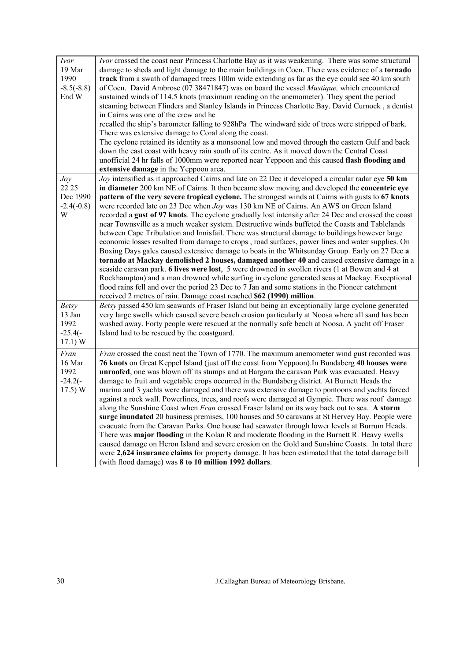| <i>Ivor</i><br>19 Mar<br>1990<br>$-8.5(-8.8)$<br>End W  | Ivor crossed the coast near Princess Charlotte Bay as it was weakening. There was some structural<br>damage to sheds and light damage to the main buildings in Coen. There was evidence of a tornado<br>track from a swath of damaged trees 100m wide extending as far as the eye could see 40 km south<br>of Coen. David Ambrose (07 38471847) was on board the vessel <i>Mustique</i> , which encountered<br>sustained winds of 114.5 knots (maximum reading on the anemometer). They spent the period<br>steaming between Flinders and Stanley Islands in Princess Charlotte Bay. David Curnock, a dentist<br>in Cairns was one of the crew and he<br>recalled the ship's barometer falling to 928hPa The windward side of trees were stripped of bark.<br>There was extensive damage to Coral along the coast.                                                                                                                                                                                                                                                                                                                                                                                                                                                                                                                                                                           |
|---------------------------------------------------------|----------------------------------------------------------------------------------------------------------------------------------------------------------------------------------------------------------------------------------------------------------------------------------------------------------------------------------------------------------------------------------------------------------------------------------------------------------------------------------------------------------------------------------------------------------------------------------------------------------------------------------------------------------------------------------------------------------------------------------------------------------------------------------------------------------------------------------------------------------------------------------------------------------------------------------------------------------------------------------------------------------------------------------------------------------------------------------------------------------------------------------------------------------------------------------------------------------------------------------------------------------------------------------------------------------------------------------------------------------------------------------------------|
|                                                         | The cyclone retained its identity as a monsoonal low and moved through the eastern Gulf and back<br>down the east coast with heavy rain south of its centre. As it moved down the Central Coast<br>unofficial 24 hr falls of 1000mm were reported near Yeppoon and this caused flash flooding and<br>extensive damage in the Yeppoon area.                                                                                                                                                                                                                                                                                                                                                                                                                                                                                                                                                                                                                                                                                                                                                                                                                                                                                                                                                                                                                                                   |
| Joy<br>22 25<br>Dec 1990<br>$-2.4(-0.8)$<br>W           | Joy intensified as it approached Cairns and late on 22 Dec it developed a circular radar eye 50 km<br>in diameter 200 km NE of Cairns. It then became slow moving and developed the concentric eye<br>pattern of the very severe tropical cyclone. The strongest winds at Cairns with gusts to 67 knots<br>were recorded late on 23 Dec when Joy was 130 km NE of Cairns. An AWS on Green Island<br>recorded a gust of 97 knots. The cyclone gradually lost intensity after 24 Dec and crossed the coast<br>near Townsville as a much weaker system. Destructive winds buffeted the Coasts and Tablelands<br>between Cape Tribulation and Innisfail. There was structural damage to buildings however large<br>economic losses resulted from damage to crops, road surfaces, power lines and water supplies. On<br>Boxing Days gales caused extensive damage to boats in the Whitsunday Group. Early on 27 Dec a<br>tornado at Mackay demolished 2 houses, damaged another 40 and caused extensive damage in a<br>seaside caravan park. 6 lives were lost, 5 were drowned in swollen rivers (1 at Bowen and 4 at<br>Rockhampton) and a man drowned while surfing in cyclone generated seas at Mackay. Exceptional<br>flood rains fell and over the period 23 Dec to 7 Jan and some stations in the Pioneer catchment<br>received 2 metres of rain. Damage coast reached \$62 (1990) million. |
| <b>Betsy</b><br>13 Jan<br>1992<br>$-25.4(-)$<br>17.1) W | Betsy passed 450 km seawards of Fraser Island but being an exceptionally large cyclone generated<br>very large swells which caused severe beach erosion particularly at Noosa where all sand has been<br>washed away. Forty people were rescued at the normally safe beach at Noosa. A yacht off Fraser<br>Island had to be rescued by the coastguard.                                                                                                                                                                                                                                                                                                                                                                                                                                                                                                                                                                                                                                                                                                                                                                                                                                                                                                                                                                                                                                       |
| Fran<br>16 Mar<br>1992<br>$-24.2(-$<br>17.5) W          | Fran crossed the coast neat the Town of 1770. The maximum anemometer wind gust recorded was<br>76 knots on Great Keppel Island (just off the coast from Yeppoon). In Bundaberg 40 houses were<br>unroofed, one was blown off its stumps and at Bargara the caravan Park was evacuated. Heavy<br>damage to fruit and vegetable crops occurred in the Bundaberg district. At Burnett Heads the<br>marina and 3 yachts were damaged and there was extensive damage to pontoons and yachts forced<br>against a rock wall. Powerlines, trees, and roofs were damaged at Gympie. There was roof damage<br>along the Sunshine Coast when Fran crossed Fraser Island on its way back out to sea. A storm<br>surge inundated 20 business premises, 100 houses and 50 caravans at St Hervey Bay. People were<br>evacuate from the Caravan Parks. One house had seawater through lower levels at Burrum Heads.<br>There was major flooding in the Kolan R and moderate flooding in the Burnett R. Heavy swells<br>caused damage on Heron Island and severe erosion on the Gold and Sunshine Coasts. In total there<br>were 2,624 insurance claims for property damage. It has been estimated that the total damage bill<br>(with flood damage) was 8 to 10 million 1992 dollars.                                                                                                                        |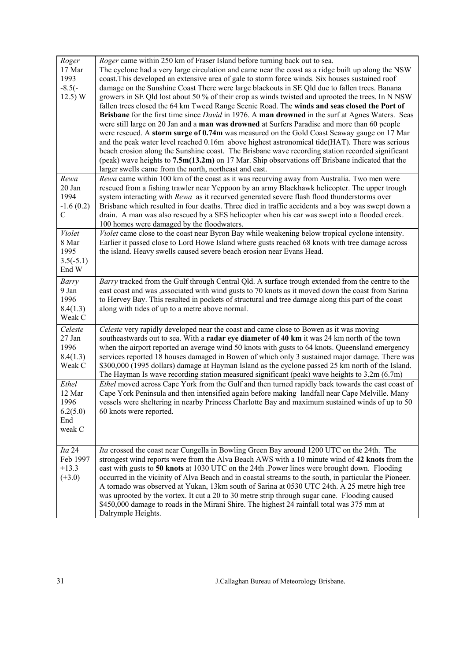| Roger<br>17 Mar<br>1993<br>$-8.5(-)$<br>12.5) W          | Roger came within 250 km of Fraser Island before turning back out to sea.<br>The cyclone had a very large circulation and came near the coast as a ridge built up along the NSW<br>coast. This developed an extensive area of gale to storm force winds. Six houses sustained roof<br>damage on the Sunshine Coast There were large blackouts in SE Qld due to fallen trees. Banana<br>growers in SE Qld lost about 50 % of their crop as winds twisted and uprooted the trees. In N NSW<br>fallen trees closed the 64 km Tweed Range Scenic Road. The winds and seas closed the Port of<br>Brisbane for the first time since <i>David</i> in 1976. A man drowned in the surf at Agnes Waters. Seas<br>were still large on 20 Jan and a man was drowned at Surfers Paradise and more than 60 people<br>were rescued. A storm surge of 0.74m was measured on the Gold Coast Seaway gauge on 17 Mar<br>and the peak water level reached 0.16m above highest astronomical tide(HAT). There was serious<br>beach erosion along the Sunshine coast. The Brisbane wave recording station recorded significant<br>(peak) wave heights to $7.5m(13.2m)$ on 17 Mar. Ship observations off Brisbane indicated that the<br>larger swells came from the north, northeast and east. |
|----------------------------------------------------------|------------------------------------------------------------------------------------------------------------------------------------------------------------------------------------------------------------------------------------------------------------------------------------------------------------------------------------------------------------------------------------------------------------------------------------------------------------------------------------------------------------------------------------------------------------------------------------------------------------------------------------------------------------------------------------------------------------------------------------------------------------------------------------------------------------------------------------------------------------------------------------------------------------------------------------------------------------------------------------------------------------------------------------------------------------------------------------------------------------------------------------------------------------------------------------------------------------------------------------------------------------------------|
| Rewa<br>$20$ Jan<br>1994<br>$-1.6(0.2)$<br>$\mathcal{C}$ | Rewa came within 100 km of the coast as it was recurving away from Australia. Two men were<br>rescued from a fishing trawler near Yeppoon by an army Blackhawk helicopter. The upper trough<br>system interacting with Rewa as it recurved generated severe flash flood thunderstorms over<br>Brisbane which resulted in four deaths. Three died in traffic accidents and a boy was swept down a<br>drain. A man was also rescued by a SES helicopter when his car was swept into a flooded creek.<br>100 homes were damaged by the floodwaters.                                                                                                                                                                                                                                                                                                                                                                                                                                                                                                                                                                                                                                                                                                                       |
| Violet<br>8 Mar<br>1995<br>$3.5(-5.1)$<br>End W          | Violet came close to the coast near Byron Bay while weakening below tropical cyclone intensity.<br>Earlier it passed close to Lord Howe Island where gusts reached 68 knots with tree damage across<br>the island. Heavy swells caused severe beach erosion near Evans Head.                                                                                                                                                                                                                                                                                                                                                                                                                                                                                                                                                                                                                                                                                                                                                                                                                                                                                                                                                                                           |
| <b>Barry</b><br>9 Jan<br>1996<br>8.4(1.3)<br>Weak C      | Barry tracked from the Gulf through Central Qld. A surface trough extended from the centre to the<br>east coast and was , associated with wind gusts to 70 knots as it moved down the coast from Sarina<br>to Hervey Bay. This resulted in pockets of structural and tree damage along this part of the coast<br>along with tides of up to a metre above normal.                                                                                                                                                                                                                                                                                                                                                                                                                                                                                                                                                                                                                                                                                                                                                                                                                                                                                                       |
| Celeste<br>27 Jan<br>1996<br>8.4(1.3)<br>Weak C          | Celeste very rapidly developed near the coast and came close to Bowen as it was moving<br>southeastwards out to sea. With a radar eye diameter of 40 km it was 24 km north of the town<br>when the airport reported an average wind 50 knots with gusts to 64 knots. Queensland emergency<br>services reported 18 houses damaged in Bowen of which only 3 sustained major damage. There was<br>\$300,000 (1995 dollars) damage at Hayman Island as the cyclone passed 25 km north of the Island.<br>The Hayman Is wave recording station measured significant (peak) wave heights to $3.2m(6.7m)$                                                                                                                                                                                                                                                                                                                                                                                                                                                                                                                                                                                                                                                                      |
| Ethel<br>12 Mar<br>1996<br>6.2(5.0)<br>End<br>weak C     | Ethel moved across Cape York from the Gulf and then turned rapidly back towards the east coast of<br>Cape York Peninsula and then intensified again before making landfall near Cape Melville. Many<br>vessels were sheltering in nearby Princess Charlotte Bay and maximum sustained winds of up to 50<br>60 knots were reported.                                                                                                                                                                                                                                                                                                                                                                                                                                                                                                                                                                                                                                                                                                                                                                                                                                                                                                                                     |
| Ita 24<br>Feb 1997<br>$+13.3$<br>$(+3.0)$                | Ita crossed the coast near Cungella in Bowling Green Bay around 1200 UTC on the 24th. The<br>strongest wind reports were from the Alva Beach AWS with a 10 minute wind of 42 knots from the<br>east with gusts to 50 knots at 1030 UTC on the 24th .Power lines were brought down. Flooding<br>occurred in the vicinity of Alva Beach and in coastal streams to the south, in particular the Pioneer.<br>A tornado was observed at Yukan, 13km south of Sarina at 0530 UTC 24th. A 25 metre high tree<br>was uprooted by the vortex. It cut a 20 to 30 metre strip through sugar cane. Flooding caused<br>\$450,000 damage to roads in the Mirani Shire. The highest 24 rainfall total was 375 mm at<br>Dalrymple Heights.                                                                                                                                                                                                                                                                                                                                                                                                                                                                                                                                             |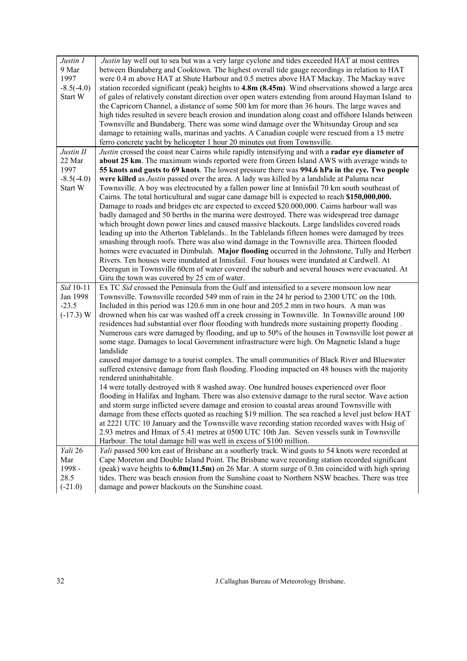| Justin 1<br>9 Mar | Justin lay well out to sea but was a very large cyclone and tides exceeded HAT at most centres<br>between Bundaberg and Cooktown. The highest overall tide gauge recordings in relation to HAT |
|-------------------|------------------------------------------------------------------------------------------------------------------------------------------------------------------------------------------------|
| 1997              | were 0.4 m above HAT at Shute Harbour and 0.5 metres above HAT Mackay. The Mackay wave                                                                                                         |
| $-8.5(-4.0)$      | station recorded significant (peak) heights to 4.8m (8.45m). Wind observations showed a large area                                                                                             |
| Start W           | of gales of relatively constant direction over open waters extending from around Hayman Island to                                                                                              |
|                   | the Capricorn Channel, a distance of some 500 km for more than 36 hours. The large waves and                                                                                                   |
|                   | high tides resulted in severe beach erosion and inundation along coast and offshore Islands between                                                                                            |
|                   | Townsville and Bundaberg. There was some wind damage over the Whitsunday Group and sea                                                                                                         |
|                   | damage to retaining walls, marinas and yachts. A Canadian couple were rescued from a 15 metre<br>ferro concrete yacht by helicopter 1 hour 20 minutes out from Townsville.                     |
| Justin II         | Justin crossed the coast near Cairns while rapidly intensifying and with a radar eye diameter of                                                                                               |
| 22 Mar            | about 25 km. The maximum winds reported were from Green Island AWS with average winds to                                                                                                       |
| 1997              | 55 knots and gusts to 69 knots. The lowest pressure there was 994.6 hPa in the eye. Two people                                                                                                 |
| $-8.5(-4.0)$      | were killed as <i>Justin</i> passed over the area. A lady was killed by a landslide at Paluma near                                                                                             |
| Start W           | Townsville. A boy was electrocuted by a fallen power line at Innisfail 70 km south southeast of                                                                                                |
|                   | Cairns. The total horticultural and sugar cane damage bill is expected to reach \$150,000,000.                                                                                                 |
|                   | Damage to roads and bridges etc are expected to exceed \$20.000,000. Cairns harbour wall was                                                                                                   |
|                   | badly damaged and 50 berths in the marina were destroyed. There was widespread tree damage                                                                                                     |
|                   | which brought down power lines and caused massive blackouts. Large landslides covered roads                                                                                                    |
|                   | leading up into the Atherton Tablelands In the Tablelands fifteen homes were damaged by trees                                                                                                  |
|                   | smashing through roofs. There was also wind damage in the Townsville area. Thirteen flooded                                                                                                    |
|                   | homes were evacuated in Dimbulah. Major flooding occurred in the Johnstone, Tully and Herbert                                                                                                  |
|                   | Rivers. Ten houses were inundated at Innisfail. Four houses were inundated at Cardwell. At                                                                                                     |
|                   | Deeragun in Townsville 60cm of water covered the suburb and several houses were evacuated. At                                                                                                  |
|                   | Giru the town was covered by 25 cm of water.                                                                                                                                                   |
| Sid 10-11         | Ex TC Sid crossed the Peninsula from the Gulf and intensified to a severe monsoon low near                                                                                                     |
| Jan 1998          | Townsville. Townsville recorded 549 mm of rain in the 24 hr period to 2300 UTC on the 10th.                                                                                                    |
| $-23.5$           | Included in this period was 120.6 mm in one hour and 205.2 mm in two hours. A man was                                                                                                          |
| $(-17.3) W$       | drowned when his car was washed off a creek crossing in Townsville. In Townsville around 100                                                                                                   |
|                   | residences had substantial over floor flooding with hundreds more sustaining property flooding.                                                                                                |
|                   | Numerous cars were damaged by flooding, and up to 50% of the houses in Townsville lost power at                                                                                                |
|                   | some stage. Damages to local Government infrastructure were high. On Magnetic Island a huge                                                                                                    |
|                   | landslide                                                                                                                                                                                      |
|                   | caused major damage to a tourist complex. The small communities of Black River and Bluewater                                                                                                   |
|                   | suffered extensive damage from flash flooding. Flooding impacted on 48 houses with the majority                                                                                                |
|                   | rendered uninhabitable.                                                                                                                                                                        |
|                   | 14 were totally destroyed with 8 washed away. One hundred houses experienced over floor                                                                                                        |
|                   | flooding in Halifax and Ingham. There was also extensive damage to the rural sector. Wave action                                                                                               |
|                   | and storm surge inflicted severe damage and erosion to coastal areas around Townsville with                                                                                                    |
|                   | damage from these effects quoted as reaching \$19 million. The sea reached a level just below HAT                                                                                              |
|                   | at 2221 UTC 10 January and the Townsville wave recording station recorded waves with Hsig of                                                                                                   |
|                   | 2.93 metres and Hmax of 5.41 metres at 0500 UTC 10th Jan. Seven vessels sunk in Townsville                                                                                                     |
|                   | Harbour. The total damage bill was well in excess of \$100 million.                                                                                                                            |
| Yali 26           | Yali passed 500 km east of Brisbane an a southerly track. Wind gusts to 54 knots were recorded at                                                                                              |
| Mar               | Cape Moreton and Double Island Point. The Brisbane wave recording station recorded significant                                                                                                 |
| 1998 -            | (peak) wave heights to $6.0$ m $(11.5$ m) on 26 Mar. A storm surge of 0.3m coincided with high spring                                                                                          |
| 28.5              | tides. There was beach erosion from the Sunshine coast to Northern NSW beaches. There was tree                                                                                                 |
| $(-21.0)$         | damage and power blackouts on the Sunshine coast.                                                                                                                                              |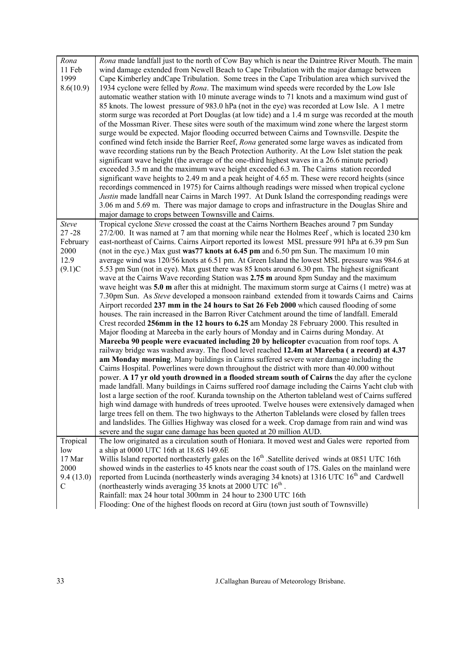| Rona         | Rona made landfall just to the north of Cow Bay which is near the Daintree River Mouth. The main             |
|--------------|--------------------------------------------------------------------------------------------------------------|
| 11 Feb       | wind damage extended from Newell Beach to Cape Tribulation with the major damage between                     |
| 1999         | Cape Kimberley and Cape Tribulation. Some trees in the Cape Tribulation area which survived the              |
| 8.6(10.9)    | 1934 cyclone were felled by <i>Rona</i> . The maximum wind speeds were recorded by the Low Isle              |
|              | automatic weather station with 10 minute average winds to 71 knots and a maximum wind gust of                |
|              | 85 knots. The lowest pressure of 983.0 hPa (not in the eye) was recorded at Low Isle. A 1 metre              |
|              | storm surge was recorded at Port Douglas (at low tide) and a 1.4 m surge was recorded at the mouth           |
|              | of the Mossman River. These sites were south of the maximum wind zone where the largest storm                |
|              | surge would be expected. Major flooding occurred between Cairns and Townsville. Despite the                  |
|              | confined wind fetch inside the Barrier Reef, Rona generated some large waves as indicated from               |
|              | wave recording stations run by the Beach Protection Authority. At the Low Islet station the peak             |
|              | significant wave height (the average of the one-third highest waves in a 26.6 minute period)                 |
|              | exceeded 3.5 m and the maximum wave height exceeded 6.3 m. The Cairns station recorded                       |
|              | significant wave heights to 2.49 m and a peak height of 4.65 m. These were record heights (since             |
|              | recordings commenced in 1975) for Cairns although readings were missed when tropical cyclone                 |
|              | Justin made landfall near Cairns in March 1997. At Dunk Island the corresponding readings were               |
|              | 3.06 m and 5.69 m. There was major damage to crops and infrastructure in the Douglas Shire and               |
|              | major damage to crops between Townsville and Cairns.                                                         |
| <b>Steve</b> | Tropical cyclone Steve crossed the coast at the Cairns Northern Beaches around 7 pm Sunday                   |
| $27 - 28$    | 27/2/00. It was named at 7 am that morning while near the Holmes Reef, which is located 230 km               |
| February     | east-northeast of Cairns. Cairns Airport reported its lowest MSL pressure 991 hPa at 6.39 pm Sun             |
| 2000         | (not in the eye.) Max gust was 77 knots at 6.45 pm and 6.50 pm Sun. The maximum 10 min                       |
| 12.9         | average wind was 120/56 knots at 6.51 pm. At Green Island the lowest MSL pressure was 984.6 at               |
| (9.1)C       | 5.53 pm Sun (not in eye). Max gust there was 85 knots around 6.30 pm. The highest significant                |
|              | wave at the Cairns Wave recording Station was 2.75 m around 8pm Sunday and the maximum                       |
|              | wave height was $5.0 \text{ m}$ after this at midnight. The maximum storm surge at Cairns (1 metre) was at   |
|              | 7.30pm Sun. As Steve developed a monsoon rainband extended from it towards Cairns and Cairns                 |
|              | Airport recorded 237 mm in the 24 hours to Sat 26 Feb 2000 which caused flooding of some                     |
|              | houses. The rain increased in the Barron River Catchment around the time of landfall. Emerald                |
|              | Crest recorded 256mm in the 12 hours to 6.25 am Monday 28 February 2000. This resulted in                    |
|              | Major flooding at Mareeba in the early hours of Monday and in Cairns during Monday. At                       |
|              | Mareeba 90 people were evacuated including 20 by helicopter evacuation from roof tops. A                     |
|              | railway bridge was washed away. The flood level reached 12.4m at Mareeba (a record) at 4.37                  |
|              | am Monday morning. Many buildings in Cairns suffered severe water damage including the                       |
|              | Cairns Hospital. Powerlines were down throughout the district with more than 40.000 without                  |
|              | power. A 17 yr old youth drowned in a flooded stream south of Cairns the day after the cyclone               |
|              | made landfall. Many buildings in Cairns suffered roof damage including the Cairns Yacht club with            |
|              | lost a large section of the roof. Kuranda township on the Atherton tableland west of Cairns suffered         |
|              | high wind damage with hundreds of trees uprooted. Twelve houses were extensively damaged when                |
|              | large trees fell on them. The two highways to the Atherton Tablelands were closed by fallen trees            |
|              | and landslides. The Gillies Highway was closed for a week. Crop damage from rain and wind was                |
|              | severe and the sugar cane damage has been quoted at 20 million AUD.                                          |
| Tropical     | The low originated as a circulation south of Honiara. It moved west and Gales were reported from             |
| low          | a ship at 0000 UTC 16th at 18.6S 149.6E                                                                      |
| 17 Mar       | Willis Island reported northeasterly gales on the 16 <sup>th</sup> .Satellite derived winds at 0851 UTC 16th |
| 2000         | showed winds in the easterlies to 45 knots near the coast south of 17S. Gales on the mainland were           |
| 9.4(13.0)    | reported from Lucinda (northeasterly winds averaging 34 knots) at 1316 UTC 16 <sup>th</sup> and Cardwell     |
| C            | (northeasterly winds averaging 35 knots at 2000 UTC $16th$ .                                                 |
|              | Rainfall: max 24 hour total 300mm in 24 hour to 2300 UTC 16th                                                |
|              | Flooding: One of the highest floods on record at Giru (town just south of Townsville)                        |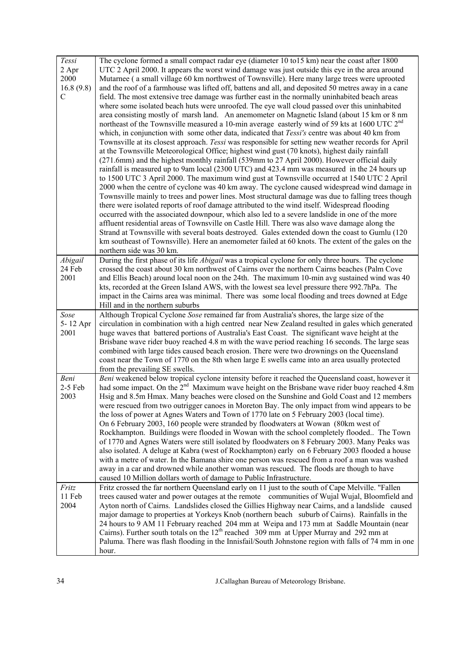| Tessi<br>2 Apr<br>2000<br>16.8(9.8)<br>C | The cyclone formed a small compact radar eye (diameter 10 to 15 km) near the coast after 1800<br>UTC 2 April 2000. It appears the worst wind damage was just outside this eye in the area around<br>Mutarnee (a small village 60 km northwest of Townsville). Here many large trees were uprooted<br>and the roof of a farmhouse was lifted off, battens and all, and deposited 50 metres away in a cane<br>field. The most extensive tree damage was further east in the normally uninhabited beach areas<br>where some isolated beach huts were unroofed. The eye wall cloud passed over this uninhabited<br>area consisting mostly of marsh land. An anemometer on Magnetic Island (about 15 km or 8 nm<br>northeast of the Townsville measured a 10-min average easterly wind of 59 kts at 1600 UTC 2 <sup>nd</sup><br>which, in conjunction with some other data, indicated that <i>Tessi's</i> centre was about 40 km from<br>Townsville at its closest approach. Tessi was responsible for setting new weather records for April<br>at the Townsville Meteorological Office; highest wind gust (70 knots), highest daily rainfall<br>(271.6mm) and the highest monthly rainfall (539mm to 27 April 2000). However official daily<br>rainfall is measured up to 9am local (2300 UTC) and 423.4 mm was measured in the 24 hours up<br>to 1500 UTC 3 April 2000. The maximum wind gust at Townsville occurred at 1540 UTC 2 April<br>2000 when the centre of cyclone was 40 km away. The cyclone caused widespread wind damage in<br>Townsville mainly to trees and power lines. Most structural damage was due to falling trees though<br>there were isolated reports of roof damage attributed to the wind itself. Widespread flooding<br>occurred with the associated downpour, which also led to a severe landslide in one of the more<br>affluent residential areas of Townsville on Castle Hill. There was also wave damage along the<br>Strand at Townsville with several boats destroyed. Gales extended down the coast to Gumlu (120<br>km southeast of Townsville). Here an anemometer failed at 60 knots. The extent of the gales on the<br>northern side was 30 km. |
|------------------------------------------|-------------------------------------------------------------------------------------------------------------------------------------------------------------------------------------------------------------------------------------------------------------------------------------------------------------------------------------------------------------------------------------------------------------------------------------------------------------------------------------------------------------------------------------------------------------------------------------------------------------------------------------------------------------------------------------------------------------------------------------------------------------------------------------------------------------------------------------------------------------------------------------------------------------------------------------------------------------------------------------------------------------------------------------------------------------------------------------------------------------------------------------------------------------------------------------------------------------------------------------------------------------------------------------------------------------------------------------------------------------------------------------------------------------------------------------------------------------------------------------------------------------------------------------------------------------------------------------------------------------------------------------------------------------------------------------------------------------------------------------------------------------------------------------------------------------------------------------------------------------------------------------------------------------------------------------------------------------------------------------------------------------------------------------------------------------------------------------------------------------------------------------------------------------------------------------|
| Abigail<br>24 Feb                        | During the first phase of its life <i>Abigail</i> was a tropical cyclone for only three hours. The cyclone<br>crossed the coast about 30 km northwest of Cairns over the northern Cairns beaches (Palm Cove                                                                                                                                                                                                                                                                                                                                                                                                                                                                                                                                                                                                                                                                                                                                                                                                                                                                                                                                                                                                                                                                                                                                                                                                                                                                                                                                                                                                                                                                                                                                                                                                                                                                                                                                                                                                                                                                                                                                                                         |
| 2001                                     | and Ellis Beach) around local noon on the 24th. The maximum 10-min avg sustained wind was 40<br>kts, recorded at the Green Island AWS, with the lowest sea level pressure there 992.7hPa. The<br>impact in the Cairns area was minimal. There was some local flooding and trees downed at Edge<br>Hill and in the northern suburbs                                                                                                                                                                                                                                                                                                                                                                                                                                                                                                                                                                                                                                                                                                                                                                                                                                                                                                                                                                                                                                                                                                                                                                                                                                                                                                                                                                                                                                                                                                                                                                                                                                                                                                                                                                                                                                                  |
| Sose                                     | Although Tropical Cyclone Sose remained far from Australia's shores, the large size of the                                                                                                                                                                                                                                                                                                                                                                                                                                                                                                                                                                                                                                                                                                                                                                                                                                                                                                                                                                                                                                                                                                                                                                                                                                                                                                                                                                                                                                                                                                                                                                                                                                                                                                                                                                                                                                                                                                                                                                                                                                                                                          |
| 5-12 Apr<br>2001                         | circulation in combination with a high centred near New Zealand resulted in gales which generated<br>huge waves that battered portions of Australia's East Coast. The significant wave height at the<br>Brisbane wave rider buoy reached 4.8 m with the wave period reaching 16 seconds. The large seas<br>combined with large tides caused beach erosion. There were two drownings on the Queensland<br>coast near the Town of 1770 on the 8th when large E swells came into an area usually protected<br>from the prevailing SE swells.                                                                                                                                                                                                                                                                                                                                                                                                                                                                                                                                                                                                                                                                                                                                                                                                                                                                                                                                                                                                                                                                                                                                                                                                                                                                                                                                                                                                                                                                                                                                                                                                                                           |
| Beni<br>$2-5$ Feb<br>2003                | Beni weakened below tropical cyclone intensity before it reached the Queensland coast, however it<br>had some impact. On the 2 <sup>nd</sup> Maximum wave height on the Brisbane wave rider buoy reached 4.8m<br>Hsig and 8.5m Hmax. Many beaches were closed on the Sunshine and Gold Coast and 12 members<br>were rescued from two outrigger canoes in Moreton Bay. The only impact from wind appears to be<br>the loss of power at Agnes Waters and Town of 1770 late on 5 February 2003 (local time).<br>On 6 February 2003, 160 people were stranded by floodwaters at Wowan (80km west of<br>Rockhampton. Buildings were flooded in Wowan with the school completely flooded The Town<br>of 1770 and Agnes Waters were still isolated by floodwaters on 8 February 2003. Many Peaks was<br>also isolated. A deluge at Kabra (west of Rockhampton) early on 6 February 2003 flooded a house<br>with a metre of water. In the Bamana shire one person was rescued from a roof a man was washed<br>away in a car and drowned while another woman was rescued. The floods are though to have<br>caused 10 Million dollars worth of damage to Public Infrastructure.                                                                                                                                                                                                                                                                                                                                                                                                                                                                                                                                                                                                                                                                                                                                                                                                                                                                                                                                                                                                               |
| Fritz<br>11 Feb<br>2004                  | Fritz crossed the far northern Queensland early on 11 just to the south of Cape Melville. "Fallen<br>trees caused water and power outages at the remote communities of Wujal Wujal, Bloomfield and<br>Ayton north of Cairns. Landslides closed the Gillies Highway near Cairns, and a landslide caused<br>major damage to properties at Yorkeys Knob (northern beach suburb of Cairns). Rainfalls in the<br>24 hours to 9 AM 11 February reached 204 mm at Weipa and 173 mm at Saddle Mountain (near<br>Cairns). Further south totals on the $12th$ reached 309 mm at Upper Murray and 292 mm at<br>Paluma. There was flash flooding in the Innisfail/South Johnstone region with falls of 74 mm in one<br>hour.                                                                                                                                                                                                                                                                                                                                                                                                                                                                                                                                                                                                                                                                                                                                                                                                                                                                                                                                                                                                                                                                                                                                                                                                                                                                                                                                                                                                                                                                    |